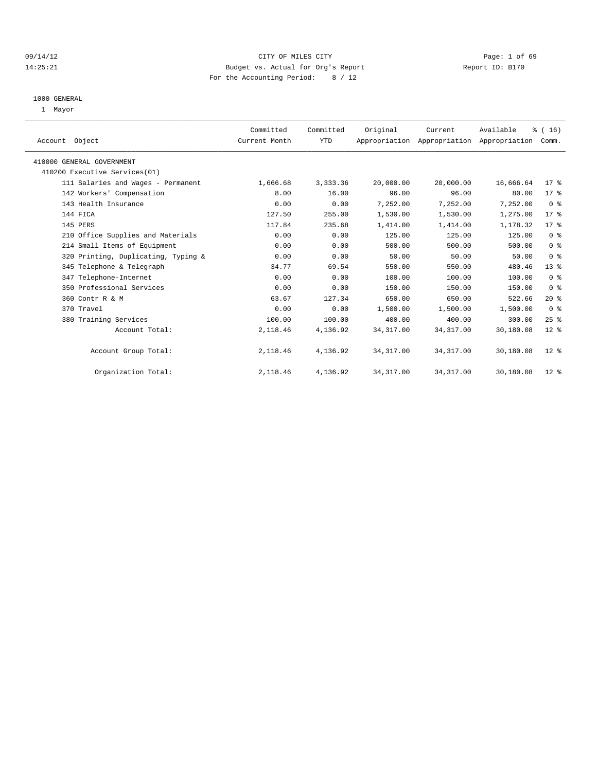#### 09/14/12 Page: 1 of 69 14:25:21 Budget vs. Actual for Org's Report Report ID: B170 For the Accounting Period: 8 / 12

#### 1000 GENERAL

1 Mayor

| Account Object                      | Committed<br>Current Month | Committed<br>YTD | Original   | Current    | Available<br>Appropriation Appropriation Appropriation | $\frac{1}{6}$ ( 16 )<br>Comm. |  |
|-------------------------------------|----------------------------|------------------|------------|------------|--------------------------------------------------------|-------------------------------|--|
|                                     |                            |                  |            |            |                                                        |                               |  |
| 410000 GENERAL GOVERNMENT           |                            |                  |            |            |                                                        |                               |  |
| 410200 Executive Services(01)       |                            |                  |            |            |                                                        |                               |  |
| 111 Salaries and Wages - Permanent  | 1,666.68                   | 3,333.36         | 20,000.00  | 20,000.00  | 16,666.64                                              | $17$ %                        |  |
| 142 Workers' Compensation           | 8.00                       | 16.00            | 96.00      | 96.00      | 80.00                                                  | $17$ %                        |  |
| 143 Health Insurance                | 0.00                       | 0.00             | 7.252.00   | 7,252.00   | 7,252.00                                               | 0 <sup>8</sup>                |  |
| 144 FICA                            | 127.50                     | 255.00           | 1,530.00   | 1,530.00   | 1,275.00                                               | 17 <sup>8</sup>               |  |
| 145 PERS                            | 117.84                     | 235.68           | 1,414.00   | 1,414.00   | 1,178.32                                               | $17$ %                        |  |
| 210 Office Supplies and Materials   | 0.00                       | 0.00             | 125.00     | 125.00     | 125.00                                                 | 0 <sup>8</sup>                |  |
| 214 Small Items of Equipment        | 0.00                       | 0.00             | 500.00     | 500.00     | 500.00                                                 | 0 <sup>8</sup>                |  |
| 320 Printing, Duplicating, Typing & | 0.00                       | 0.00             | 50.00      | 50.00      | 50.00                                                  | 0 <sup>8</sup>                |  |
| 345 Telephone & Telegraph           | 34.77                      | 69.54            | 550.00     | 550.00     | 480.46                                                 | 13 <sup>°</sup>               |  |
| 347 Telephone-Internet              | 0.00                       | 0.00             | 100.00     | 100.00     | 100.00                                                 | 0 <sup>8</sup>                |  |
| 350 Professional Services           | 0.00                       | 0.00             | 150.00     | 150.00     | 150.00                                                 | 0 <sup>8</sup>                |  |
| 360 Contr R & M                     | 63.67                      | 127.34           | 650.00     | 650.00     | 522.66                                                 | 20%                           |  |
| 370 Travel                          | 0.00                       | 0.00             | 1,500.00   | 1,500.00   | 1,500.00                                               | 0 <sup>8</sup>                |  |
| 380 Training Services               | 100.00                     | 100.00           | 400.00     | 400.00     | 300.00                                                 | $25$ %                        |  |
| Account Total:                      | 2,118.46                   | 4,136.92         | 34, 317.00 | 34, 317.00 | 30,180.08                                              | $12*$                         |  |
|                                     |                            |                  |            |            |                                                        |                               |  |
| Account Group Total:                | 2,118.46                   | 4,136.92         | 34, 317.00 | 34, 317.00 | 30,180.08                                              | $12$ %                        |  |
|                                     |                            |                  |            |            |                                                        |                               |  |
| Organization Total:                 | 2,118.46                   | 4,136.92         | 34, 317.00 | 34, 317.00 | 30,180.08                                              | $12$ %                        |  |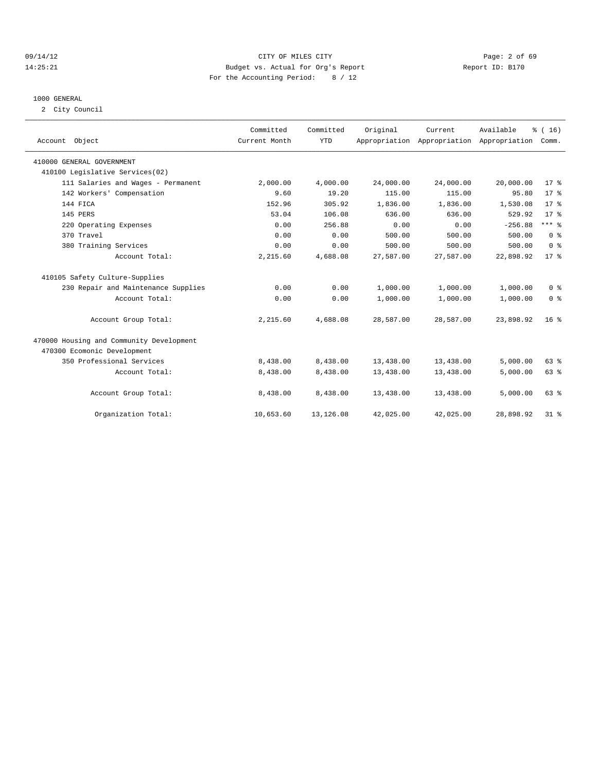#### 09/14/12 Page: 2 of 69 14:25:21 Budget vs. Actual for Org's Report Report ID: B170 For the Accounting Period: 8 / 12

#### 1000 GENERAL

2 City Council

| Account Object                           | Committed<br>Current Month | Committed<br><b>YTD</b> | Original  | Current   | Available<br>Appropriation Appropriation Appropriation | % (16)<br>Comm. |
|------------------------------------------|----------------------------|-------------------------|-----------|-----------|--------------------------------------------------------|-----------------|
| 410000 GENERAL GOVERNMENT                |                            |                         |           |           |                                                        |                 |
| 410100 Legislative Services(02)          |                            |                         |           |           |                                                        |                 |
| 111 Salaries and Wages - Permanent       | 2,000.00                   | 4,000.00                | 24,000.00 | 24,000.00 | 20,000.00                                              | 17 <sup>8</sup> |
| 142 Workers' Compensation                | 9.60                       | 19.20                   | 115.00    | 115.00    | 95.80                                                  | $17*$           |
| 144 FICA                                 | 152.96                     | 305.92                  | 1,836.00  | 1,836.00  | 1,530.08                                               | $17*$           |
| 145 PERS                                 | 53.04                      | 106.08                  | 636.00    | 636.00    | 529.92                                                 | 17.8            |
| 220 Operating Expenses                   | 0.00                       | 256.88                  | 0.00      | 0.00      | $-256.88$                                              | $***$ $_{8}$    |
| 370 Travel                               | 0.00                       | 0.00                    | 500.00    | 500.00    | 500.00                                                 | 0 <sup>8</sup>  |
| 380 Training Services                    | 0.00                       | 0.00                    | 500.00    | 500.00    | 500.00                                                 | 0 <sup>8</sup>  |
| Account Total:                           | 2,215.60                   | 4,688.08                | 27,587.00 | 27,587.00 | 22,898.92                                              | 17 <sup>8</sup> |
| 410105 Safety Culture-Supplies           |                            |                         |           |           |                                                        |                 |
| 230 Repair and Maintenance Supplies      | 0.00                       | 0.00                    | 1,000.00  | 1,000.00  | 1,000.00                                               | 0 <sup>8</sup>  |
| Account Total:                           | 0.00                       | 0.00                    | 1,000.00  | 1,000.00  | 1,000.00                                               | 0 <sup>8</sup>  |
| Account Group Total:                     | 2,215.60                   | 4,688.08                | 28,587.00 | 28,587.00 | 23,898.92                                              | 16 <sup>8</sup> |
| 470000 Housing and Community Development |                            |                         |           |           |                                                        |                 |
| 470300 Ecomonic Development              |                            |                         |           |           |                                                        |                 |
| 350 Professional Services                | 8,438.00                   | 8,438.00                | 13,438.00 | 13,438.00 | 5,000.00                                               | 63%             |
| Account Total:                           | 8,438.00                   | 8,438.00                | 13,438.00 | 13,438.00 | 5,000.00                                               | 63%             |
| Account Group Total:                     | 8,438.00                   | 8,438.00                | 13,438.00 | 13,438.00 | 5,000.00                                               | 63%             |
| Organization Total:                      | 10,653.60                  | 13,126.08               | 42,025.00 | 42,025.00 | 28,898.92                                              | 31.8            |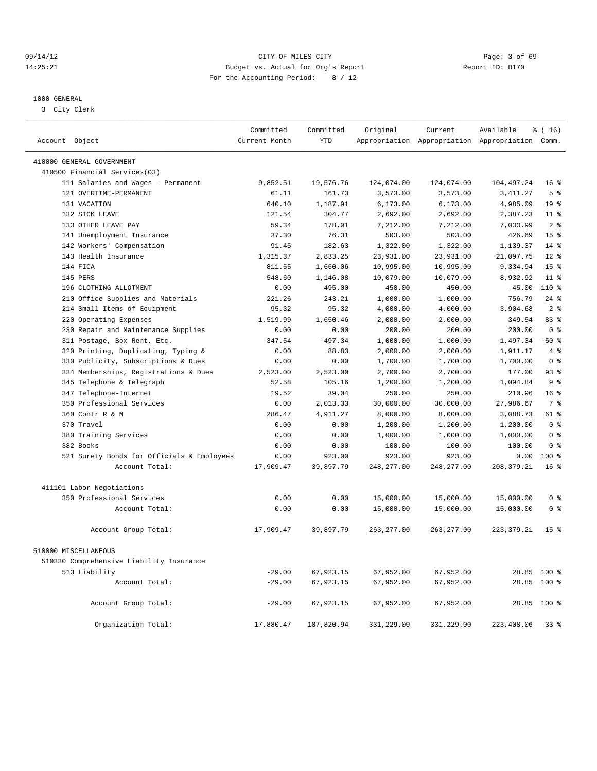#### 09/14/12 Page: 3 of 69 14:25:21 Budget vs. Actual for Org's Report Report ID: B170 For the Accounting Period: 8 / 12

————————————————————————————————————————————————————————————————————————————————————————————————————————————————————————————————————

#### 1000 GENERAL

3 City Clerk

|                                            | Committed     | Committed  | Original    | Current     | Available                                       | $*(16)$         |
|--------------------------------------------|---------------|------------|-------------|-------------|-------------------------------------------------|-----------------|
| Account Object                             | Current Month | <b>YTD</b> |             |             | Appropriation Appropriation Appropriation Comm. |                 |
| 410000 GENERAL GOVERNMENT                  |               |            |             |             |                                                 |                 |
| 410500 Financial Services(03)              |               |            |             |             |                                                 |                 |
| 111 Salaries and Wages - Permanent         | 9,852.51      | 19,576.76  | 124,074.00  | 124,074.00  | 104, 497.24                                     | 16 <sup>8</sup> |
| 121 OVERTIME-PERMANENT                     | 61.11         | 161.73     | 3,573.00    | 3,573.00    | 3, 411.27                                       | 5 <sup>8</sup>  |
| 131 VACATION                               | 640.10        | 1,187.91   | 6, 173.00   | 6, 173.00   | 4,985.09                                        | 19 <sup>°</sup> |
| 132 SICK LEAVE                             | 121.54        | 304.77     | 2,692.00    | 2,692.00    | 2,387.23                                        | $11$ %          |
| 133 OTHER LEAVE PAY                        | 59.34         | 178.01     | 7,212.00    | 7,212.00    | 7,033.99                                        | 2 <sup>°</sup>  |
| 141 Unemployment Insurance                 | 37.30         | 76.31      | 503.00      | 503.00      | 426.69                                          | 15 <sup>8</sup> |
| 142 Workers' Compensation                  | 91.45         | 182.63     | 1,322.00    | 1,322.00    | 1,139.37                                        | $14*$           |
| 143 Health Insurance                       | 1,315.37      | 2,833.25   | 23,931.00   | 23,931.00   | 21,097.75                                       | $12*$           |
| 144 FICA                                   | 811.55        | 1,660.06   | 10,995.00   | 10,995.00   | 9,334.94                                        | 15 <sup>8</sup> |
| 145 PERS                                   | 548.60        | 1,146.08   | 10,079.00   | 10,079.00   | 8,932.92                                        | 11 <sup>8</sup> |
| 196 CLOTHING ALLOTMENT                     | 0.00          | 495.00     | 450.00      | 450.00      | $-45.00$                                        | $110*$          |
| 210 Office Supplies and Materials          | 221.26        | 243.21     | 1,000.00    | 1,000.00    | 756.79                                          | $24$ %          |
| 214 Small Items of Equipment               | 95.32         | 95.32      | 4,000.00    | 4,000.00    | 3,904.68                                        | 2 <sup>8</sup>  |
| 220 Operating Expenses                     | 1,519.99      | 1,650.46   | 2,000.00    | 2,000.00    | 349.54                                          | 83%             |
| 230 Repair and Maintenance Supplies        | 0.00          | 0.00       | 200.00      | 200.00      | 200.00                                          | 0 <sup>8</sup>  |
| 311 Postage, Box Rent, Etc.                | $-347.54$     | $-497.34$  | 1,000.00    | 1,000.00    | 1,497.34                                        | $-50$ %         |
| 320 Printing, Duplicating, Typing &        | 0.00          | 88.83      | 2,000.00    | 2,000.00    | 1,911.17                                        | 4%              |
| 330 Publicity, Subscriptions & Dues        | 0.00          | 0.00       | 1,700.00    | 1,700.00    | 1,700.00                                        | 0 <sup>8</sup>  |
| 334 Memberships, Registrations & Dues      | 2,523.00      | 2,523.00   | 2,700.00    | 2,700.00    | 177.00                                          | 93%             |
| 345 Telephone & Telegraph                  | 52.58         | 105.16     | 1,200.00    | 1,200.00    | 1,094.84                                        | 9 <sup>°</sup>  |
| 347 Telephone-Internet                     | 19.52         | 39.04      | 250.00      | 250.00      | 210.96                                          | 16 <sup>°</sup> |
| 350 Professional Services                  | 0.00          | 2,013.33   | 30,000.00   | 30,000.00   | 27,986.67                                       | 7 <sup>°</sup>  |
| 360 Contr R & M                            | 286.47        | 4,911.27   | 8,000.00    | 8,000.00    | 3,088.73                                        | 61 %            |
| 370 Travel                                 | 0.00          | 0.00       | 1,200.00    | 1,200.00    | 1,200.00                                        | 0 <sup>8</sup>  |
| 380 Training Services                      | 0.00          | 0.00       | 1,000.00    | 1,000.00    | 1,000.00                                        | 0 <sup>8</sup>  |
| 382 Books                                  | 0.00          | 0.00       | 100.00      | 100.00      | 100.00                                          | 0 <sup>8</sup>  |
| 521 Surety Bonds for Officials & Employees | 0.00          | 923.00     | 923.00      | 923.00      | 0.00                                            | $100$ %         |
| Account Total:                             | 17,909.47     | 39,897.79  | 248, 277.00 | 248, 277.00 | 208, 379.21                                     | 16 <sup>8</sup> |
|                                            |               |            |             |             |                                                 |                 |
| 411101 Labor Negotiations                  |               |            |             |             |                                                 |                 |
| 350 Professional Services                  | 0.00          | 0.00       | 15,000.00   | 15,000.00   | 15,000.00                                       | 0 <sup>8</sup>  |
| Account Total:                             | 0.00          | 0.00       | 15,000.00   | 15,000.00   | 15,000.00                                       | 0 <sup>8</sup>  |
| Account Group Total:                       | 17,909.47     | 39,897.79  | 263, 277.00 | 263, 277.00 | 223, 379.21                                     | 15 <sup>°</sup> |
| 510000 MISCELLANEOUS                       |               |            |             |             |                                                 |                 |
| 510330 Comprehensive Liability Insurance   |               |            |             |             |                                                 |                 |
| 513 Liability                              | $-29.00$      | 67,923.15  | 67,952.00   | 67,952.00   |                                                 | 28.85 100 %     |
| Account Total:                             | $-29.00$      | 67,923.15  | 67,952.00   | 67,952.00   | 28.85                                           | 100 %           |
|                                            |               |            |             |             |                                                 |                 |
| Account Group Total:                       | $-29.00$      | 67,923.15  | 67,952.00   | 67,952.00   |                                                 | 28.85 100 %     |
| Organization Total:                        | 17,880.47     | 107,820.94 | 331,229.00  | 331,229.00  | 223,408.06                                      | 33%             |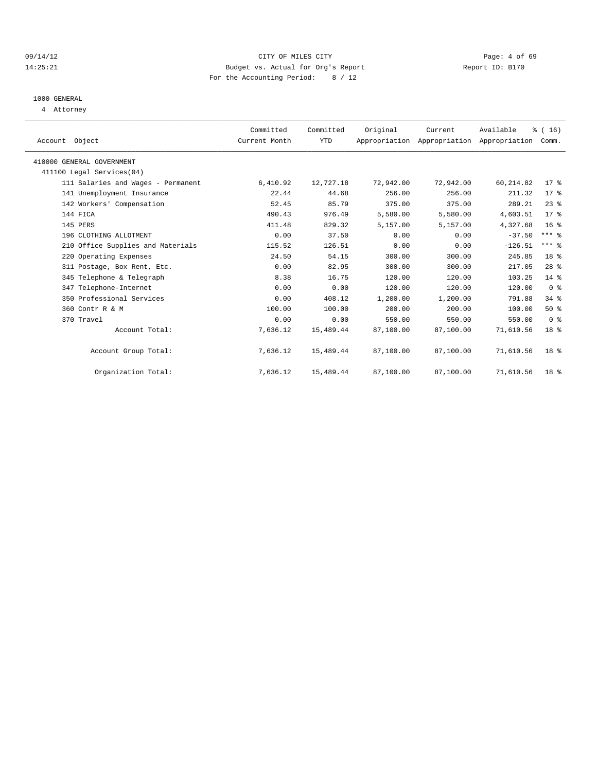#### 09/14/12 Page: 4 of 69 14:25:21 Budget vs. Actual for Org's Report Report ID: B170 For the Accounting Period: 8 / 12

### 1000 GENERAL

4 Attorney

| Account Object                     | Committed<br>Current Month | Committed<br>YTD | Original  | Current<br>Appropriation Appropriation Appropriation | Available  | $\frac{1}{6}$ ( 16 )<br>Comm. |  |
|------------------------------------|----------------------------|------------------|-----------|------------------------------------------------------|------------|-------------------------------|--|
| 410000 GENERAL GOVERNMENT          |                            |                  |           |                                                      |            |                               |  |
| 411100 Legal Services (04)         |                            |                  |           |                                                      |            |                               |  |
| 111 Salaries and Wages - Permanent | 6,410.92                   | 12,727.18        | 72,942.00 | 72,942.00                                            | 60, 214.82 | $17$ %                        |  |
| 141 Unemployment Insurance         | 22.44                      | 44.68            | 256.00    | 256.00                                               | 211.32     | $17$ %                        |  |
| 142 Workers' Compensation          | 52.45                      | 85.79            | 375.00    | 375.00                                               | 289.21     | $23$ $%$                      |  |
| 144 FICA                           | 490.43                     | 976.49           | 5,580.00  | 5,580.00                                             | 4,603.51   | 17 <sup>8</sup>               |  |
| 145 PERS                           | 411.48                     | 829.32           | 5,157.00  | 5,157.00                                             | 4,327.68   | 16 <sup>8</sup>               |  |
| 196 CLOTHING ALLOTMENT             | 0.00                       | 37.50            | 0.00      | 0.00                                                 | $-37.50$   | $***$ $-$                     |  |
| 210 Office Supplies and Materials  | 115.52                     | 126.51           | 0.00      | 0.00                                                 | $-126.51$  | $***$ $%$                     |  |
| 220 Operating Expenses             | 24.50                      | 54.15            | 300.00    | 300.00                                               | 245.85     | 18 %                          |  |
| 311 Postage, Box Rent, Etc.        | 0.00                       | 82.95            | 300.00    | 300.00                                               | 217.05     | 28 <sup>8</sup>               |  |
| 345 Telephone & Telegraph          | 8.38                       | 16.75            | 120.00    | 120.00                                               | 103.25     | 14 %                          |  |
| 347 Telephone-Internet             | 0.00                       | 0.00             | 120.00    | 120.00                                               | 120.00     | 0 <sup>8</sup>                |  |
| 350 Professional Services          | 0.00                       | 408.12           | 1,200.00  | 1,200.00                                             | 791.88     | 34%                           |  |
| 360 Contr R & M                    | 100.00                     | 100.00           | 200.00    | 200.00                                               | 100.00     | 50%                           |  |
| 370 Travel                         | 0.00                       | 0.00             | 550.00    | 550.00                                               | 550.00     | 0 <sup>8</sup>                |  |
| Account Total:                     | 7,636.12                   | 15,489.44        | 87,100.00 | 87,100.00                                            | 71,610.56  | 18 <sup>8</sup>               |  |
| Account Group Total:               | 7,636.12                   | 15,489.44        | 87,100.00 | 87,100.00                                            | 71,610.56  | 18 <sup>8</sup>               |  |
| Organization Total:                | 7,636.12                   | 15,489.44        | 87,100.00 | 87,100.00                                            | 71,610.56  | 18 <sup>8</sup>               |  |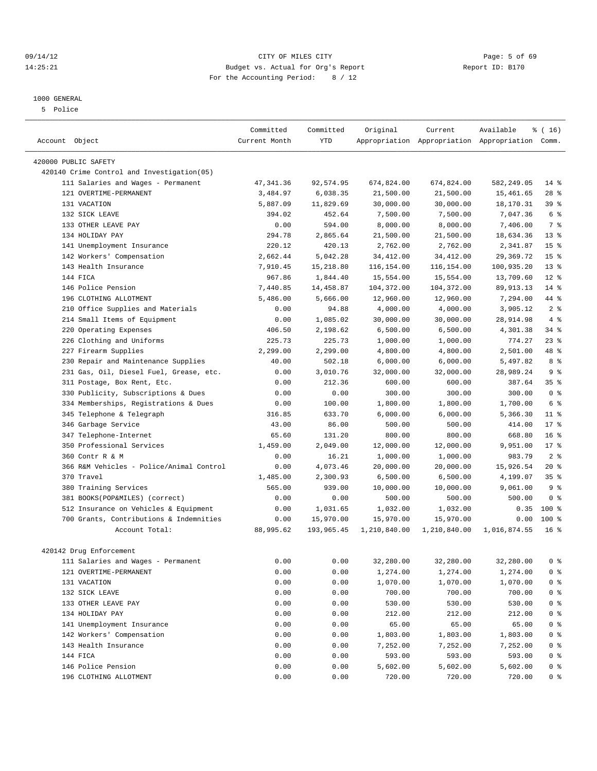#### 09/14/12 Page: 5 of 69 14:25:21 Budget vs. Actual for Org's Report Report ID: B170 For the Accounting Period: 8 / 12

#### 1000 GENERAL

5 Police

|                                            | Committed     | Committed  | Original     | Current      | Available                                       | % (16)          |
|--------------------------------------------|---------------|------------|--------------|--------------|-------------------------------------------------|-----------------|
| Account Object                             | Current Month | <b>YTD</b> |              |              | Appropriation Appropriation Appropriation Comm. |                 |
| 420000 PUBLIC SAFETY                       |               |            |              |              |                                                 |                 |
| 420140 Crime Control and Investigation(05) |               |            |              |              |                                                 |                 |
| 111 Salaries and Wages - Permanent         | 47, 341.36    | 92,574.95  | 674,824.00   | 674,824.00   | 582,249.05                                      | $14$ %          |
| 121 OVERTIME-PERMANENT                     | 3,484.97      | 6,038.35   | 21,500.00    | 21,500.00    | 15,461.65                                       | $28$ %          |
| 131 VACATION                               | 5,887.09      | 11,829.69  | 30,000.00    | 30,000.00    | 18,170.31                                       | 39 %            |
| 132 SICK LEAVE                             | 394.02        | 452.64     | 7,500.00     | 7,500.00     | 7,047.36                                        | 6 %             |
| 133 OTHER LEAVE PAY                        | 0.00          | 594.00     | 8,000.00     | 8,000.00     | 7,406.00                                        | 7 <sup>8</sup>  |
| 134 HOLIDAY PAY                            | 294.78        | 2,865.64   | 21,500.00    | 21,500.00    | 18,634.36                                       | 13 <sup>°</sup> |
| 141 Unemployment Insurance                 | 220.12        | 420.13     | 2,762.00     | 2,762.00     | 2,341.87                                        | 15 <sup>°</sup> |
| 142 Workers' Compensation                  | 2,662.44      | 5,042.28   | 34, 412.00   | 34, 412.00   | 29,369.72                                       | 15 <sup>°</sup> |
| 143 Health Insurance                       | 7,910.45      | 15,218.80  | 116,154.00   | 116,154.00   | 100,935.20                                      | $13*$           |
| 144 FICA                                   | 967.86        | 1,844.40   | 15,554.00    | 15,554.00    | 13,709.60                                       | $12*$           |
| 146 Police Pension                         | 7,440.85      | 14,458.87  | 104,372.00   | 104,372.00   | 89, 913. 13                                     | $14$ %          |
| 196 CLOTHING ALLOTMENT                     | 5,486.00      | 5,666.00   | 12,960.00    | 12,960.00    | 7,294.00                                        | 44 %            |
| Office Supplies and Materials<br>210       | 0.00          | 94.88      | 4,000.00     | 4,000.00     | 3,905.12                                        | 2 <sup>8</sup>  |
| 214 Small Items of Equipment               | 0.00          | 1,085.02   | 30,000.00    | 30,000.00    | 28,914.98                                       | 4%              |
| 220 Operating Expenses                     | 406.50        | 2,198.62   | 6,500.00     | 6,500.00     | 4,301.38                                        | $34$ $%$        |
| 226 Clothing and Uniforms                  | 225.73        | 225.73     | 1,000.00     | 1,000.00     | 774.27                                          | $23$ %          |
|                                            |               | 2,299.00   |              |              |                                                 | 48 %            |
| 227 Firearm Supplies                       | 2,299.00      |            | 4,800.00     | 4,800.00     | 2,501.00                                        |                 |
| Repair and Maintenance Supplies<br>230     | 40.00         | 502.18     | 6,000.00     | 6,000.00     | 5,497.82                                        | 8 %             |
| 231 Gas, Oil, Diesel Fuel, Grease, etc.    | 0.00          | 3,010.76   | 32,000.00    | 32,000.00    | 28,989.24                                       | 9 <sup>8</sup>  |
| 311 Postage, Box Rent, Etc.                | 0.00          | 212.36     | 600.00       | 600.00       | 387.64                                          | 35 <sup>8</sup> |
| 330 Publicity, Subscriptions & Dues        | 0.00          | 0.00       | 300.00       | 300.00       | 300.00                                          | 0 <sup>8</sup>  |
| 334 Memberships, Registrations & Dues      | 0.00          | 100.00     | 1,800.00     | 1,800.00     | 1,700.00                                        | 6 %             |
| Telephone & Telegraph<br>345               | 316.85        | 633.70     | 6,000.00     | 6,000.00     | 5,366.30                                        | $11*$           |
| 346 Garbage Service                        | 43.00         | 86.00      | 500.00       | 500.00       | 414.00                                          | $17*$           |
| 347 Telephone-Internet                     | 65.60         | 131.20     | 800.00       | 800.00       | 668.80                                          | 16 <sup>8</sup> |
| 350 Professional Services                  | 1,459.00      | 2,049.00   | 12,000.00    | 12,000.00    | 9,951.00                                        | $17*$           |
| 360 Contr R & M                            | 0.00          | 16.21      | 1,000.00     | 1,000.00     | 983.79                                          | 2 <sup>8</sup>  |
| 366 R&M Vehicles - Police/Animal Control   | 0.00          | 4,073.46   | 20,000.00    | 20,000.00    | 15,926.54                                       | $20*$           |
| 370 Travel                                 | 1,485.00      | 2,300.93   | 6,500.00     | 6,500.00     | 4,199.07                                        | 35 <sup>8</sup> |
| 380 Training Services                      | 565.00        | 939.00     | 10,000.00    | 10,000.00    | 9,061.00                                        | 9 <sup>8</sup>  |
| 381 BOOKS(POP&MILES) (correct)             | 0.00          | 0.00       | 500.00       | 500.00       | 500.00                                          | 0 <sup>8</sup>  |
| 512 Insurance on Vehicles & Equipment      | 0.00          | 1,031.65   | 1,032.00     | 1,032.00     | 0.35                                            | $100*$          |
| 700 Grants, Contributions & Indemnities    | 0.00          | 15,970.00  | 15,970.00    | 15,970.00    | 0.00                                            | $100*$          |
| Account Total:                             | 88,995.62     | 193,965.45 | 1,210,840.00 | 1,210,840.00 | 1,016,874.55                                    | 16 <sup>°</sup> |
|                                            |               |            |              |              |                                                 |                 |
| 420142 Drug Enforcement                    |               |            |              |              |                                                 |                 |
| 111 Salaries and Wages - Permanent         | 0.00          | 0.00       | 32,280.00    | 32,280.00    | 32,280.00                                       | 0 <sup>8</sup>  |
| 121 OVERTIME-PERMANENT                     | 0.00          | 0.00       | 1,274.00     | 1,274.00     | 1,274.00                                        | 0 <sup>8</sup>  |
| 131 VACATION                               | 0.00          | 0.00       | 1,070.00     | 1,070.00     | 1,070.00                                        | $0$ %           |
| 132 SICK LEAVE                             | 0.00          | 0.00       | 700.00       | 700.00       | 700.00                                          | $0$ %           |
| 133 OTHER LEAVE PAY                        | 0.00          | 0.00       | 530.00       | 530.00       | 530.00                                          | 0 <sup>8</sup>  |
| 134 HOLIDAY PAY                            | 0.00          | 0.00       | 212.00       | 212.00       | 212.00                                          | $0$ %           |
| 141 Unemployment Insurance                 | 0.00          | 0.00       | 65.00        | 65.00        | 65.00                                           | 0 <sup>8</sup>  |
| 142 Workers' Compensation                  | 0.00          | 0.00       | 1,803.00     | 1,803.00     | 1,803.00                                        | $0$ %           |
| 143 Health Insurance                       | 0.00          | 0.00       | 7,252.00     | 7,252.00     | 7,252.00                                        | $0$ %           |
| 144 FICA                                   | 0.00          | 0.00       | 593.00       | 593.00       | 593.00                                          | 0 %             |
| 146 Police Pension                         | 0.00          | 0.00       | 5,602.00     | 5,602.00     | 5,602.00                                        | 0 %             |
| 196 CLOTHING ALLOTMENT                     | 0.00          | 0.00       | 720.00       | 720.00       | 720.00                                          | 0 %             |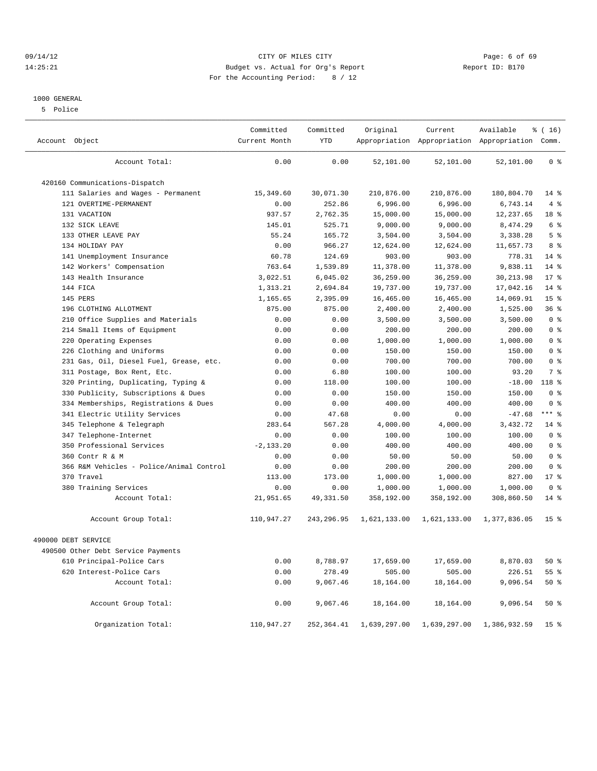#### 09/14/12 Page: 6 of 69 14:25:21 Budget vs. Actual for Org's Report Report ID: B170 For the Accounting Period: 8 / 12

#### 1000 GENERAL

5 Police

| Account Object                             | Committed<br>Current Month | Committed<br><b>YTD</b> | Original     | Current      | Available<br>Appropriation Appropriation Appropriation Comm. | % (16)          |
|--------------------------------------------|----------------------------|-------------------------|--------------|--------------|--------------------------------------------------------------|-----------------|
| Account Total:                             | 0.00                       | 0.00                    | 52,101.00    | 52,101.00    | 52,101.00                                                    | 0 <sup>8</sup>  |
| 420160 Communications-Dispatch             |                            |                         |              |              |                                                              |                 |
| 111 Salaries and Wages - Permanent         | 15,349.60                  | 30,071.30               | 210,876.00   | 210,876.00   | 180,804.70                                                   | $14$ %          |
| 121 OVERTIME-PERMANENT                     | 0.00                       | 252.86                  | 6,996.00     | 6,996.00     | 6,743.14                                                     | 4%              |
| 131 VACATION                               | 937.57                     | 2,762.35                | 15,000.00    | 15,000.00    | 12,237.65                                                    | 18 %            |
| 132 SICK LEAVE                             | 145.01                     | 525.71                  | 9,000.00     | 9,000.00     | 8,474.29                                                     | 6 <sup>°</sup>  |
| 133 OTHER LEAVE PAY                        | 55.24                      | 165.72                  | 3,504.00     | 3,504.00     | 3,338.28                                                     | 5 <sub>8</sub>  |
| 134 HOLIDAY PAY                            | 0.00                       | 966.27                  | 12,624.00    | 12,624.00    | 11,657.73                                                    | 8 %             |
| 141 Unemployment Insurance                 | 60.78                      | 124.69                  | 903.00       | 903.00       | 778.31                                                       | $14$ %          |
| 142 Workers' Compensation                  | 763.64                     | 1,539.89                | 11,378.00    | 11,378.00    | 9,838.11                                                     | $14*$           |
| 143 Health Insurance                       | 3,022.51                   | 6,045.02                | 36,259.00    | 36,259.00    | 30, 213.98                                                   | $17*$           |
| 144 FICA                                   | 1,313.21                   | 2,694.84                | 19,737.00    | 19,737.00    | 17,042.16                                                    | $14$ %          |
| 145 PERS                                   | 1,165.65                   | 2,395.09                | 16,465.00    | 16,465.00    | 14,069.91                                                    | 15 <sup>°</sup> |
| 196 CLOTHING ALLOTMENT                     | 875.00                     | 875.00                  | 2,400.00     | 2,400.00     | 1,525.00                                                     | 36%             |
| Office Supplies and Materials<br>210       | 0.00                       | 0.00                    | 3,500.00     | 3,500.00     | 3,500.00                                                     | 0 <sup>8</sup>  |
| 214 Small Items of Equipment               | 0.00                       | 0.00                    | 200.00       | 200.00       | 200.00                                                       | 0 <sup>8</sup>  |
| 220 Operating Expenses                     | 0.00                       | 0.00                    | 1,000.00     | 1,000.00     | 1,000.00                                                     | 0 <sup>8</sup>  |
| 226 Clothing and Uniforms                  | 0.00                       | 0.00                    | 150.00       | 150.00       | 150.00                                                       | 0 <sup>8</sup>  |
| Gas, Oil, Diesel Fuel, Grease, etc.<br>231 | 0.00                       | 0.00                    | 700.00       | 700.00       | 700.00                                                       | 0 <sup>8</sup>  |
| 311 Postage, Box Rent, Etc.                | 0.00                       | 6.80                    | 100.00       | 100.00       | 93.20                                                        | 7 <sup>8</sup>  |
| 320 Printing, Duplicating, Typing &        | 0.00                       | 118.00                  | 100.00       | 100.00       | $-18.00$                                                     | 118 %           |
| 330 Publicity, Subscriptions & Dues        | 0.00                       | 0.00                    | 150.00       | 150.00       | 150.00                                                       | 0 <sup>8</sup>  |
| 334 Memberships, Registrations & Dues      | 0.00                       | 0.00                    | 400.00       | 400.00       | 400.00                                                       | 0 <sup>8</sup>  |
| 341 Electric Utility Services              | 0.00                       | 47.68                   | 0.00         | 0.00         | $-47.68$                                                     | $***$ $-$       |
| Telephone & Telegraph<br>345               | 283.64                     | 567.28                  | 4,000.00     | 4,000.00     | 3,432.72                                                     | 14 %            |
| 347 Telephone-Internet                     | 0.00                       | 0.00                    | 100.00       | 100.00       | 100.00                                                       | 0 <sup>8</sup>  |
| 350 Professional Services                  | $-2, 133.20$               | 0.00                    | 400.00       | 400.00       | 400.00                                                       | 0 <sup>8</sup>  |
| 360 Contr R & M                            | 0.00                       | 0.00                    | 50.00        | 50.00        | 50.00                                                        | 0 <sup>8</sup>  |
| 366 R&M Vehicles - Police/Animal Control   | 0.00                       | 0.00                    | 200.00       | 200.00       | 200.00                                                       | 0 <sup>8</sup>  |
| 370 Travel                                 | 113.00                     | 173.00                  | 1,000.00     | 1,000.00     | 827.00                                                       | $17*$           |
| 380 Training Services                      | 0.00                       | 0.00                    | 1,000.00     | 1,000.00     | 1,000.00                                                     | 0 <sup>8</sup>  |
| Account Total:                             | 21,951.65                  | 49, 331.50              | 358,192.00   | 358,192.00   | 308,860.50                                                   | $14$ %          |
| Account Group Total:                       | 110,947.27                 | 243,296.95              | 1,621,133.00 | 1,621,133.00 | 1,377,836.05                                                 | 15 <sup>°</sup> |
| 490000 DEBT SERVICE                        |                            |                         |              |              |                                                              |                 |
| 490500 Other Debt Service Payments         |                            |                         |              |              |                                                              |                 |
| 610 Principal-Police Cars                  | 0.00                       | 8,788.97                | 17,659.00    | 17,659.00    | 8,870.03                                                     | 50%             |
| 620 Interest-Police Cars                   | 0.00                       | 278.49                  | 505.00       | 505.00       | 226.51                                                       | 55 %            |
| Account Total:                             | 0.00                       | 9,067.46                | 18,164.00    | 18,164.00    | 9,096.54                                                     | $50*$           |
| Account Group Total:                       | 0.00                       | 9,067.46                | 18,164.00    | 18,164.00    | 9,096.54                                                     | $50*$           |
| Organization Total:                        | 110,947.27                 | 252,364.41              | 1,639,297.00 | 1,639,297.00 | 1,386,932.59                                                 | 15 <sup>°</sup> |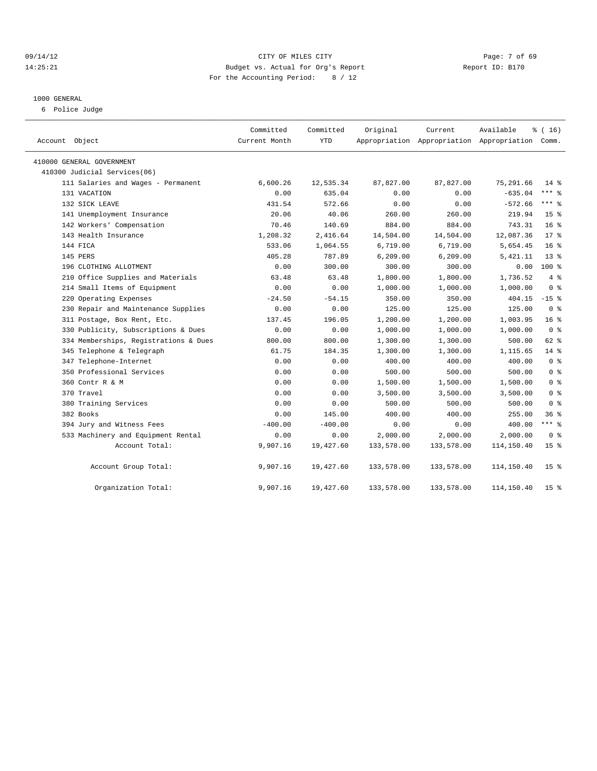#### 09/14/12 Page: 7 of 69 14:25:21 Budget vs. Actual for Org's Report Report ID: B170 For the Accounting Period: 8 / 12

#### 1000 GENERAL

6 Police Judge

| Account Object                        | Committed<br>Current Month | Committed<br>YTD | Original   | Current<br>Appropriation Appropriation Appropriation Comm. | Available  | % (16)          |
|---------------------------------------|----------------------------|------------------|------------|------------------------------------------------------------|------------|-----------------|
| 410000 GENERAL GOVERNMENT             |                            |                  |            |                                                            |            |                 |
| 410300 Judicial Services(06)          |                            |                  |            |                                                            |            |                 |
| 111 Salaries and Wages - Permanent    | 6,600.26                   | 12,535.34        | 87,827.00  | 87,827.00                                                  | 75,291.66  | $14*$           |
| 131 VACATION                          | 0.00                       | 635.04           | 0.00       | 0.00                                                       | $-635.04$  | $***$ $%$       |
| 132 SICK LEAVE                        | 431.54                     | 572.66           | 0.00       | 0.00                                                       | $-572.66$  | *** 응           |
| 141 Unemployment Insurance            | 20.06                      | 40.06            | 260.00     | 260.00                                                     | 219.94     | 15 <sup>°</sup> |
| 142 Workers' Compensation             | 70.46                      | 140.69           | 884.00     | 884.00                                                     | 743.31     | 16 <sup>°</sup> |
| 143 Health Insurance                  | 1,208.32                   | 2,416.64         | 14,504.00  | 14,504.00                                                  | 12,087.36  | $17*$           |
| 144 FICA                              | 533.06                     | 1,064.55         | 6,719.00   | 6,719.00                                                   | 5,654.45   | 16 <sup>°</sup> |
| 145 PERS                              | 405.28                     | 787.89           | 6, 209.00  | 6, 209.00                                                  | 5,421.11   | $13*$           |
| 196 CLOTHING ALLOTMENT                | 0.00                       | 300.00           | 300.00     | 300.00                                                     | 0.00       | 100 %           |
| 210 Office Supplies and Materials     | 63.48                      | 63.48            | 1,800.00   | 1,800.00                                                   | 1,736.52   | 4%              |
| 214 Small Items of Equipment          | 0.00                       | 0.00             | 1,000.00   | 1,000.00                                                   | 1,000.00   | 0 <sup>8</sup>  |
| 220 Operating Expenses                | $-24.50$                   | $-54.15$         | 350.00     | 350.00                                                     | 404.15     | $-15$ %         |
| 230 Repair and Maintenance Supplies   | 0.00                       | 0.00             | 125.00     | 125.00                                                     | 125.00     | 0 <sup>8</sup>  |
| 311 Postage, Box Rent, Etc.           | 137.45                     | 196.05           | 1,200.00   | 1,200.00                                                   | 1,003.95   | 16 <sup>°</sup> |
| 330 Publicity, Subscriptions & Dues   | 0.00                       | 0.00             | 1,000.00   | 1,000.00                                                   | 1,000.00   | 0 <sup>8</sup>  |
| 334 Memberships, Registrations & Dues | 800.00                     | 800.00           | 1,300.00   | 1,300.00                                                   | 500.00     | 62 %            |
| 345 Telephone & Telegraph             | 61.75                      | 184.35           | 1,300.00   | 1,300.00                                                   | 1,115.65   | $14$ %          |
| 347 Telephone-Internet                | 0.00                       | 0.00             | 400.00     | 400.00                                                     | 400.00     | 0 <sup>8</sup>  |
| 350 Professional Services             | 0.00                       | 0.00             | 500.00     | 500.00                                                     | 500.00     | 0 <sup>8</sup>  |
| 360 Contr R & M                       | 0.00                       | 0.00             | 1,500.00   | 1,500.00                                                   | 1,500.00   | 0 <sup>8</sup>  |
| 370 Travel                            | 0.00                       | 0.00             | 3,500.00   | 3,500.00                                                   | 3,500.00   | 0 <sup>8</sup>  |
| 380 Training Services                 | 0.00                       | 0.00             | 500.00     | 500.00                                                     | 500.00     | 0 <sup>8</sup>  |
| 382 Books                             | 0.00                       | 145.00           | 400.00     | 400.00                                                     | 255.00     | 36%             |
| 394 Jury and Witness Fees             | $-400.00$                  | $-400.00$        | 0.00       | 0.00                                                       | 400.00     | *** %           |
| 533 Machinery and Equipment Rental    | 0.00                       | 0.00             | 2,000.00   | 2,000.00                                                   | 2,000.00   | 0 %             |
| Account Total:                        | 9,907.16                   | 19,427.60        | 133,578.00 | 133,578.00                                                 | 114,150.40 | 15 <sup>8</sup> |
| Account Group Total:                  | 9,907.16                   | 19,427.60        | 133,578.00 | 133,578.00                                                 | 114,150.40 | 15 <sup>8</sup> |
| Organization Total:                   | 9,907.16                   | 19,427.60        | 133,578.00 | 133,578.00                                                 | 114,150.40 | 15 <sub>8</sub> |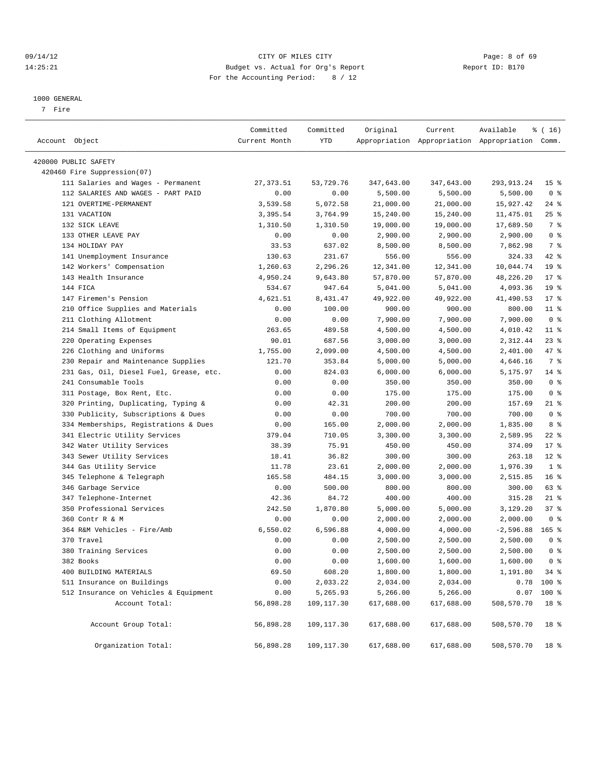#### 09/14/12 Page: 8 of 69 14:25:21 Budget vs. Actual for Org's Report Report ID: B170 For the Accounting Period: 8 / 12

————————————————————————————————————————————————————————————————————————————————————————————————————————————————————————————————————

#### 1000 GENERAL

7 Fire

|                      |                                         | Committed     | Committed   | Original   | Current    | Available                                       | % ( 16)         |  |
|----------------------|-----------------------------------------|---------------|-------------|------------|------------|-------------------------------------------------|-----------------|--|
| Account Object       |                                         | Current Month | YTD         |            |            | Appropriation Appropriation Appropriation Comm. |                 |  |
|                      |                                         |               |             |            |            |                                                 |                 |  |
| 420000 PUBLIC SAFETY |                                         |               |             |            |            |                                                 |                 |  |
|                      | 420460 Fire Suppression(07)             |               |             |            |            |                                                 |                 |  |
|                      | 111 Salaries and Wages - Permanent      | 27, 373.51    | 53,729.76   | 347,643.00 | 347,643.00 | 293, 913. 24                                    | 15 <sub>8</sub> |  |
|                      | 112 SALARIES AND WAGES - PART PAID      | 0.00          | 0.00        | 5,500.00   | 5,500.00   | 5,500.00                                        | 0 <sup>8</sup>  |  |
|                      | 121 OVERTIME-PERMANENT                  | 3,539.58      | 5,072.58    | 21,000.00  | 21,000.00  | 15,927.42                                       | $24$ %          |  |
|                      | 131 VACATION                            | 3,395.54      | 3,764.99    | 15,240.00  | 15,240.00  | 11,475.01                                       | $25$ $%$        |  |
|                      | 132 SICK LEAVE                          | 1,310.50      | 1,310.50    | 19,000.00  | 19,000.00  | 17,689.50                                       | $7\degree$      |  |
|                      | 133 OTHER LEAVE PAY                     | 0.00          | 0.00        | 2,900.00   | 2,900.00   | 2,900.00                                        | 0 <sup>8</sup>  |  |
|                      | 134 HOLIDAY PAY                         | 33.53         | 637.02      | 8,500.00   | 8,500.00   | 7,862.98                                        | 7 %             |  |
|                      | 141 Unemployment Insurance              | 130.63        | 231.67      | 556.00     | 556.00     | 324.33                                          | 42 %            |  |
|                      | 142 Workers' Compensation               | 1,260.63      | 2,296.26    | 12,341.00  | 12,341.00  | 10,044.74                                       | 19 <sup>°</sup> |  |
|                      | 143 Health Insurance                    | 4,950.24      | 9,643.80    | 57,870.00  | 57,870.00  | 48,226.20                                       | $17*$           |  |
|                      | 144 FICA                                | 534.67        | 947.64      | 5,041.00   | 5,041.00   | 4,093.36                                        | 19 <sup>°</sup> |  |
|                      | 147 Firemen's Pension                   | 4,621.51      | 8,431.47    | 49,922.00  | 49,922.00  | 41,490.53                                       | $17*$           |  |
|                      | 210 Office Supplies and Materials       | 0.00          | 100.00      | 900.00     | 900.00     | 800.00                                          | $11*$           |  |
|                      | 211 Clothing Allotment                  | 0.00          | 0.00        | 7,900.00   | 7,900.00   | 7,900.00                                        | 0 <sup>8</sup>  |  |
|                      | 214 Small Items of Equipment            | 263.65        | 489.58      | 4,500.00   | 4,500.00   | 4,010.42                                        | $11$ %          |  |
|                      | 220 Operating Expenses                  | 90.01         | 687.56      | 3,000.00   | 3,000.00   | 2,312.44                                        | $23$ $%$        |  |
|                      | 226 Clothing and Uniforms               | 1,755.00      | 2,099.00    | 4,500.00   | 4,500.00   | 2,401.00                                        | 47 %            |  |
|                      | 230 Repair and Maintenance Supplies     | 121.70        | 353.84      | 5,000.00   | 5,000.00   | 4,646.16                                        | 7 %             |  |
|                      | 231 Gas, Oil, Diesel Fuel, Grease, etc. | 0.00          | 824.03      | 6,000.00   | 6,000.00   | 5,175.97                                        | $14$ %          |  |
|                      | 241 Consumable Tools                    | 0.00          | 0.00        | 350.00     | 350.00     | 350.00                                          | 0 <sup>8</sup>  |  |
|                      | 311 Postage, Box Rent, Etc.             | 0.00          | 0.00        | 175.00     | 175.00     | 175.00                                          | 0 <sup>8</sup>  |  |
|                      | 320 Printing, Duplicating, Typing &     | 0.00          | 42.31       | 200.00     | 200.00     | 157.69                                          | 21 %            |  |
|                      | 330 Publicity, Subscriptions & Dues     | 0.00          | 0.00        | 700.00     | 700.00     | 700.00                                          | 0 <sup>8</sup>  |  |
|                      | 334 Memberships, Registrations & Dues   | 0.00          | 165.00      | 2,000.00   | 2,000.00   | 1,835.00                                        | 8 %             |  |
|                      | 341 Electric Utility Services           | 379.04        | 710.05      | 3,300.00   | 3,300.00   | 2,589.95                                        | $22$ %          |  |
|                      | 342 Water Utility Services              | 38.39         | 75.91       | 450.00     | 450.00     | 374.09                                          | $17*$           |  |
|                      | 343 Sewer Utility Services              | 18.41         | 36.82       | 300.00     | 300.00     | 263.18                                          | $12*$           |  |
|                      | 344 Gas Utility Service                 | 11.78         | 23.61       | 2,000.00   | 2,000.00   | 1,976.39                                        | 1 <sup>8</sup>  |  |
|                      | 345 Telephone & Telegraph               | 165.58        | 484.15      | 3,000.00   | 3,000.00   | 2,515.85                                        | 16 <sup>°</sup> |  |
|                      | 346 Garbage Service                     | 0.00          | 500.00      | 800.00     | 800.00     | 300.00                                          | 63 %            |  |
|                      | 347 Telephone-Internet                  | 42.36         | 84.72       | 400.00     | 400.00     | 315.28                                          | $21$ %          |  |
|                      | 350 Professional Services               | 242.50        | 1,870.80    | 5,000.00   | 5,000.00   | 3,129.20                                        | 37%             |  |
|                      | 360 Contr R & M                         | 0.00          | 0.00        | 2,000.00   | 2,000.00   | 2,000.00                                        | 0 <sup>8</sup>  |  |
|                      | 364 R&M Vehicles - Fire/Amb             | 6,550.02      | 6,596.88    | 4,000.00   | 4,000.00   | $-2,596.88$                                     | $165$ %         |  |
|                      | 370 Travel                              | 0.00          | 0.00        | 2,500.00   | 2,500.00   | 2,500.00                                        | 0 <sup>8</sup>  |  |
|                      | 380 Training Services                   | 0.00          | 0.00        | 2,500.00   | 2,500.00   | 2,500.00                                        | 0 <sup>8</sup>  |  |
|                      | 382 Books                               | 0.00          | 0.00        | 1,600.00   | 1,600.00   | 1,600.00                                        | $0$ %           |  |
|                      | 400 BUILDING MATERIALS                  | 69.50         | 608.20      | 1,800.00   | 1,800.00   | 1,191.80                                        | $34$ $%$        |  |
|                      | 511 Insurance on Buildings              | 0.00          | 2,033.22    | 2,034.00   | 2,034.00   | 0.78                                            | 100 %           |  |
|                      | 512 Insurance on Vehicles & Equipment   | 0.00          | 5,265.93    | 5,266.00   | 5,266.00   | 0.07                                            | $100$ %         |  |
|                      | Account Total:                          | 56,898.28     | 109,117.30  | 617,688.00 | 617,688.00 | 508,570.70                                      | 18 %            |  |
|                      | Account Group Total:                    | 56,898.28     | 109, 117.30 | 617,688.00 | 617,688.00 | 508,570.70                                      | 18 %            |  |
|                      | Organization Total:                     | 56,898.28     | 109, 117.30 | 617,688.00 | 617,688.00 | 508,570.70                                      | 18 %            |  |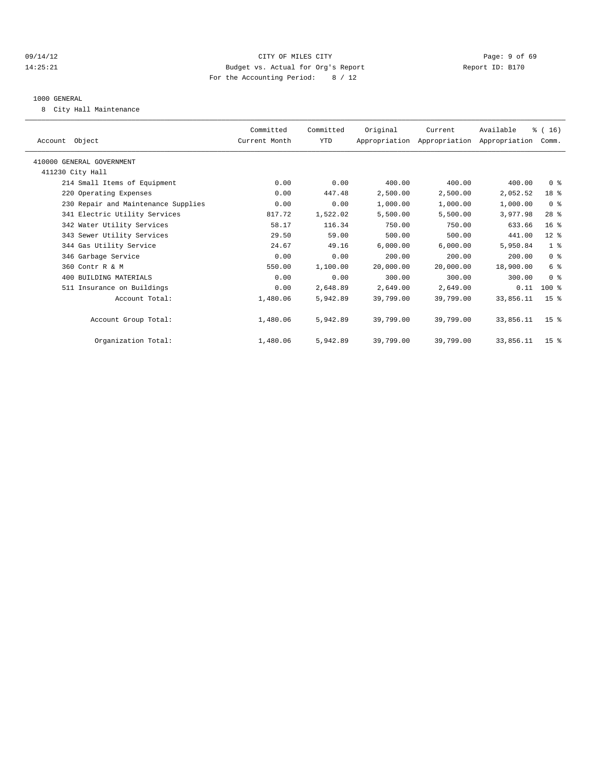#### 09/14/12 Page: 9 of 69 14:25:21 Budget vs. Actual for Org's Report Report ID: B170 For the Accounting Period: 8 / 12

#### 1000 GENERAL

8 City Hall Maintenance

| Account Object                      | Committed<br>Current Month | Committed<br>YTD | Original  | Current<br>Appropriation Appropriation Appropriation | Available | % (16)<br>Comm. |  |
|-------------------------------------|----------------------------|------------------|-----------|------------------------------------------------------|-----------|-----------------|--|
| 410000 GENERAL GOVERNMENT           |                            |                  |           |                                                      |           |                 |  |
| 411230 City Hall                    |                            |                  |           |                                                      |           |                 |  |
| 214 Small Items of Equipment        | 0.00                       | 0.00             | 400.00    | 400.00                                               | 400.00    | 0 <sup>8</sup>  |  |
| 220 Operating Expenses              | 0.00                       | 447.48           | 2,500.00  | 2,500.00                                             | 2,052.52  | 18 %            |  |
| 230 Repair and Maintenance Supplies | 0.00                       | 0.00             | 1,000.00  | 1,000.00                                             | 1,000.00  | 0 <sup>8</sup>  |  |
| 341 Electric Utility Services       | 817.72                     | 1,522.02         | 5,500.00  | 5,500.00                                             | 3,977.98  | 28 <sup>8</sup> |  |
| 342 Water Utility Services          | 58.17                      | 116.34           | 750.00    | 750.00                                               | 633.66    | 16 <sup>8</sup> |  |
| 343 Sewer Utility Services          | 29.50                      | 59.00            | 500.00    | 500.00                                               | 441.00    | $12$ %          |  |
| 344 Gas Utility Service             | 24.67                      | 49.16            | 6,000.00  | 6,000.00                                             | 5,950.84  | 1 <sup>°</sup>  |  |
| 346 Garbage Service                 | 0.00                       | 0.00             | 200.00    | 200.00                                               | 200.00    | 0 <sup>8</sup>  |  |
| 360 Contr R & M                     | 550.00                     | 1,100.00         | 20,000.00 | 20,000.00                                            | 18,900.00 | 6 %             |  |
| 400 BUILDING MATERIALS              | 0.00                       | 0.00             | 300.00    | 300.00                                               | 300.00    | 0 <sup>8</sup>  |  |
| 511 Insurance on Buildings          | 0.00                       | 2,648.89         | 2,649.00  | 2,649.00                                             | 0.11      | $100*$          |  |
| Account Total:                      | 1,480.06                   | 5,942.89         | 39,799.00 | 39,799.00                                            | 33,856.11 | 15 <sup>8</sup> |  |
| Account Group Total:                | 1,480.06                   | 5,942.89         | 39,799.00 | 39,799.00                                            | 33,856.11 | $15*$           |  |
| Organization Total:                 | 1,480.06                   | 5,942.89         | 39,799.00 | 39,799.00                                            | 33,856.11 | 15 <sup>8</sup> |  |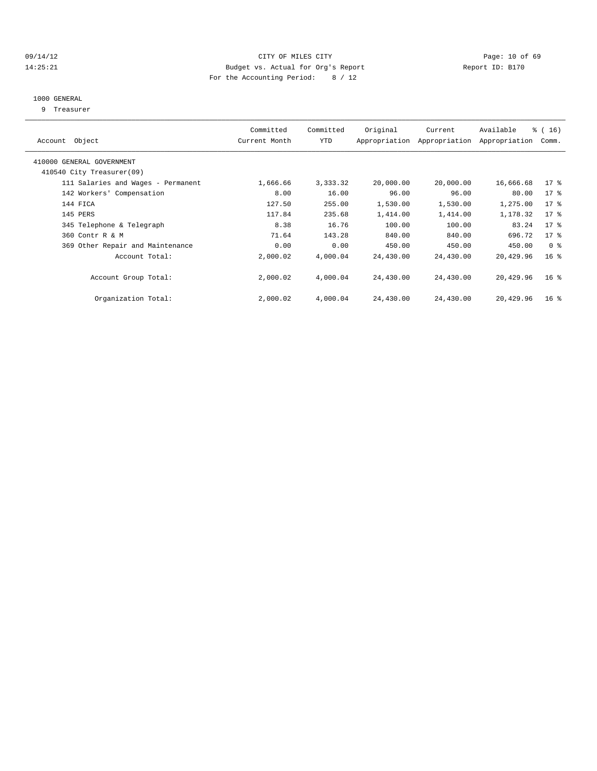#### 09/14/12 Page: 10 of 69 14:25:21 Budget vs. Actual for Org's Report Report ID: B170 For the Accounting Period: 8 / 12

#### 1000 GENERAL

9 Treasurer

| Account Object                                         | Committed<br>Current Month | Committed<br>YTD | Original  | Current<br>Appropriation Appropriation | Available<br>Appropriation | $\frac{3}{6}$ ( 16 )<br>Comm. |
|--------------------------------------------------------|----------------------------|------------------|-----------|----------------------------------------|----------------------------|-------------------------------|
| 410000 GENERAL GOVERNMENT<br>410540 City Treasurer(09) |                            |                  |           |                                        |                            |                               |
|                                                        |                            |                  |           |                                        |                            |                               |
| 111 Salaries and Wages - Permanent                     | 1,666.66                   | 3,333.32         | 20,000.00 | 20,000.00                              | 16,666.68                  | $17*$                         |
| 142 Workers' Compensation                              | 8.00                       | 16.00            | 96.00     | 96.00                                  | 80.00                      | $17*$                         |
| 144 FICA                                               | 127.50                     | 255.00           | 1,530.00  | 1,530.00                               | 1,275.00                   | 17 <sub>8</sub>               |
| 145 PERS                                               | 117.84                     | 235.68           | 1,414.00  | 1,414.00                               | 1,178.32                   | $17*$                         |
| 345 Telephone & Telegraph                              | 8.38                       | 16.76            | 100.00    | 100.00                                 | 83.24                      | $17*$                         |
| 360 Contr R & M                                        | 71.64                      | 143.28           | 840.00    | 840.00                                 | 696.72                     | $17*$                         |
| 369 Other Repair and Maintenance                       | 0.00                       | 0.00             | 450.00    | 450.00                                 | 450.00                     | 0 <sup>8</sup>                |
| Account Total:                                         | 2,000.02                   | 4,000.04         | 24,430.00 | 24,430.00                              | 20,429.96                  | $16*$                         |
| Account Group Total:                                   | 2,000.02                   | 4,000.04         | 24,430.00 | 24,430.00                              | 20,429.96                  | 16 <sup>8</sup>               |
| Organization Total:                                    | 2,000.02                   | 4,000.04         | 24,430.00 | 24,430.00                              | 20,429.96                  | 16 <sup>8</sup>               |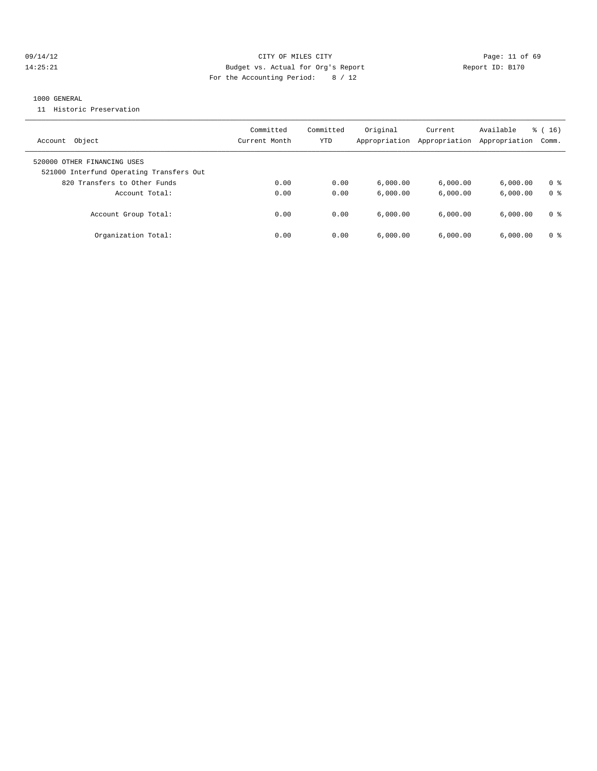#### 09/14/12 Page: 11 of 69 14:25:21 Budget vs. Actual for Org's Report Report ID: B170 For the Accounting Period: 8 / 12

#### 1000 GENERAL

11 Historic Preservation

| Object<br>Account                                                       | Committed<br>Current Month | Committed<br>YTD | Original<br>Appropriation | Current<br>Appropriation | Available<br>Appropriation | $\frac{3}{6}$ ( 16 )<br>Comm. |
|-------------------------------------------------------------------------|----------------------------|------------------|---------------------------|--------------------------|----------------------------|-------------------------------|
| 520000 OTHER FINANCING USES<br>521000 Interfund Operating Transfers Out |                            |                  |                           |                          |                            |                               |
| 820 Transfers to Other Funds                                            | 0.00                       | 0.00             | 6.000.00                  | 6.000.00                 | 6.000.00                   | 0 <sup>8</sup>                |
| Account Total:                                                          | 0.00                       | 0.00             | 6.000.00                  | 6.000.00                 | 6.000.00                   | 0 <sup>8</sup>                |
| Account Group Total:                                                    | 0.00                       | 0.00             | 6.000.00                  | 6.000.00                 | 6.000.00                   | 0 <sup>8</sup>                |
| Organization Total:                                                     | 0.00                       | 0.00             | 6.000.00                  | 6.000.00                 | 6.000.00                   | 0 <sup>8</sup>                |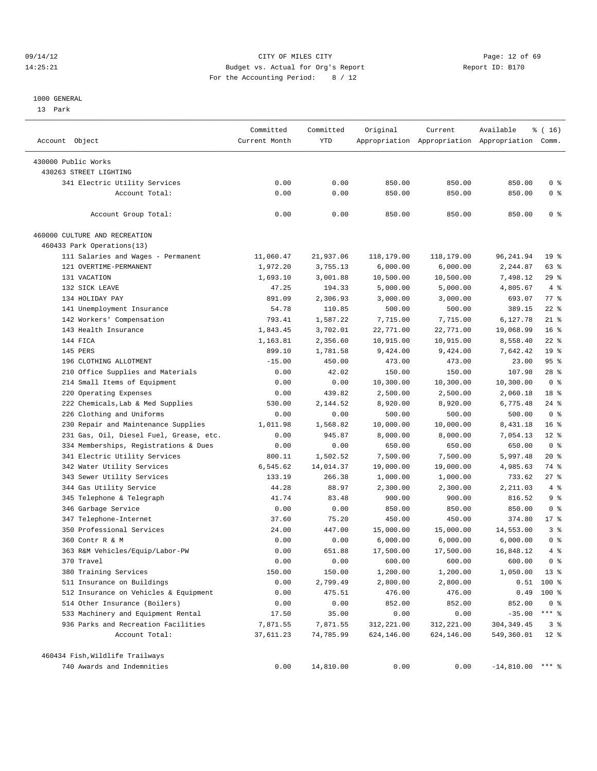#### 09/14/12 Page: 12 of 69 14:25:21 Budget vs. Actual for Org's Report Report ID: B170 For the Accounting Period: 8 / 12

————————————————————————————————————————————————————————————————————————————————————————————————————————————————————————————————————

#### 1000 GENERAL

13 Park

|                                         | Committed     | Committed | Original   | Current    | Available                                       | $\frac{1}{6}$ ( 16 ) |
|-----------------------------------------|---------------|-----------|------------|------------|-------------------------------------------------|----------------------|
| Account Object                          | Current Month | YTD       |            |            | Appropriation Appropriation Appropriation Comm. |                      |
| 430000 Public Works                     |               |           |            |            |                                                 |                      |
| 430263 STREET LIGHTING                  |               |           |            |            |                                                 |                      |
| 341 Electric Utility Services           | 0.00          | 0.00      | 850.00     | 850.00     | 850.00                                          | 0 <sup>8</sup>       |
| Account Total:                          | 0.00          | 0.00      | 850.00     | 850.00     | 850.00                                          | 0 <sup>8</sup>       |
| Account Group Total:                    | 0.00          | 0.00      | 850.00     | 850.00     | 850.00                                          | 0 <sup>8</sup>       |
| 460000 CULTURE AND RECREATION           |               |           |            |            |                                                 |                      |
| 460433 Park Operations(13)              |               |           |            |            |                                                 |                      |
| 111 Salaries and Wages - Permanent      | 11,060.47     | 21,937.06 | 118,179.00 | 118,179.00 | 96,241.94                                       | 19 <sup>°</sup>      |
| 121 OVERTIME-PERMANENT                  | 1,972.20      | 3,755.13  | 6,000.00   | 6,000.00   | 2,244.87                                        | 63 %                 |
| 131 VACATION                            | 1,693.10      | 3,001.88  | 10,500.00  | 10,500.00  | 7,498.12                                        | $29$ %               |
| 132 SICK LEAVE                          | 47.25         | 194.33    | 5,000.00   | 5,000.00   | 4,805.67                                        | 4%                   |
| 134 HOLIDAY PAY                         | 891.09        | 2,306.93  | 3,000.00   | 3,000.00   | 693.07                                          | $77$ $%$             |
| 141 Unemployment Insurance              | 54.78         | 110.85    | 500.00     | 500.00     | 389.15                                          | $22$ %               |
| 142 Workers' Compensation               | 793.41        | 1,587.22  | 7,715.00   | 7,715.00   | 6,127.78                                        | $21$ %               |
| 143 Health Insurance                    | 1,843.45      | 3,702.01  | 22,771.00  | 22,771.00  | 19,068.99                                       | $16*$                |
| 144 FICA                                | 1,163.81      | 2,356.60  | 10,915.00  | 10,915.00  | 8,558.40                                        | $22$ %               |
| 145 PERS                                | 899.10        | 1,781.58  | 9,424.00   | 9,424.00   | 7,642.42                                        | 19 <sup>°</sup>      |
| 196 CLOTHING ALLOTMENT                  | $-15.00$      | 450.00    | 473.00     | 473.00     | 23.00                                           | 95%                  |
| 210 Office Supplies and Materials       | 0.00          | 42.02     | 150.00     | 150.00     | 107.98                                          | $28$ %               |
| 214 Small Items of Equipment            | 0.00          | 0.00      | 10,300.00  | 10,300.00  | 10,300.00                                       | 0 <sup>8</sup>       |
| 220 Operating Expenses                  | 0.00          | 439.82    | 2,500.00   | 2,500.00   | 2,060.18                                        | 18 %                 |
| 222 Chemicals, Lab & Med Supplies       | 530.00        | 2,144.52  | 8,920.00   | 8,920.00   | 6,775.48                                        | $24$ %               |
| 226 Clothing and Uniforms               | 0.00          | 0.00      | 500.00     | 500.00     | 500.00                                          | 0 <sup>8</sup>       |
| 230 Repair and Maintenance Supplies     | 1,011.98      | 1,568.82  | 10,000.00  | 10,000.00  | 8,431.18                                        | 16 <sup>8</sup>      |
| 231 Gas, Oil, Diesel Fuel, Grease, etc. | 0.00          | 945.87    | 8,000.00   | 8,000.00   | 7,054.13                                        | $12$ %               |
| 334 Memberships, Registrations & Dues   | 0.00          | 0.00      | 650.00     | 650.00     | 650.00                                          | 0 <sup>8</sup>       |
| 341 Electric Utility Services           | 800.11        | 1,502.52  | 7,500.00   | 7,500.00   | 5,997.48                                        | $20*$                |
| 342 Water Utility Services              | 6,545.62      | 14,014.37 | 19,000.00  | 19,000.00  | 4,985.63                                        | 74 %                 |
| 343 Sewer Utility Services              | 133.19        | 266.38    | 1,000.00   | 1,000.00   | 733.62                                          | $27$ %               |
| 344 Gas Utility Service                 | 44.28         | 88.97     | 2,300.00   | 2,300.00   | 2,211.03                                        | $4\degree$           |
| 345 Telephone & Telegraph               | 41.74         | 83.48     | 900.00     | 900.00     | 816.52                                          | 9 <sub>8</sub>       |
| 346 Garbage Service                     | 0.00          | 0.00      | 850.00     | 850.00     | 850.00                                          | 0 <sup>8</sup>       |
| 347 Telephone-Internet                  | 37.60         | 75.20     | 450.00     | 450.00     | 374.80                                          | $17*$                |
| 350 Professional Services               | 24.00         | 447.00    | 15,000.00  | 15,000.00  | 14,553.00                                       | 3%                   |
| 360 Contr R & M                         | 0.00          | 0.00      | 6,000.00   | 6,000.00   | 6,000.00                                        | 0 <sup>8</sup>       |
| 363 R&M Vehicles/Equip/Labor-PW         | 0.00          | 651.88    | 17,500.00  | 17,500.00  | 16,848.12                                       | 4%                   |
| 370 Travel                              | 0.00          | 0.00      | 600.00     | 600.00     | 600.00                                          | 0 <sup>8</sup>       |
| 380 Training Services                   | 150.00        | 150.00    | 1,200.00   | 1,200.00   | 1,050.00                                        | 13 <sup>°</sup>      |
| 511 Insurance on Buildings              | 0.00          | 2,799.49  | 2,800.00   | 2,800.00   |                                                 | $0.51$ 100 %         |
| 512 Insurance on Vehicles & Equipment   | 0.00          | 475.51    | 476.00     | 476.00     | 0.49                                            | 100 %                |
| 514 Other Insurance (Boilers)           | 0.00          | 0.00      | 852.00     | 852.00     | 852.00                                          | 0 <sup>8</sup>       |
| 533 Machinery and Equipment Rental      | 17.50         | 35.00     | 0.00       | 0.00       | $-35.00$                                        | *** 응                |
| 936 Parks and Recreation Facilities     | 7,871.55      | 7,871.55  | 312,221.00 | 312,221.00 | 304, 349.45                                     | 3 <sup>8</sup>       |
| Account Total:                          | 37,611.23     | 74,785.99 | 624,146.00 | 624,146.00 | 549,360.01                                      | $12*$                |
| 460434 Fish, Wildlife Trailways         |               |           |            |            |                                                 |                      |
| 740 Awards and Indemnities              | 0.00          | 14,810.00 | 0.00       | 0.00       | $-14,810.00$ *** %                              |                      |
|                                         |               |           |            |            |                                                 |                      |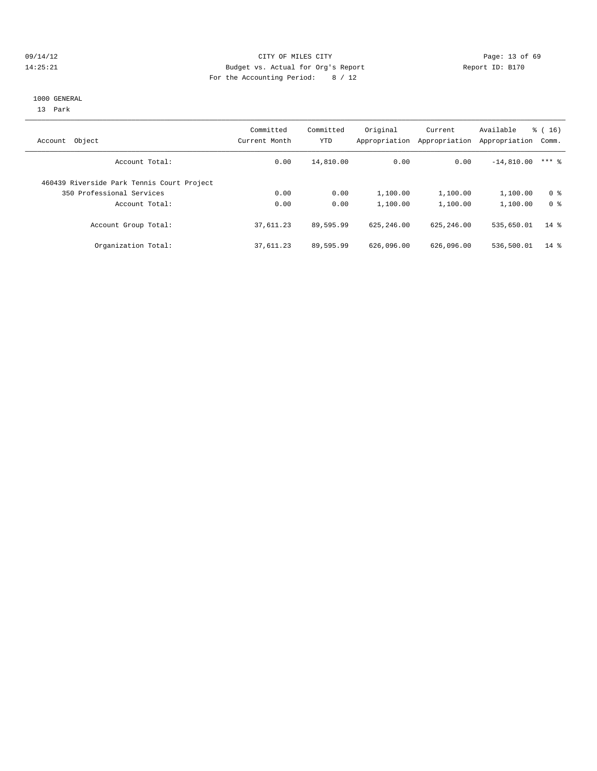#### 09/14/12 Page: 13 of 69 14:25:21 Budget vs. Actual for Org's Report Report ID: B170 For the Accounting Period: 8 / 12

#### 1000 GENERAL

13 Park

| Object<br>Account                          | Committed<br>Current Month | Committed<br><b>YTD</b> | Original<br>Appropriation | Current<br>Appropriation | Available<br>Appropriation | $\frac{3}{6}$ ( 16 )<br>Comm. |
|--------------------------------------------|----------------------------|-------------------------|---------------------------|--------------------------|----------------------------|-------------------------------|
| Account Total:                             | 0.00                       | 14,810.00               | 0.00                      | 0.00                     | $-14,810.00$               | $***$ 2                       |
| 460439 Riverside Park Tennis Court Project |                            |                         |                           |                          |                            |                               |
| 350 Professional Services                  | 0.00                       | 0.00                    | 1,100.00                  | 1,100.00                 | 1,100.00                   | 0 <sup>8</sup>                |
| Account Total:                             | 0.00                       | 0.00                    | 1,100.00                  | 1,100.00                 | 1,100.00                   | 0 <sup>8</sup>                |
| Account Group Total:                       | 37,611.23                  | 89,595.99               | 625, 246, 00              | 625, 246, 00             | 535,650.01                 | $14*$                         |
| Organization Total:                        | 37,611.23                  | 89,595.99               | 626,096.00                | 626,096.00               | 536,500.01                 | $14*$                         |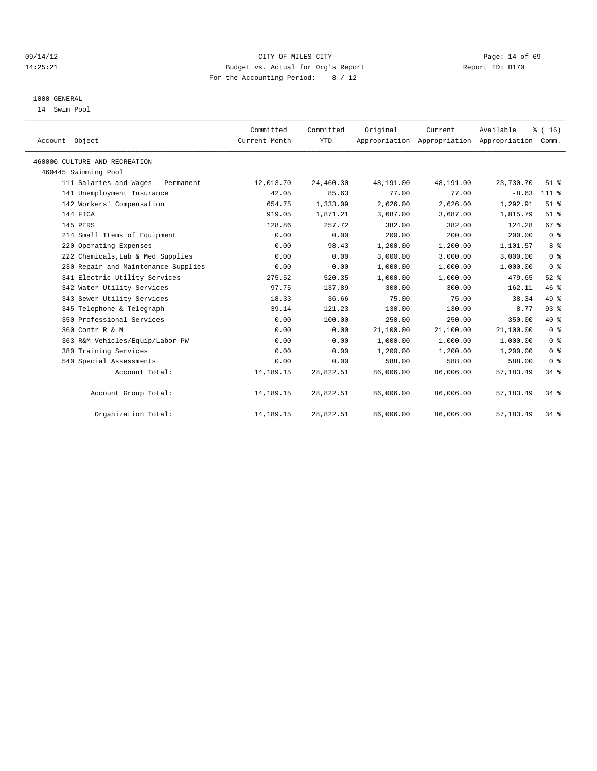#### 09/14/12 Page: 14 of 69 14:25:21 Budget vs. Actual for Org's Report Report ID: B170 For the Accounting Period: 8 / 12

#### 1000 GENERAL

14 Swim Pool

| Account Object                      | Committed<br>Current Month | Committed<br><b>YTD</b> | Original  | Current<br>Appropriation Appropriation Appropriation | Available  | % (16)<br>Comm. |
|-------------------------------------|----------------------------|-------------------------|-----------|------------------------------------------------------|------------|-----------------|
| 460000 CULTURE AND RECREATION       |                            |                         |           |                                                      |            |                 |
| 460445 Swimming Pool                |                            |                         |           |                                                      |            |                 |
| 111 Salaries and Wages - Permanent  | 12,013.70                  | 24,460.30               | 48,191.00 | 48,191.00                                            | 23,730.70  | $51$ $%$        |
| 141 Unemployment Insurance          | 42.05                      | 85.63                   | 77.00     | 77.00                                                | $-8.63$    | 111 %           |
| 142 Workers' Compensation           | 654.75                     | 1,333.09                | 2,626.00  | 2,626.00                                             | 1,292.91   | $51$ $%$        |
| 144 FICA                            | 919.05                     | 1,871.21                | 3,687.00  | 3,687.00                                             | 1,815.79   | $51$ $%$        |
| 145 PERS                            | 128.86                     | 257.72                  | 382.00    | 382.00                                               | 124.28     | 67 %            |
| 214 Small Items of Equipment        | 0.00                       | 0.00                    | 200.00    | 200.00                                               | 200.00     | 0 <sup>8</sup>  |
| 220 Operating Expenses              | 0.00                       | 98.43                   | 1,200.00  | 1,200.00                                             | 1,101.57   | 8 <sup>8</sup>  |
| 222 Chemicals, Lab & Med Supplies   | 0.00                       | 0.00                    | 3.000.00  | 3.000.00                                             | 3,000.00   | 0 <sup>8</sup>  |
| 230 Repair and Maintenance Supplies | 0.00                       | 0.00                    | 1,000.00  | 1,000.00                                             | 1,000.00   | 0 <sup>8</sup>  |
| 341 Electric Utility Services       | 275.52                     | 520.35                  | 1,000.00  | 1,000.00                                             | 479.65     | $52$ $%$        |
| 342 Water Utility Services          | 97.75                      | 137.89                  | 300.00    | 300.00                                               | 162.11     | 46%             |
| 343 Sewer Utility Services          | 18.33                      | 36.66                   | 75.00     | 75.00                                                | 38.34      | 49 %            |
| 345 Telephone & Telegraph           | 39.14                      | 121.23                  | 130.00    | 130.00                                               | 8.77       | 93%             |
| 350 Professional Services           | 0.00                       | $-100.00$               | 250.00    | 250.00                                               | 350.00     | $-40$ %         |
| 360 Contr R & M                     | 0.00                       | 0.00                    | 21,100.00 | 21,100.00                                            | 21,100.00  | 0 <sup>8</sup>  |
| 363 R&M Vehicles/Equip/Labor-PW     | 0.00                       | 0.00                    | 1,000.00  | 1,000.00                                             | 1,000.00   | 0 <sup>8</sup>  |
| 380 Training Services               | 0.00                       | 0.00                    | 1,200.00  | 1,200.00                                             | 1,200.00   | 0 <sup>8</sup>  |
| 540 Special Assessments             | 0.00                       | 0.00                    | 588.00    | 588.00                                               | 588.00     | 0 <sup>8</sup>  |
| Account Total:                      | 14,189.15                  | 28,822.51               | 86,006.00 | 86,006.00                                            | 57, 183.49 | 34 %            |
| Account Group Total:                | 14,189.15                  | 28,822.51               | 86,006.00 | 86,006.00                                            | 57, 183.49 | 34.8            |
| Organization Total:                 | 14,189.15                  | 28,822.51               | 86,006.00 | 86,006.00                                            | 57, 183.49 | $34*$           |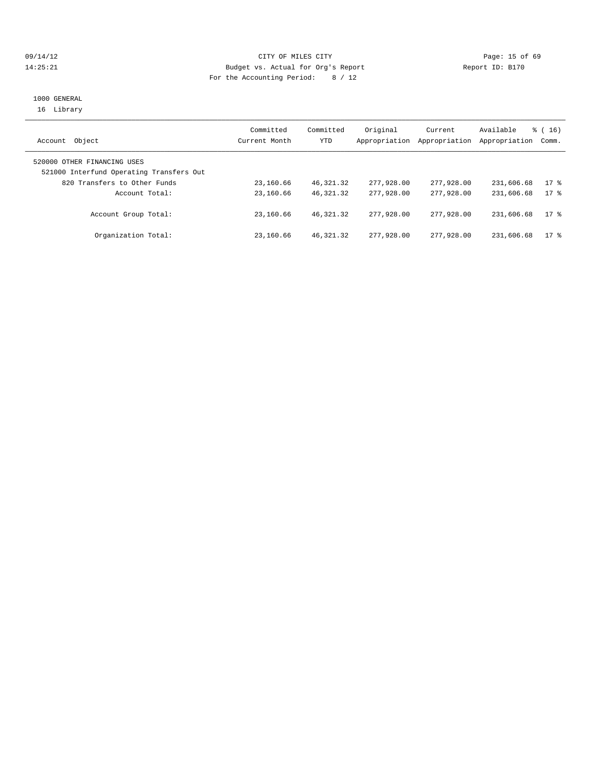#### 09/14/12 Page: 15 of 69 14:25:21 Budget vs. Actual for Org's Report Report ID: B170 For the Accounting Period: 8 / 12

#### 1000 GENERAL 16 Library

| Object<br>Account                                                       | Committed<br>Current Month | Committed<br>YTD | Original<br>Appropriation | Current<br>Appropriation | Available<br>Appropriation | $\frac{3}{2}$ ( 16 )<br>Comm. |
|-------------------------------------------------------------------------|----------------------------|------------------|---------------------------|--------------------------|----------------------------|-------------------------------|
| 520000 OTHER FINANCING USES<br>521000 Interfund Operating Transfers Out |                            |                  |                           |                          |                            |                               |
| 820 Transfers to Other Funds                                            | 23,160.66                  | 46,321.32        | 277,928.00                | 277,928.00               | 231,606.68                 | $17$ %                        |
| Account Total:                                                          | 23,160.66                  | 46, 321, 32      | 277,928,00                | 277,928,00               | 231,606.68                 | $17$ %                        |
| Account Group Total:                                                    | 23,160.66                  | 46, 321, 32      | 277,928,00                | 277,928,00               | 231,606.68                 | $17$ %                        |
| Organization Total:                                                     | 23,160.66                  | 46,321.32        | 277,928,00                | 277,928,00               | 231,606.68                 | $17$ %                        |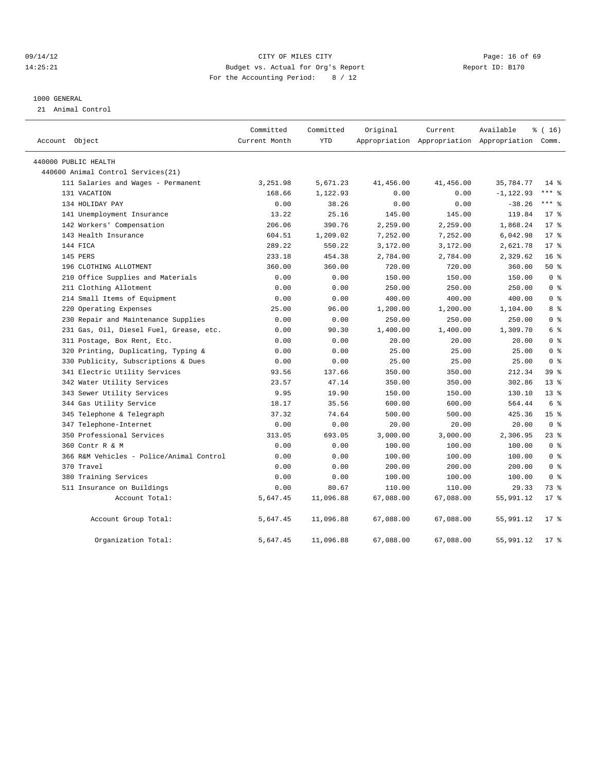#### 09/14/12 Page: 16 of 69 14:25:21 Budget vs. Actual for Org's Report Report ID: B170 For the Accounting Period: 8 / 12

#### 1000 GENERAL

21 Animal Control

| Account Object                           | Committed<br>Current Month | Committed<br><b>YTD</b> | Original  | Current<br>Appropriation Appropriation Appropriation Comm. | Available    | % (16)          |
|------------------------------------------|----------------------------|-------------------------|-----------|------------------------------------------------------------|--------------|-----------------|
| 440000 PUBLIC HEALTH                     |                            |                         |           |                                                            |              |                 |
| 440600 Animal Control Services (21)      |                            |                         |           |                                                            |              |                 |
| 111 Salaries and Wages - Permanent       | 3,251.98                   | 5,671.23                | 41,456.00 | 41,456.00                                                  | 35,784.77    | $14*$           |
| 131 VACATION                             | 168.66                     | 1,122.93                | 0.00      | 0.00                                                       | $-1, 122.93$ | $***$ $-$       |
| 134 HOLIDAY PAY                          | 0.00                       | 38.26                   | 0.00      | 0.00                                                       | $-38.26$     | $***$ $=$       |
| 141 Unemployment Insurance               | 13.22                      | 25.16                   | 145.00    | 145.00                                                     | 119.84       | 17.8            |
| 142 Workers' Compensation                | 206.06                     | 390.76                  | 2,259.00  | 2,259.00                                                   | 1,868.24     | $17*$           |
| 143 Health Insurance                     | 604.51                     | 1,209.02                | 7,252.00  | 7,252.00                                                   | 6,042.98     | $17*$           |
| 144 FICA                                 | 289.22                     | 550.22                  | 3,172.00  | 3,172.00                                                   | 2,621.78     | $17*$           |
| 145 PERS                                 | 233.18                     | 454.38                  | 2,784.00  | 2,784.00                                                   | 2,329.62     | 16 <sup>8</sup> |
| 196 CLOTHING ALLOTMENT                   | 360.00                     | 360.00                  | 720.00    | 720.00                                                     | 360.00       | 50%             |
| 210 Office Supplies and Materials        | 0.00                       | 0.00                    | 150.00    | 150.00                                                     | 150.00       | 0 <sup>8</sup>  |
| 211 Clothing Allotment                   | 0.00                       | 0.00                    | 250.00    | 250.00                                                     | 250.00       | 0 <sup>8</sup>  |
| 214 Small Items of Equipment             | 0.00                       | 0.00                    | 400.00    | 400.00                                                     | 400.00       | 0 <sup>8</sup>  |
| 220 Operating Expenses                   | 25.00                      | 96.00                   | 1,200.00  | 1,200.00                                                   | 1,104.00     | 8 %             |
| 230 Repair and Maintenance Supplies      | 0.00                       | 0.00                    | 250.00    | 250.00                                                     | 250.00       | 0 <sup>8</sup>  |
| 231 Gas, Oil, Diesel Fuel, Grease, etc.  | 0.00                       | 90.30                   | 1,400.00  | 1,400.00                                                   | 1,309.70     | 6 %             |
| 311 Postage, Box Rent, Etc.              | 0.00                       | 0.00                    | 20.00     | 20.00                                                      | 20.00        | 0 <sup>8</sup>  |
| 320 Printing, Duplicating, Typing &      | 0.00                       | 0.00                    | 25.00     | 25.00                                                      | 25.00        | 0 <sup>8</sup>  |
| 330 Publicity, Subscriptions & Dues      | 0.00                       | 0.00                    | 25.00     | 25.00                                                      | 25.00        | 0 <sup>8</sup>  |
| 341 Electric Utility Services            | 93.56                      | 137.66                  | 350.00    | 350.00                                                     | 212.34       | 39 <sup>8</sup> |
| 342 Water Utility Services               | 23.57                      | 47.14                   | 350.00    | 350.00                                                     | 302.86       | 13 <sup>8</sup> |
| 343 Sewer Utility Services               | 9.95                       | 19.90                   | 150.00    | 150.00                                                     | 130.10       | 13 <sup>8</sup> |
| 344 Gas Utility Service                  | 18.17                      | 35.56                   | 600.00    | 600.00                                                     | 564.44       | 6 %             |
| 345 Telephone & Telegraph                | 37.32                      | 74.64                   | 500.00    | 500.00                                                     | 425.36       | 15 <sup>8</sup> |
| 347 Telephone-Internet                   | 0.00                       | 0.00                    | 20.00     | 20.00                                                      | 20.00        | 0 <sup>8</sup>  |
| 350 Professional Services                | 313.05                     | 693.05                  | 3,000.00  | 3,000.00                                                   | 2,306.95     | 23%             |
| 360 Contr R & M                          | 0.00                       | 0.00                    | 100.00    | 100.00                                                     | 100.00       | 0 <sup>8</sup>  |
| 366 R&M Vehicles - Police/Animal Control | 0.00                       | 0.00                    | 100.00    | 100.00                                                     | 100.00       | 0 <sup>8</sup>  |
| 370 Travel                               | 0.00                       | 0.00                    | 200.00    | 200.00                                                     | 200.00       | 0 <sup>8</sup>  |
| 380 Training Services                    | 0.00                       | 0.00                    | 100.00    | 100.00                                                     | 100.00       | 0 <sup>8</sup>  |
| 511 Insurance on Buildings               | 0.00                       | 80.67                   | 110.00    | 110.00                                                     | 29.33        | 73 %            |
| Account Total:                           | 5,647.45                   | 11,096.88               | 67,088.00 | 67,088.00                                                  | 55,991.12    | $17*$           |
| Account Group Total:                     | 5,647.45                   | 11,096.88               | 67,088.00 | 67,088.00                                                  | 55,991.12    | $17*$           |
| Organization Total:                      | 5,647.45                   | 11,096.88               | 67,088.00 | 67,088.00                                                  | 55,991.12    | $17$ %          |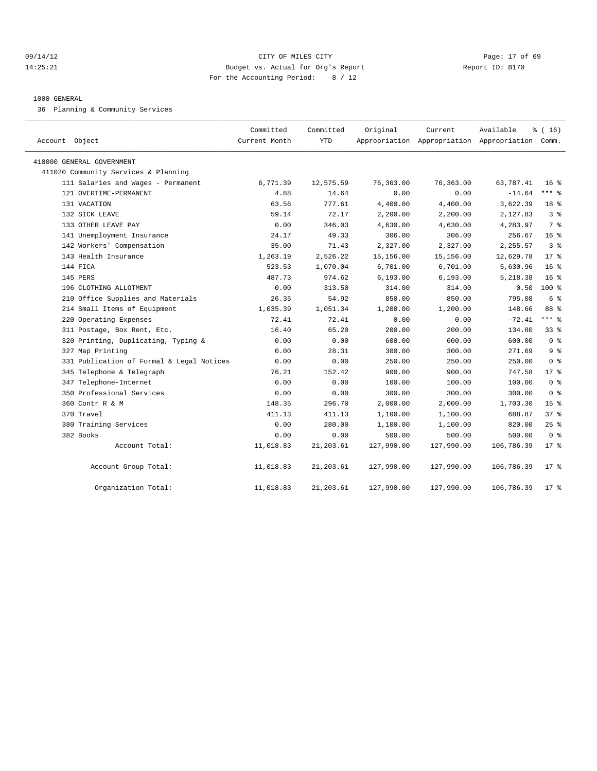#### 09/14/12 Page: 17 of 69 14:25:21 Budget vs. Actual for Org's Report Report ID: B170 For the Accounting Period: 8 / 12

#### 1000 GENERAL

36 Planning & Community Services

| Account Object                            | Committed<br>Current Month | Committed<br>YTD | Original   | Current    | Available<br>Appropriation Appropriation Appropriation Comm. | % (16)          |
|-------------------------------------------|----------------------------|------------------|------------|------------|--------------------------------------------------------------|-----------------|
| 410000 GENERAL GOVERNMENT                 |                            |                  |            |            |                                                              |                 |
| 411020 Community Services & Planning      |                            |                  |            |            |                                                              |                 |
| 111 Salaries and Wages - Permanent        | 6,771.39                   | 12,575.59        | 76,363.00  | 76,363.00  | 63,787.41                                                    | 16 <sup>8</sup> |
| 121 OVERTIME-PERMANENT                    | 4.88                       | 14.64            | 0.00       | 0.00       | $-14.64$                                                     | *** 응           |
| 131 VACATION                              | 63.56                      | 777.61           | 4,400.00   | 4,400.00   | 3,622.39                                                     | 18 <sup>8</sup> |
| 132 SICK LEAVE                            | 59.14                      | 72.17            | 2,200.00   | 2,200.00   | 2,127.83                                                     | 3%              |
| 133 OTHER LEAVE PAY                       | 0.00                       | 346.03           | 4,630.00   | 4,630.00   | 4,283.97                                                     | 7 <sup>8</sup>  |
| 141 Unemployment Insurance                | 24.17                      | 49.33            | 306.00     | 306.00     | 256.67                                                       | 16 <sup>8</sup> |
| 142 Workers' Compensation                 | 35.00                      | 71.43            | 2,327.00   | 2,327.00   | 2,255.57                                                     | 3 <sup>8</sup>  |
| 143 Health Insurance                      | 1,263.19                   | 2,526.22         | 15,156.00  | 15,156.00  | 12,629.78                                                    | $17*$           |
| 144 FICA                                  | 523.53                     | 1,070.04         | 6,701.00   | 6,701.00   | 5,630.96                                                     | $16*$           |
| 145 PERS                                  | 487.73                     | 974.62           | 6, 193.00  | 6, 193.00  | 5,218.38                                                     | 16 <sup>°</sup> |
| 196 CLOTHING ALLOTMENT                    | 0.00                       | 313.50           | 314.00     | 314.00     | 0.50                                                         | $100*$          |
| 210 Office Supplies and Materials         | 26.35                      | 54.92            | 850.00     | 850.00     | 795.08                                                       | 6 %             |
| 214 Small Items of Equipment              | 1,035.39                   | 1,051.34         | 1,200.00   | 1,200.00   | 148.66                                                       | 88 %            |
| 220 Operating Expenses                    | 72.41                      | 72.41            | 0.00       | 0.00       | $-72.41$                                                     | *** %           |
| 311 Postage, Box Rent, Etc.               | 16.40                      | 65.20            | 200.00     | 200.00     | 134.80                                                       | 33%             |
| 320 Printing, Duplicating, Typing &       | 0.00                       | 0.00             | 600.00     | 600.00     | 600.00                                                       | 0 <sup>8</sup>  |
| 327 Map Printing                          | 0.00                       | 28.31            | 300.00     | 300.00     | 271.69                                                       | 9 <sup>8</sup>  |
| 331 Publication of Formal & Legal Notices | 0.00                       | 0.00             | 250.00     | 250.00     | 250.00                                                       | 0 <sup>8</sup>  |
| 345 Telephone & Telegraph                 | 76.21                      | 152.42           | 900.00     | 900.00     | 747.58                                                       | $17*$           |
| 347 Telephone-Internet                    | 0.00                       | 0.00             | 100.00     | 100.00     | 100.00                                                       | 0 <sup>8</sup>  |
| 350 Professional Services                 | 0.00                       | 0.00             | 300.00     | 300.00     | 300.00                                                       | 0 <sup>8</sup>  |
| 360 Contr R & M                           | 148.35                     | 296.70           | 2,000.00   | 2,000.00   | 1,703.30                                                     | 15 <sup>°</sup> |
| 370 Travel                                | 411.13                     | 411.13           | 1,100.00   | 1,100.00   | 688.87                                                       | 37%             |
| 380 Training Services                     | 0.00                       | 280.00           | 1,100.00   | 1,100.00   | 820.00                                                       | 25%             |
| 382 Books                                 | 0.00                       | 0.00             | 500.00     | 500.00     | 500.00                                                       | 0 <sup>8</sup>  |
| Account Total:                            | 11,018.83                  | 21, 203.61       | 127,990.00 | 127,990.00 | 106,786.39                                                   | $17$ %          |
| Account Group Total:                      | 11,018.83                  | 21,203.61        | 127,990.00 | 127,990.00 | 106,786.39                                                   | $17$ %          |
| Organization Total:                       | 11,018.83                  | 21,203.61        | 127,990.00 | 127,990.00 | 106,786.39                                                   | 17 <sub>8</sub> |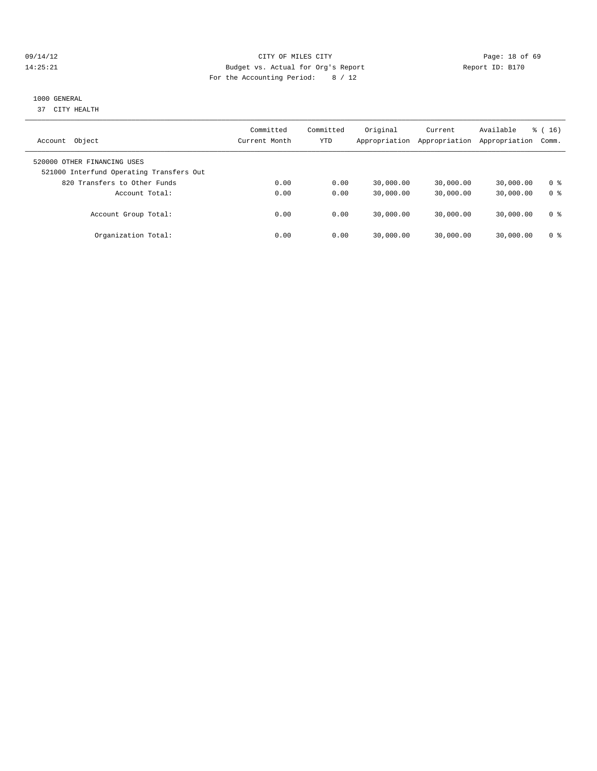#### 09/14/12 Page: 18 of 69 14:25:21 Budget vs. Actual for Org's Report Report ID: B170 For the Accounting Period: 8 / 12

#### 1000 GENERAL

37 CITY HEALTH

| Object<br>Account                                                       | Committed<br>Current Month | Committed<br>YTD | Original<br>Appropriation | Current<br>Appropriation | Available<br>Appropriation | $\frac{3}{6}$ ( 16 )<br>Comm. |
|-------------------------------------------------------------------------|----------------------------|------------------|---------------------------|--------------------------|----------------------------|-------------------------------|
| 520000 OTHER FINANCING USES<br>521000 Interfund Operating Transfers Out |                            |                  |                           |                          |                            |                               |
| 820 Transfers to Other Funds                                            | 0.00                       | 0.00             | 30,000.00                 | 30,000.00                | 30,000.00                  | 0 <sup>8</sup>                |
| Account Total:                                                          | 0.00                       | 0.00             | 30,000.00                 | 30,000.00                | 30,000.00                  | 0 <sup>8</sup>                |
| Account Group Total:                                                    | 0.00                       | 0.00             | 30,000.00                 | 30,000.00                | 30,000.00                  | 0 ક                           |
| Organization Total:                                                     | 0.00                       | 0.00             | 30,000.00                 | 30,000.00                | 30,000.00                  | 0 ક                           |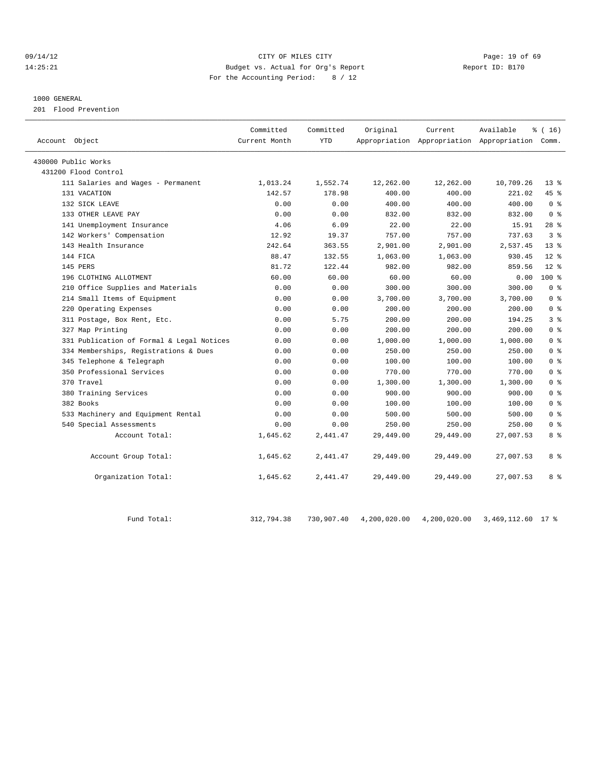#### 09/14/12 Page: 19 of 69 14:25:21 Budget vs. Actual for Org's Report Report ID: B170 For the Accounting Period: 8 / 12

#### 1000 GENERAL

201 Flood Prevention

| 430000 Public Works<br>431200 Flood Control<br>1,552.74<br>12,262.00<br>12,262.00<br>111 Salaries and Wages - Permanent<br>1,013.24<br>131 VACATION<br>142.57<br>178.98<br>400.00<br>400.00<br>0.00<br>400.00<br>400.00<br>132 SICK LEAVE<br>0.00<br>133 OTHER LEAVE PAY<br>0.00<br>0.00<br>832.00<br>832.00<br>4.06<br>22.00<br>22.00<br>141 Unemployment Insurance<br>6.09<br>757.00<br>142 Workers' Compensation<br>12.92<br>19.37<br>757.00 | 10,709.26<br>221.02<br>400.00<br>832.00<br>15.91<br>737.63<br>2.537.45 | $13*$<br>45%<br>0 <sup>8</sup><br>0 <sup>8</sup><br>$28$ $%$ |
|-------------------------------------------------------------------------------------------------------------------------------------------------------------------------------------------------------------------------------------------------------------------------------------------------------------------------------------------------------------------------------------------------------------------------------------------------|------------------------------------------------------------------------|--------------------------------------------------------------|
|                                                                                                                                                                                                                                                                                                                                                                                                                                                 |                                                                        |                                                              |
|                                                                                                                                                                                                                                                                                                                                                                                                                                                 |                                                                        |                                                              |
|                                                                                                                                                                                                                                                                                                                                                                                                                                                 |                                                                        |                                                              |
|                                                                                                                                                                                                                                                                                                                                                                                                                                                 |                                                                        |                                                              |
|                                                                                                                                                                                                                                                                                                                                                                                                                                                 |                                                                        |                                                              |
|                                                                                                                                                                                                                                                                                                                                                                                                                                                 |                                                                        |                                                              |
|                                                                                                                                                                                                                                                                                                                                                                                                                                                 |                                                                        |                                                              |
|                                                                                                                                                                                                                                                                                                                                                                                                                                                 |                                                                        | 3 <sup>8</sup>                                               |
| 143 Health Insurance<br>242.64<br>363.55<br>2,901.00<br>2,901.00                                                                                                                                                                                                                                                                                                                                                                                |                                                                        | 13 <sup>8</sup>                                              |
| 144 FICA<br>88.47<br>132.55<br>1,063.00<br>1,063.00                                                                                                                                                                                                                                                                                                                                                                                             | 930.45                                                                 | $12*$                                                        |
| 982.00<br>145 PERS<br>81.72<br>122.44<br>982.00                                                                                                                                                                                                                                                                                                                                                                                                 | 859.56                                                                 | $12*$                                                        |
| 60.00<br>60.00<br>60.00<br>60.00<br>196 CLOTHING ALLOTMENT                                                                                                                                                                                                                                                                                                                                                                                      | 0.00                                                                   | $100$ %                                                      |
| 210 Office Supplies and Materials<br>0.00<br>0.00<br>300.00<br>300.00                                                                                                                                                                                                                                                                                                                                                                           | 300.00                                                                 | 0 <sup>8</sup>                                               |
| 214 Small Items of Equipment<br>3,700.00<br>3,700.00<br>0.00<br>0.00                                                                                                                                                                                                                                                                                                                                                                            | 3,700.00                                                               | 0 <sup>8</sup>                                               |
| 220 Operating Expenses<br>0.00<br>0.00<br>200.00<br>200.00                                                                                                                                                                                                                                                                                                                                                                                      | 200.00                                                                 | 0 <sup>8</sup>                                               |
| 311 Postage, Box Rent, Etc.<br>0.00<br>5.75<br>200.00<br>200.00                                                                                                                                                                                                                                                                                                                                                                                 | 194.25                                                                 | 3 <sup>8</sup>                                               |
| 200.00<br>327 Map Printing<br>0.00<br>0.00<br>200.00                                                                                                                                                                                                                                                                                                                                                                                            | 200.00                                                                 | 0 <sup>8</sup>                                               |
| 331 Publication of Formal & Legal Notices<br>0.00<br>0.00<br>1,000.00<br>1,000.00                                                                                                                                                                                                                                                                                                                                                               | 1,000.00                                                               | 0 <sup>8</sup>                                               |
| 334 Memberships, Registrations & Dues<br>0.00<br>0.00<br>250.00<br>250.00                                                                                                                                                                                                                                                                                                                                                                       | 250.00                                                                 | 0 <sup>8</sup>                                               |
| 345 Telephone & Telegraph<br>0.00<br>0.00<br>100.00<br>100.00                                                                                                                                                                                                                                                                                                                                                                                   | 100.00                                                                 | 0 <sup>8</sup>                                               |
| 350 Professional Services<br>0.00<br>0.00<br>770.00<br>770.00                                                                                                                                                                                                                                                                                                                                                                                   | 770.00                                                                 | 0 <sup>8</sup>                                               |
| 370 Travel<br>0.00<br>0.00<br>1,300.00<br>1,300.00                                                                                                                                                                                                                                                                                                                                                                                              | 1,300.00                                                               | $0 \text{ }$ $\text{*}$                                      |
| 380 Training Services<br>0.00<br>0.00<br>900.00<br>900.00                                                                                                                                                                                                                                                                                                                                                                                       | 900.00                                                                 | 0 <sup>8</sup>                                               |
| 382 Books<br>0.00<br>0.00<br>100.00<br>100.00                                                                                                                                                                                                                                                                                                                                                                                                   | 100.00                                                                 | 0 <sup>8</sup>                                               |
| 533 Machinery and Equipment Rental<br>0.00<br>0.00<br>500.00<br>500.00                                                                                                                                                                                                                                                                                                                                                                          | 500.00                                                                 | $0 \text{ }$ $\text{*}$                                      |
| 540 Special Assessments<br>0.00<br>0.00<br>250.00<br>250.00                                                                                                                                                                                                                                                                                                                                                                                     | 250.00                                                                 | 0 <sup>8</sup>                                               |
| Account Total:<br>1,645.62<br>2,441.47<br>29,449.00<br>29,449.00                                                                                                                                                                                                                                                                                                                                                                                | 27,007.53                                                              | 8 %                                                          |
| Account Group Total:<br>1,645.62<br>2,441.47<br>29,449.00<br>29,449.00                                                                                                                                                                                                                                                                                                                                                                          | 27,007.53                                                              | 8 %                                                          |
| Organization Total:<br>1,645.62<br>2,441.47<br>29,449.00<br>29,449.00                                                                                                                                                                                                                                                                                                                                                                           | 27,007.53                                                              | 8 %                                                          |

Fund Total: 312,794.38 730,907.40 4,200,020.00 4,200,020.00 3,469,112.60 17 %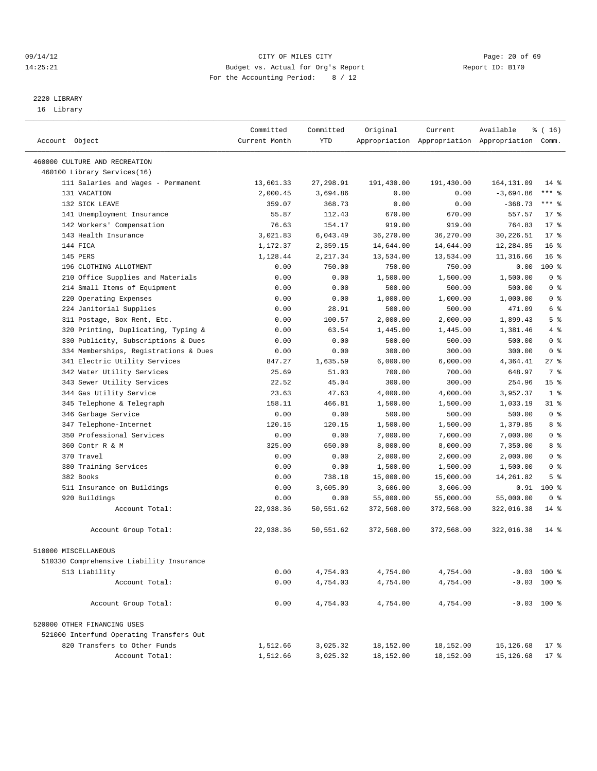#### 09/14/12 Page: 20 of 69 14:25:21 Budget vs. Actual for Org's Report Report ID: B170 For the Accounting Period: 8 / 12

————————————————————————————————————————————————————————————————————————————————————————————————————————————————————————————————————

### 2220 LIBRARY

16 Library

|                                          | Committed     | Committed | Original   | Current    | Available                                       | $\frac{1}{6}$ ( 16 ) |
|------------------------------------------|---------------|-----------|------------|------------|-------------------------------------------------|----------------------|
| Account Object                           | Current Month | YTD       |            |            | Appropriation Appropriation Appropriation Comm. |                      |
|                                          |               |           |            |            |                                                 |                      |
| 460000 CULTURE AND RECREATION            |               |           |            |            |                                                 |                      |
| 460100 Library Services(16)              |               |           |            |            |                                                 |                      |
| 111 Salaries and Wages - Permanent       | 13,601.33     | 27,298.91 | 191,430.00 | 191,430.00 | 164,131.09                                      | $14$ %               |
| 131 VACATION                             | 2,000.45      | 3,694.86  | 0.00       | 0.00       | $-3,694.86$                                     | *** 응                |
| 132 SICK LEAVE                           | 359.07        | 368.73    | 0.00       | 0.00       | $-368.73$                                       | *** 응                |
| 141 Unemployment Insurance               | 55.87         | 112.43    | 670.00     | 670.00     | 557.57                                          | $17*$                |
| 142 Workers' Compensation                | 76.63         | 154.17    | 919.00     | 919.00     | 764.83                                          | $17$ %               |
| 143 Health Insurance                     | 3,021.83      | 6,043.49  | 36,270.00  | 36,270.00  | 30,226.51                                       | $17*$                |
| 144 FICA                                 | 1,172.37      | 2,359.15  | 14,644.00  | 14,644.00  | 12,284.85                                       | 16 <sup>°</sup>      |
| 145 PERS                                 | 1,128.44      | 2,217.34  | 13,534.00  | 13,534.00  | 11,316.66                                       | 16 <sup>°</sup>      |
| 196 CLOTHING ALLOTMENT                   | 0.00          | 750.00    | 750.00     | 750.00     | 0.00                                            | $100*$               |
| 210 Office Supplies and Materials        | 0.00          | 0.00      | 1,500.00   | 1,500.00   | 1,500.00                                        | 0 <sup>8</sup>       |
| 214 Small Items of Equipment             | 0.00          | 0.00      | 500.00     | 500.00     | 500.00                                          | 0 <sup>8</sup>       |
| 220 Operating Expenses                   | 0.00          | 0.00      | 1,000.00   | 1,000.00   | 1,000.00                                        | 0 <sup>8</sup>       |
| 224 Janitorial Supplies                  | 0.00          | 28.91     | 500.00     | 500.00     | 471.09                                          | 6 %                  |
| 311 Postage, Box Rent, Etc.              | 0.00          | 100.57    | 2,000.00   | 2,000.00   | 1,899.43                                        | 5 <sup>°</sup>       |
| 320 Printing, Duplicating, Typing &      | 0.00          | 63.54     | 1,445.00   | 1,445.00   | 1,381.46                                        | 4%                   |
| 330 Publicity, Subscriptions & Dues      | 0.00          | 0.00      | 500.00     | 500.00     | 500.00                                          | 0 <sup>8</sup>       |
| 334 Memberships, Registrations & Dues    | 0.00          | 0.00      | 300.00     | 300.00     | 300.00                                          | 0 <sup>8</sup>       |
| 341 Electric Utility Services            | 847.27        | 1,635.59  | 6,000.00   | 6,000.00   | 4,364.41                                        | $27$ %               |
| 342 Water Utility Services               | 25.69         | 51.03     | 700.00     | 700.00     | 648.97                                          | 7 %                  |
| 343 Sewer Utility Services               | 22.52         | 45.04     | 300.00     | 300.00     | 254.96                                          | 15 <sup>8</sup>      |
| 344 Gas Utility Service                  | 23.63         | 47.63     | 4,000.00   | 4,000.00   | 3,952.37                                        | 1 <sup>°</sup>       |
| 345 Telephone & Telegraph                | 158.11        | 466.81    | 1,500.00   | 1,500.00   | 1,033.19                                        | $31$ %               |
| 346 Garbage Service                      | 0.00          | 0.00      | 500.00     | 500.00     | 500.00                                          | 0 <sup>8</sup>       |
| 347 Telephone-Internet                   | 120.15        | 120.15    | 1,500.00   | 1,500.00   | 1,379.85                                        | 8 %                  |
| 350 Professional Services                | 0.00          | 0.00      | 7,000.00   | 7,000.00   | 7,000.00                                        | 0 <sup>8</sup>       |
| 360 Contr R & M                          | 325.00        | 650.00    | 8,000.00   | 8,000.00   | 7,350.00                                        | 8 %                  |
| 370 Travel                               | 0.00          | 0.00      | 2,000.00   | 2,000.00   | 2,000.00                                        | 0 <sup>8</sup>       |
| 380 Training Services                    | 0.00          | 0.00      | 1,500.00   | 1,500.00   | 1,500.00                                        | 0 <sup>8</sup>       |
| 382 Books                                | 0.00          | 738.18    | 15,000.00  | 15,000.00  | 14,261.82                                       | 5 <sup>°</sup>       |
| 511 Insurance on Buildings               | 0.00          | 3,605.09  | 3,606.00   | 3,606.00   | 0.91                                            | $100*$               |
| 920 Buildings                            | 0.00          | 0.00      | 55,000.00  | 55,000.00  | 55,000.00                                       | 0 <sup>8</sup>       |
| Account Total:                           | 22,938.36     | 50,551.62 | 372,568.00 | 372,568.00 | 322,016.38                                      | $14*$                |
| Account Group Total:                     | 22,938.36     | 50,551.62 | 372,568.00 | 372,568.00 | 322,016.38                                      | $14*$                |
| 510000 MISCELLANEOUS                     |               |           |            |            |                                                 |                      |
| 510330 Comprehensive Liability Insurance |               |           |            |            |                                                 |                      |
|                                          |               |           | 4,754.00   |            |                                                 |                      |
| 513 Liability                            | 0.00          | 4,754.03  |            | 4,754.00   |                                                 | $-0.03$ 100 %        |
| Account Total:                           | 0.00          | 4,754.03  | 4,754.00   | 4,754.00   |                                                 | $-0.03$ 100 %        |
| Account Group Total:                     | 0.00          | 4,754.03  | 4,754.00   | 4,754.00   |                                                 | $-0.03$ 100 %        |
| 520000 OTHER FINANCING USES              |               |           |            |            |                                                 |                      |
| 521000 Interfund Operating Transfers Out |               |           |            |            |                                                 |                      |
| 820 Transfers to Other Funds             | 1,512.66      | 3,025.32  | 18,152.00  | 18,152.00  | 15,126.68                                       | $17$ %               |
| Account Total:                           | 1,512.66      | 3,025.32  | 18,152.00  | 18,152.00  | 15,126.68                                       | $17$ %               |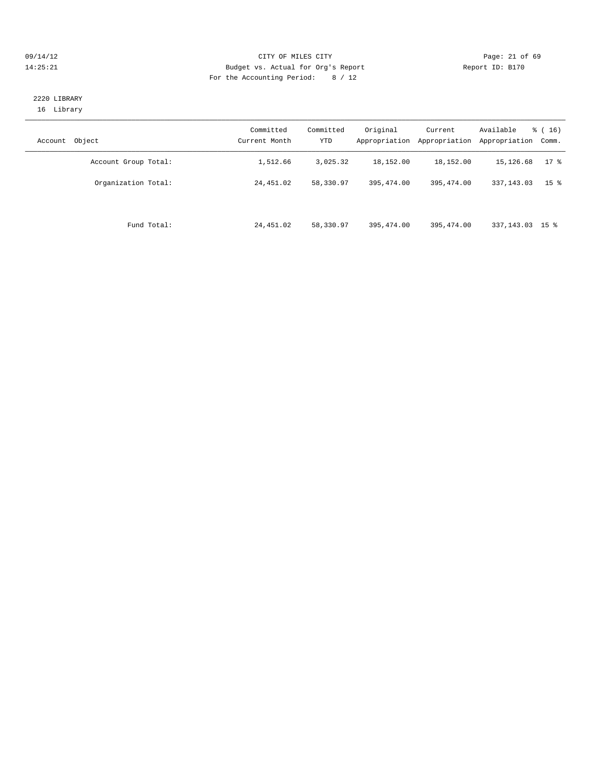#### 09/14/12 Page: 21 of 69 14:25:21 Budget vs. Actual for Org's Report Report ID: B170 For the Accounting Period: 8 / 12

#### 2220 LIBRARY 16 Library

| Object<br>Account    | Committed<br>Current Month | Committed<br><b>YTD</b> | Original<br>Appropriation | Current<br>Appropriation | Available<br>Appropriation | $\frac{3}{6}$ ( 16 )<br>Comm. |
|----------------------|----------------------------|-------------------------|---------------------------|--------------------------|----------------------------|-------------------------------|
| Account Group Total: | 1,512.66                   | 3,025.32                | 18,152.00                 | 18,152.00                | 15,126.68                  | $17*$                         |
| Organization Total:  | 24,451.02                  | 58,330.97               | 395, 474, 00              | 395, 474, 00             | 337, 143.03                | 15 <sup>8</sup>               |
| Fund Total:          | 24,451.02                  | 58,330.97               | 395,474.00                | 395,474.00               | 337, 143.03 15 %           |                               |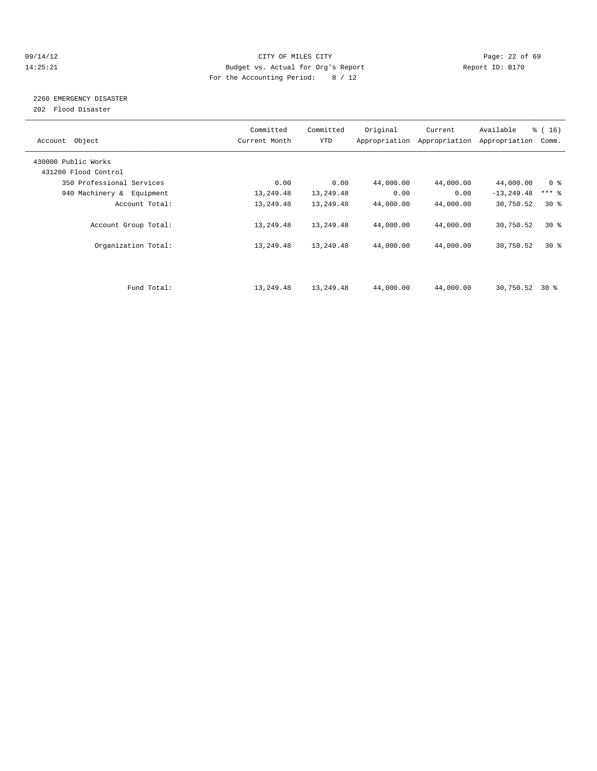#### 09/14/12 Page: 22 of 69 14:25:21 Budget vs. Actual for Org's Report Report ID: B170 For the Accounting Period: 8 / 12

# 2260 EMERGENCY DISASTER

202 Flood Disaster

| Account Object            | Committed<br>Current Month | Committed<br><b>YTD</b> | Original  | Current<br>Appropriation Appropriation | Available<br>Appropriation | $\frac{1}{6}$ ( 16 )<br>Comm. |
|---------------------------|----------------------------|-------------------------|-----------|----------------------------------------|----------------------------|-------------------------------|
| 430000 Public Works       |                            |                         |           |                                        |                            |                               |
| 431200 Flood Control      |                            |                         |           |                                        |                            |                               |
| 350 Professional Services | 0.00                       | 0.00                    | 44,000.00 | 44,000.00                              | 44,000.00                  | 0 <sup>8</sup>                |
| 940 Machinery & Equipment | 13,249.48                  | 13,249.48               | 0.00      | 0.00                                   | $-13, 249.48$              | $***$ $\frac{6}{5}$           |
| Account Total:            | 13,249.48                  | 13,249.48               | 44,000.00 | 44,000.00                              | 30,750.52                  | $30*$                         |
| Account Group Total:      | 13,249.48                  | 13,249.48               | 44,000.00 | 44,000.00                              | 30,750.52                  | $30*$                         |
| Organization Total:       | 13,249.48                  | 13,249.48               | 44,000.00 | 44,000.00                              | 30,750.52                  | $30*$                         |
|                           |                            |                         |           |                                        |                            |                               |
| Fund Total:               | 13,249.48                  | 13,249.48               | 44,000.00 | 44,000.00                              | 30,750.52                  | 30 %                          |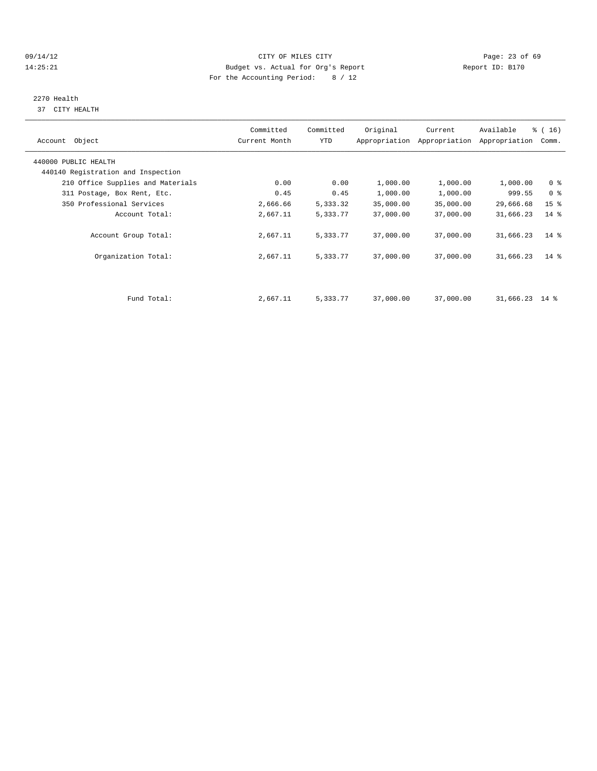#### 09/14/12 Page: 23 of 69 14:25:21 Budget vs. Actual for Org's Report Report ID: B170 For the Accounting Period: 8 / 12

# 2270 Health

37 CITY HEALTH

| Account Object                                             | Committed<br>Current Month | Committed<br>YTD | Original  | Current<br>Appropriation Appropriation | Available<br>Appropriation | % (16)<br>Comm. |  |
|------------------------------------------------------------|----------------------------|------------------|-----------|----------------------------------------|----------------------------|-----------------|--|
| 440000 PUBLIC HEALTH<br>440140 Registration and Inspection |                            |                  |           |                                        |                            |                 |  |
| 210 Office Supplies and Materials                          | 0.00                       | 0.00             | 1,000.00  | 1,000.00                               | 1,000.00                   | 0 <sup>8</sup>  |  |
| 311 Postage, Box Rent, Etc.                                | 0.45                       | 0.45             | 1,000.00  | 1,000.00                               | 999.55                     | 0 <sup>8</sup>  |  |
| 350 Professional Services                                  | 2,666.66                   | 5,333.32         | 35,000.00 | 35,000.00                              | 29,666.68                  | 15 <sup>°</sup> |  |
| Account Total:                                             | 2,667.11                   | 5,333.77         | 37,000.00 | 37,000.00                              | 31,666.23                  | $14$ %          |  |
| Account Group Total:                                       | 2,667.11                   | 5,333.77         | 37,000.00 | 37,000.00                              | 31,666.23                  | $14*$           |  |
| Organization Total:                                        | 2,667.11                   | 5,333.77         | 37,000.00 | 37,000.00                              | 31,666.23                  | $14*$           |  |
|                                                            |                            |                  |           |                                        |                            |                 |  |
| Fund Total:                                                | 2,667.11                   | 5,333.77         | 37,000.00 | 37,000.00                              | 31,666.23 14 %             |                 |  |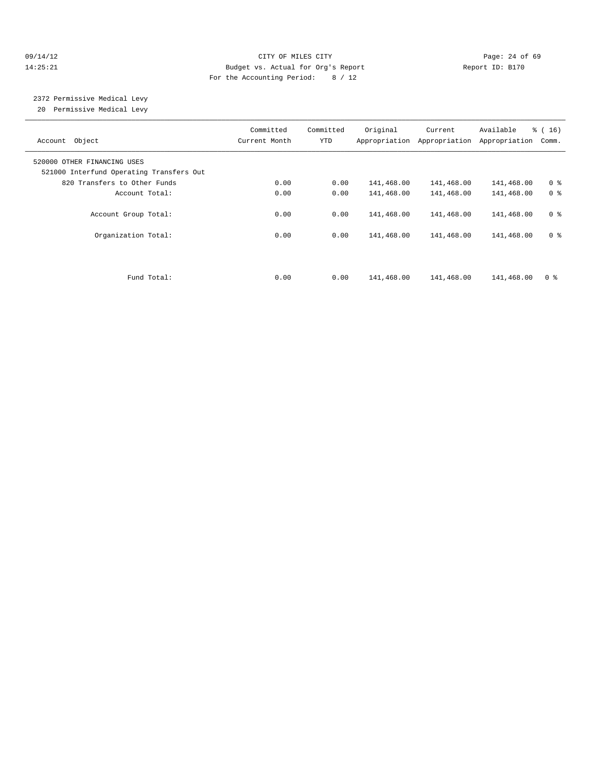#### 09/14/12 Page: 24 of 69 14:25:21 Budget vs. Actual for Org's Report Report ID: B170 For the Accounting Period: 8 / 12

# 2372 Permissive Medical Levy

20 Permissive Medical Levy

| Account Object                                                          | Committed<br>Current Month | Committed<br>YTD | Original   | Current<br>Appropriation Appropriation | Available<br>Appropriation | $\frac{3}{6}$ ( 16 )<br>Comm. |
|-------------------------------------------------------------------------|----------------------------|------------------|------------|----------------------------------------|----------------------------|-------------------------------|
| 520000 OTHER FINANCING USES<br>521000 Interfund Operating Transfers Out |                            |                  |            |                                        |                            |                               |
| 820 Transfers to Other Funds                                            | 0.00                       | 0.00             | 141,468.00 | 141,468.00                             | 141,468.00                 | 0 <sup>8</sup>                |
| Account Total:                                                          | 0.00                       | 0.00             | 141,468.00 | 141,468.00                             | 141,468.00                 | 0 <sup>8</sup>                |
| Account Group Total:                                                    | 0.00                       | 0.00             | 141,468.00 | 141,468.00                             | 141,468.00                 | 0 <sup>8</sup>                |
| Organization Total:                                                     | 0.00                       | 0.00             | 141,468.00 | 141,468.00                             | 141,468.00                 | 0 <sup>8</sup>                |
|                                                                         |                            |                  |            |                                        |                            |                               |
| Fund Total:                                                             | 0.00                       | 0.00             | 141,468.00 | 141,468.00                             | 141,468.00                 | 0 <sup>8</sup>                |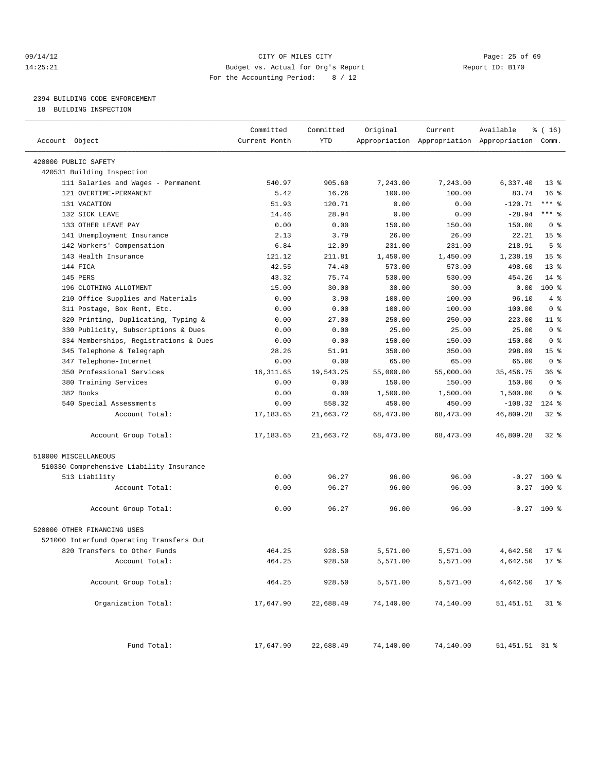#### 09/14/12 Page: 25 of 69 14:25:21 Budget vs. Actual for Org's Report Report ID: B170 For the Accounting Period: 8 / 12

————————————————————————————————————————————————————————————————————————————————————————————————————————————————————————————————————

### 2394 BUILDING CODE ENFORCEMENT

18 BUILDING INSPECTION

|                                          | Committed     | Committed | Original  | Current                                         | Available        | % (16)          |
|------------------------------------------|---------------|-----------|-----------|-------------------------------------------------|------------------|-----------------|
| Account Object                           | Current Month | YTD       |           | Appropriation Appropriation Appropriation Comm. |                  |                 |
| 420000 PUBLIC SAFETY                     |               |           |           |                                                 |                  |                 |
| 420531 Building Inspection               |               |           |           |                                                 |                  |                 |
| 111 Salaries and Wages - Permanent       | 540.97        | 905.60    | 7,243.00  | 7,243.00                                        | 6,337.40         | $13*$           |
| 121 OVERTIME-PERMANENT                   | 5.42          | 16.26     | 100.00    | 100.00                                          | 83.74            | 16 <sup>8</sup> |
| 131 VACATION                             | 51.93         | 120.71    | 0.00      | 0.00                                            | $-120.71$        | $***$ $-$       |
| 132 SICK LEAVE                           | 14.46         | 28.94     | 0.00      | 0.00                                            | $-28.94$         | $***$ $-$       |
| 133 OTHER LEAVE PAY                      | 0.00          | 0.00      | 150.00    | 150.00                                          | 150.00           | 0 <sup>8</sup>  |
| 141 Unemployment Insurance               | 2.13          | 3.79      | 26.00     | 26.00                                           | 22.21            | 15 <sup>°</sup> |
| 142 Workers' Compensation                | 6.84          | 12.09     | 231.00    | 231.00                                          | 218.91           | 5 <sup>°</sup>  |
| 143 Health Insurance                     | 121.12        | 211.81    | 1,450.00  | 1,450.00                                        | 1,238.19         | 15 <sup>°</sup> |
| 144 FICA                                 | 42.55         | 74.40     | 573.00    | 573.00                                          | 498.60           | $13*$           |
| 145 PERS                                 | 43.32         | 75.74     | 530.00    | 530.00                                          | 454.26           | $14$ %          |
| 196 CLOTHING ALLOTMENT                   | 15.00         | 30.00     | 30.00     | 30.00                                           | 0.00             | $100*$          |
| 210 Office Supplies and Materials        | 0.00          | 3.90      | 100.00    | 100.00                                          | 96.10            | 4%              |
| 311 Postage, Box Rent, Etc.              | 0.00          | 0.00      | 100.00    | 100.00                                          | 100.00           | 0 <sup>8</sup>  |
| 320 Printing, Duplicating, Typing &      | 0.00          | 27.00     | 250.00    | 250.00                                          | 223.00           | $11$ %          |
| 330 Publicity, Subscriptions & Dues      | 0.00          | 0.00      | 25.00     | 25.00                                           | 25.00            | 0 <sup>8</sup>  |
| 334 Memberships, Registrations & Dues    | 0.00          | 0.00      | 150.00    | 150.00                                          | 150.00           | 0 <sup>8</sup>  |
| 345 Telephone & Telegraph                | 28.26         | 51.91     | 350.00    | 350.00                                          | 298.09           | 15 <sup>8</sup> |
| 347 Telephone-Internet                   | 0.00          | 0.00      | 65.00     | 65.00                                           | 65.00            | 0 <sup>8</sup>  |
| 350 Professional Services                | 16, 311.65    | 19,543.25 | 55,000.00 | 55,000.00                                       | 35, 456. 75      | 36%             |
| 380 Training Services                    | 0.00          | 0.00      | 150.00    | 150.00                                          | 150.00           | 0 <sup>8</sup>  |
| 382 Books                                | 0.00          | 0.00      | 1,500.00  | 1,500.00                                        | 1,500.00         | 0 <sup>8</sup>  |
| 540 Special Assessments                  | 0.00          | 558.32    | 450.00    | 450.00                                          | $-108.32$        | $124$ %         |
| Account Total:                           | 17, 183.65    | 21,663.72 | 68,473.00 | 68,473.00                                       | 46,809.28        | $32$ $%$        |
| Account Group Total:                     | 17,183.65     | 21,663.72 | 68,473.00 | 68,473.00                                       | 46,809.28        | $32$ $%$        |
| 510000 MISCELLANEOUS                     |               |           |           |                                                 |                  |                 |
| 510330 Comprehensive Liability Insurance |               |           |           |                                                 |                  |                 |
| 513 Liability                            | 0.00          | 96.27     | 96.00     | 96.00                                           |                  | $-0.27$ 100 %   |
| Account Total:                           | 0.00          | 96.27     | 96.00     | 96.00                                           | $-0.27$          | $100*$          |
| Account Group Total:                     | 0.00          | 96.27     | 96.00     | 96.00                                           |                  | $-0.27$ 100 %   |
| 520000 OTHER FINANCING USES              |               |           |           |                                                 |                  |                 |
| 521000 Interfund Operating Transfers Out |               |           |           |                                                 |                  |                 |
| 820 Transfers to Other Funds             | 464.25        | 928.50    | 5,571.00  | 5,571.00                                        | 4,642.50         | $17$ %          |
| Account Total:                           | 464.25        | 928.50    | 5,571.00  | 5,571.00                                        | 4,642.50 17 %    |                 |
| Account Group Total:                     | 464.25        | 928.50    | 5,571.00  | 5,571.00                                        | 4,642.50         | $17*$           |
| Organization Total:                      | 17,647.90     | 22,688.49 | 74,140.00 | 74,140.00                                       | 51,451.51        | $31*$           |
| Fund Total:                              | 17,647.90     | 22,688.49 | 74,140.00 | 74,140.00                                       | 51, 451. 51 31 % |                 |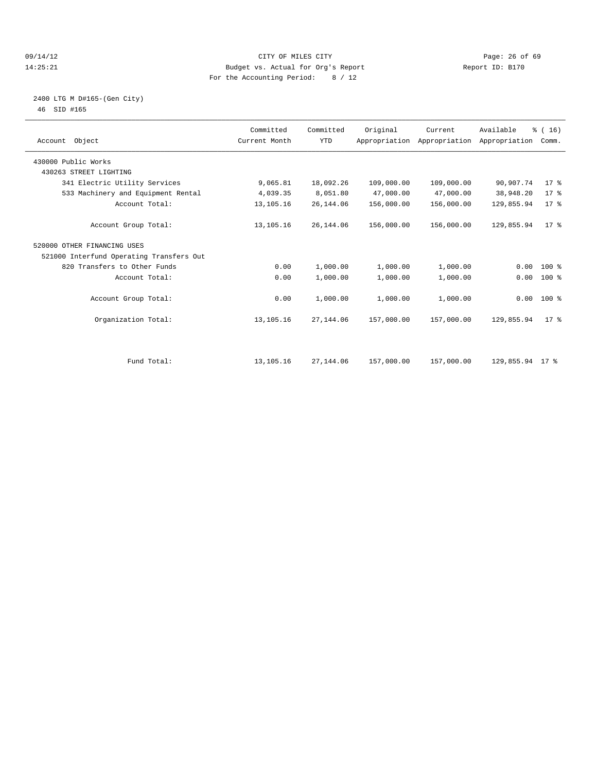#### 09/14/12 Page: 26 of 69 14:25:21 Budget vs. Actual for Org's Report Report ID: B170 For the Accounting Period: 8 / 12

#### 2400 LTG M D#165-(Gen City) 46 SID #165

| Account Object                           | Committed<br>Current Month | Committed<br><b>YTD</b> | Original   | Current<br>Appropriation Appropriation Appropriation | Available       | % (16)<br>Comm. |  |
|------------------------------------------|----------------------------|-------------------------|------------|------------------------------------------------------|-----------------|-----------------|--|
| 430000 Public Works                      |                            |                         |            |                                                      |                 |                 |  |
| 430263 STREET LIGHTING                   |                            |                         |            |                                                      |                 |                 |  |
| 341 Electric Utility Services            | 9,065.81                   | 18,092.26               | 109,000.00 | 109,000.00                                           | 90,907.74       | $17*$           |  |
| 533 Machinery and Equipment Rental       | 4,039.35                   | 8,051.80                | 47,000.00  | 47,000.00                                            | 38,948.20       | 17.8            |  |
| Account Total:                           | 13,105.16                  | 26, 144.06              | 156,000.00 | 156,000.00                                           | 129,855.94      | 17.8            |  |
| Account Group Total:                     | 13,105.16                  | 26, 144.06              | 156,000.00 | 156,000.00                                           | 129,855.94      | 17 <sup>8</sup> |  |
| 520000 OTHER FINANCING USES              |                            |                         |            |                                                      |                 |                 |  |
| 521000 Interfund Operating Transfers Out |                            |                         |            |                                                      |                 |                 |  |
| 820 Transfers to Other Funds             | 0.00                       | 1,000.00                | 1,000.00   | 1,000.00                                             | 0.00            | 100 %           |  |
| Account Total:                           | 0.00                       | 1,000.00                | 1,000.00   | 1,000.00                                             | 0.00            | 100 %           |  |
| Account Group Total:                     | 0.00                       | 1,000.00                | 1,000.00   | 1,000.00                                             |                 | $0.00$ 100 %    |  |
| Organization Total:                      | 13,105.16                  | 27,144.06               | 157,000.00 | 157,000.00                                           | 129,855.94      | 17 <sup>8</sup> |  |
|                                          |                            |                         |            |                                                      |                 |                 |  |
| Fund Total:                              | 13,105.16                  | 27,144.06               | 157,000.00 | 157,000.00                                           | 129,855.94 17 % |                 |  |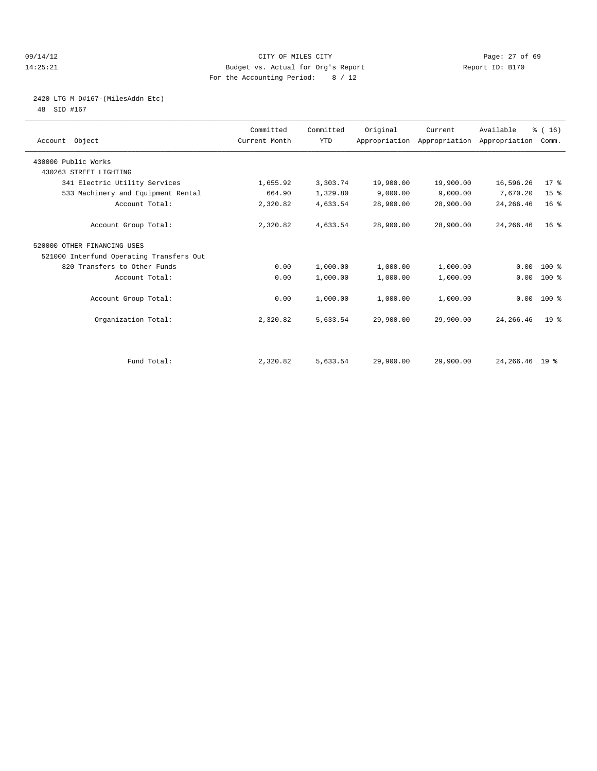#### 09/14/12 Page: 27 of 69 14:25:21 Budget vs. Actual for Org's Report Report ID: B170 For the Accounting Period: 8 / 12

### 2420 LTG M D#167-(MilesAddn Etc)

48 SID #167

| Account Object                           | Committed<br>Current Month | Committed<br><b>YTD</b> | Original  | Current<br>Appropriation Appropriation Appropriation | Available        | % (16)<br>Comm. |  |
|------------------------------------------|----------------------------|-------------------------|-----------|------------------------------------------------------|------------------|-----------------|--|
| 430000 Public Works                      |                            |                         |           |                                                      |                  |                 |  |
| 430263 STREET LIGHTING                   |                            |                         |           |                                                      |                  |                 |  |
| 341 Electric Utility Services            | 1,655.92                   | 3,303.74                | 19,900.00 | 19,900.00                                            | 16,596.26        | 17.8            |  |
| 533 Machinery and Equipment Rental       | 664.90                     | 1,329.80                | 9,000.00  | 9,000.00                                             | 7,670.20         | 15 <sup>°</sup> |  |
| Account Total:                           | 2,320.82                   | 4,633.54                | 28,900.00 | 28,900.00                                            | 24, 266.46       | 16 <sup>°</sup> |  |
| Account Group Total:                     | 2,320.82                   | 4,633.54                | 28,900.00 | 28,900.00                                            | 24, 266.46       | 16 <sup>8</sup> |  |
| 520000 OTHER FINANCING USES              |                            |                         |           |                                                      |                  |                 |  |
| 521000 Interfund Operating Transfers Out |                            |                         |           |                                                      |                  |                 |  |
| 820 Transfers to Other Funds             | 0.00                       | 1,000.00                | 1,000.00  | 1,000.00                                             | 0.00             | $100*$          |  |
| Account Total:                           | 0.00                       | 1,000.00                | 1,000.00  | 1,000.00                                             | 0.00             | 100 %           |  |
| Account Group Total:                     | 0.00                       | 1,000.00                | 1,000.00  | 1,000.00                                             |                  | $0.00$ 100 %    |  |
| Organization Total:                      | 2,320.82                   | 5,633.54                | 29,900.00 | 29,900.00                                            | 24, 266. 46      | 19 <sup>°</sup> |  |
|                                          |                            |                         |           |                                                      |                  |                 |  |
| Fund Total:                              | 2,320.82                   | 5,633.54                | 29,900.00 | 29,900.00                                            | 24, 266. 46 19 % |                 |  |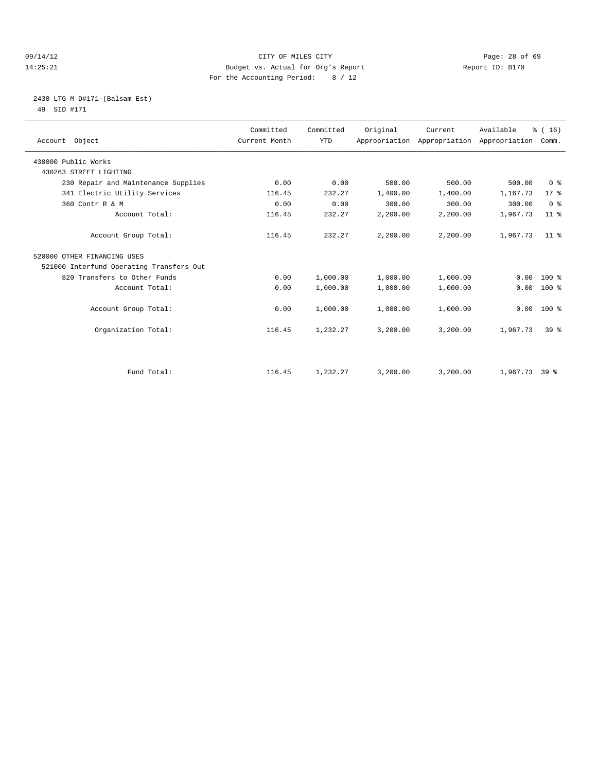#### 09/14/12 Page: 28 of 69 14:25:21 Budget vs. Actual for Org's Report Report ID: B170 For the Accounting Period: 8 / 12

#### 2430 LTG M D#171-(Balsam Est) 49 SID #171

| Account Object                           | Committed<br>Current Month | Committed<br><b>YTD</b> | Original | Current<br>Appropriation Appropriation Appropriation | Available       | % (16)<br>Comm. |
|------------------------------------------|----------------------------|-------------------------|----------|------------------------------------------------------|-----------------|-----------------|
| 430000 Public Works                      |                            |                         |          |                                                      |                 |                 |
| 430263 STREET LIGHTING                   |                            |                         |          |                                                      |                 |                 |
| 230 Repair and Maintenance Supplies      | 0.00                       | 0.00                    | 500.00   | 500.00                                               | 500.00          | 0 <sup>8</sup>  |
| 341 Electric Utility Services            | 116.45                     | 232.27                  | 1,400.00 | 1,400.00                                             | 1,167.73        | $17*$           |
| 360 Contr R & M                          | 0.00                       | 0.00                    | 300.00   | 300.00                                               | 300.00          | 0 <sup>8</sup>  |
| Account Total:                           | 116.45                     | 232.27                  | 2,200.00 | 2,200.00                                             | 1,967.73        | 11 <sup>8</sup> |
| Account Group Total:                     | 116.45                     | 232.27                  | 2,200.00 | 2,200.00                                             | 1,967.73        | 11 <sup>8</sup> |
| 520000 OTHER FINANCING USES              |                            |                         |          |                                                      |                 |                 |
| 521000 Interfund Operating Transfers Out |                            |                         |          |                                                      |                 |                 |
| 820 Transfers to Other Funds             | 0.00                       | 1,000.00                | 1,000.00 | 1,000.00                                             | 0.00            | $100*$          |
| Account Total:                           | 0.00                       | 1,000.00                | 1,000.00 | 1,000.00                                             | 0.00            | 100 %           |
| Account Group Total:                     | 0.00                       | 1,000.00                | 1,000.00 | 1,000.00                                             | 0.00            | 100 %           |
| Organization Total:                      | 116.45                     | 1,232.27                | 3,200.00 | 3,200.00                                             | 1,967.73        | 39 <sup>8</sup> |
|                                          |                            |                         |          |                                                      |                 |                 |
| Fund Total:                              | 116.45                     | 1,232.27                | 3,200.00 | 3,200.00                                             | $1,967.73$ 39 % |                 |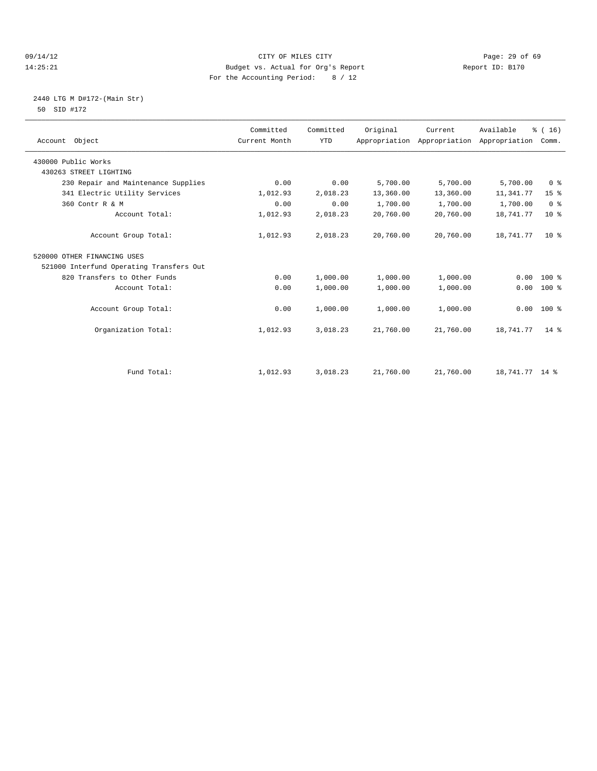#### 09/14/12 Page: 29 of 69 14:25:21 Budget vs. Actual for Org's Report Report ID: B170 For the Accounting Period: 8 / 12

#### 2440 LTG M D#172-(Main Str) 50 SID #172

| Account Object                           | Committed<br>Current Month | Committed<br><b>YTD</b> | Original  | Current<br>Appropriation Appropriation | Available<br>Appropriation | % (16)<br>Comm. |
|------------------------------------------|----------------------------|-------------------------|-----------|----------------------------------------|----------------------------|-----------------|
| 430000 Public Works                      |                            |                         |           |                                        |                            |                 |
| 430263 STREET LIGHTING                   |                            |                         |           |                                        |                            |                 |
| 230 Repair and Maintenance Supplies      | 0.00                       | 0.00                    | 5,700.00  | 5,700.00                               | 5,700.00                   | 0 <sup>8</sup>  |
| 341 Electric Utility Services            | 1,012.93                   | 2,018.23                | 13,360.00 | 13,360.00                              | 11,341.77                  | 15 <sup>°</sup> |
| 360 Contr R & M                          | 0.00                       | 0.00                    | 1,700.00  | 1,700.00                               | 1,700.00                   | 0 <sup>8</sup>  |
| Account Total:                           | 1,012.93                   | 2,018.23                | 20,760.00 | 20,760.00                              | 18,741.77                  | $10*$           |
| Account Group Total:                     | 1,012.93                   | 2,018.23                | 20,760.00 | 20,760.00                              | 18,741.77                  | 10 <sup>8</sup> |
| 520000 OTHER FINANCING USES              |                            |                         |           |                                        |                            |                 |
| 521000 Interfund Operating Transfers Out |                            |                         |           |                                        |                            |                 |
| 820 Transfers to Other Funds             | 0.00                       | 1,000.00                | 1,000.00  | 1,000.00                               | 0.00                       | $100*$          |
| Account Total:                           | 0.00                       | 1,000.00                | 1,000.00  | 1,000.00                               | 0.00                       | $100*$          |
| Account Group Total:                     | 0.00                       | 1,000.00                | 1,000.00  | 1,000.00                               | 0.00                       | $100*$          |
| Organization Total:                      | 1,012.93                   | 3,018.23                | 21,760.00 | 21,760.00                              | 18,741.77                  | $14*$           |
|                                          |                            |                         |           |                                        |                            |                 |
| Fund Total:                              | 1,012.93                   | 3,018.23                | 21,760.00 | 21,760.00                              | 18,741.77 14 %             |                 |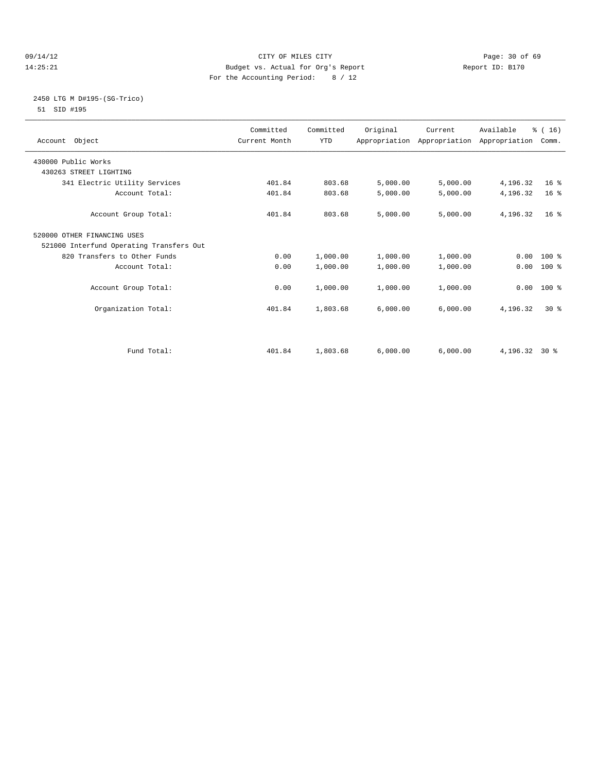#### 09/14/12 Page: 30 of 69 14:25:21 Budget vs. Actual for Org's Report Report ID: B170 For the Accounting Period: 8 / 12

#### 2450 LTG M D#195-(SG-Trico) 51 SID #195

| Account Object                           | Committed<br>Current Month | Committed<br><b>YTD</b> | Original | Current<br>Appropriation Appropriation Appropriation | Available       | % (16)<br>Comm. |  |
|------------------------------------------|----------------------------|-------------------------|----------|------------------------------------------------------|-----------------|-----------------|--|
| 430000 Public Works                      |                            |                         |          |                                                      |                 |                 |  |
| 430263 STREET LIGHTING                   |                            |                         |          |                                                      |                 |                 |  |
| 341 Electric Utility Services            | 401.84                     | 803.68                  | 5,000.00 | 5,000.00                                             | 4,196.32        | 16 <sup>°</sup> |  |
| Account Total:                           | 401.84                     | 803.68                  | 5,000.00 | 5,000.00                                             | 4,196.32        | 16 <sup>°</sup> |  |
| Account Group Total:                     | 401.84                     | 803.68                  | 5,000.00 | 5,000.00                                             | 4,196.32        | 16 <sup>8</sup> |  |
| 520000 OTHER FINANCING USES              |                            |                         |          |                                                      |                 |                 |  |
| 521000 Interfund Operating Transfers Out |                            |                         |          |                                                      |                 |                 |  |
| 820 Transfers to Other Funds             | 0.00                       | 1,000.00                | 1,000.00 | 1,000.00                                             |                 | $0.00 100$ %    |  |
| Account Total:                           | 0.00                       | 1,000.00                | 1,000.00 | 1,000.00                                             | 0.00            | 100 %           |  |
| Account Group Total:                     | 0.00                       | 1,000.00                | 1,000.00 | 1,000.00                                             | 0.00            | 100 %           |  |
| Organization Total:                      | 401.84                     | 1,803.68                | 6,000.00 | 6,000.00                                             | 4,196.32        | $30*$           |  |
| Fund Total:                              | 401.84                     | 1,803.68                | 6,000.00 | 6,000.00                                             | 4, 196. 32 30 % |                 |  |
|                                          |                            |                         |          |                                                      |                 |                 |  |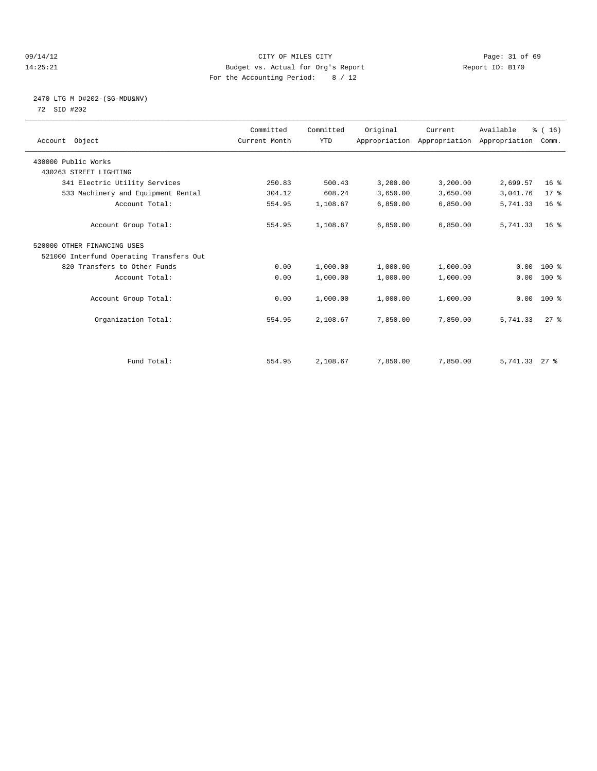#### 09/14/12 Page: 31 of 69 14:25:21 Budget vs. Actual for Org's Report Report ID: B170 For the Accounting Period: 8 / 12

#### 2470 LTG M D#202-(SG-MDU&NV) 72 SID #202

| Account Object                           | Committed<br>Current Month | Committed<br><b>YTD</b> | Original | Current<br>Appropriation Appropriation Appropriation | Available       | % (16)<br>Comm. |  |
|------------------------------------------|----------------------------|-------------------------|----------|------------------------------------------------------|-----------------|-----------------|--|
| 430000 Public Works                      |                            |                         |          |                                                      |                 |                 |  |
| 430263 STREET LIGHTING                   |                            |                         |          |                                                      |                 |                 |  |
| 341 Electric Utility Services            | 250.83                     | 500.43                  | 3,200.00 | 3,200.00                                             | 2,699.57        | 16 <sup>8</sup> |  |
| 533 Machinery and Equipment Rental       | 304.12                     | 608.24                  | 3,650.00 | 3,650.00                                             | 3,041.76        | 17.8            |  |
| Account Total:                           | 554.95                     | 1,108.67                | 6,850.00 | 6,850.00                                             | 5,741.33        | 16 <sup>°</sup> |  |
| Account Group Total:                     | 554.95                     | 1,108.67                | 6,850.00 | 6,850.00                                             | 5,741.33        | 16 <sup>8</sup> |  |
| 520000 OTHER FINANCING USES              |                            |                         |          |                                                      |                 |                 |  |
| 521000 Interfund Operating Transfers Out |                            |                         |          |                                                      |                 |                 |  |
| 820 Transfers to Other Funds             | 0.00                       | 1,000.00                | 1,000.00 | 1,000.00                                             | 0.00            | $100*$          |  |
| Account Total:                           | 0.00                       | 1,000.00                | 1,000.00 | 1,000.00                                             | 0.00            | $100*$          |  |
| Account Group Total:                     | 0.00                       | 1,000.00                | 1,000.00 | 1,000.00                                             |                 | $0.00$ 100 %    |  |
| Organization Total:                      | 554.95                     | 2,108.67                | 7,850.00 | 7,850.00                                             | 5,741.33        | $27$ $%$        |  |
|                                          |                            |                         |          |                                                      |                 |                 |  |
| Fund Total:                              | 554.95                     | 2,108.67                | 7,850.00 | 7,850.00                                             | $5,741.33$ 27 % |                 |  |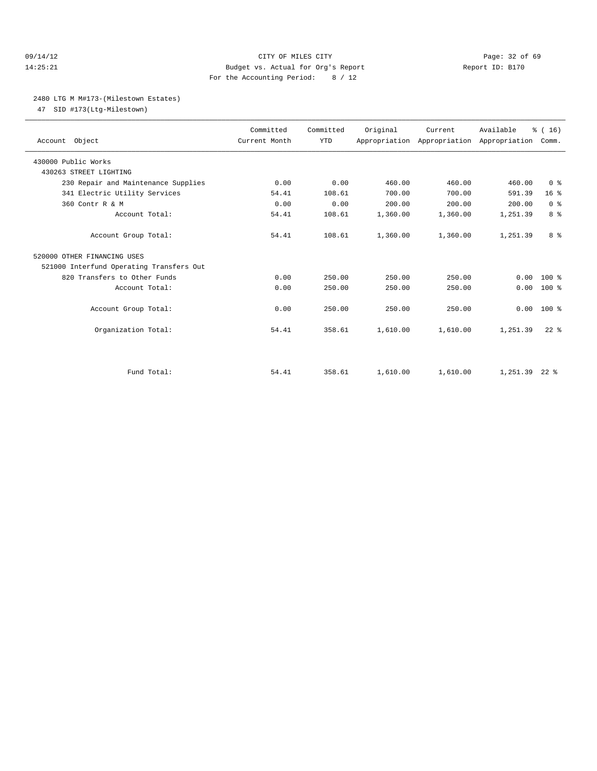#### 09/14/12 Page: 32 of 69 14:25:21 Budget vs. Actual for Org's Report Report ID: B170 For the Accounting Period: 8 / 12

#### 2480 LTG M M#173-(Milestown Estates)

47 SID #173(Ltg-Milestown)

| Account Object                           | Committed<br>Current Month | Committed<br><b>YTD</b> | Original | Current<br>Appropriation Appropriation Appropriation | Available       | $\frac{1}{6}$ ( 16 )<br>Comm. |
|------------------------------------------|----------------------------|-------------------------|----------|------------------------------------------------------|-----------------|-------------------------------|
| 430000 Public Works                      |                            |                         |          |                                                      |                 |                               |
| 430263 STREET LIGHTING                   |                            |                         |          |                                                      |                 |                               |
| 230 Repair and Maintenance Supplies      | 0.00                       | 0.00                    | 460.00   | 460.00                                               | 460.00          | 0 <sup>8</sup>                |
| 341 Electric Utility Services            | 54.41                      | 108.61                  | 700.00   | 700.00                                               | 591.39          | 16 <sup>8</sup>               |
| 360 Contr R & M                          | 0.00                       | 0.00                    | 200.00   | 200.00                                               | 200.00          | 0 <sup>8</sup>                |
| Account Total:                           | 54.41                      | 108.61                  | 1,360.00 | 1,360.00                                             | 1,251.39        | 8 %                           |
| Account Group Total:                     | 54.41                      | 108.61                  | 1,360.00 | 1,360.00                                             | 1,251.39        | 8 %                           |
| 520000 OTHER FINANCING USES              |                            |                         |          |                                                      |                 |                               |
| 521000 Interfund Operating Transfers Out |                            |                         |          |                                                      |                 |                               |
| 820 Transfers to Other Funds             | 0.00                       | 250.00                  | 250.00   | 250.00                                               | 0.00            | $100*$                        |
| Account Total:                           | 0.00                       | 250.00                  | 250.00   | 250.00                                               | 0.00            | $100*$                        |
| Account Group Total:                     | 0.00                       | 250.00                  | 250.00   | 250.00                                               | 0.00            | $100*$                        |
| Organization Total:                      | 54.41                      | 358.61                  | 1,610.00 | 1,610.00                                             | 1,251.39        | $22$ $%$                      |
|                                          |                            |                         |          |                                                      |                 |                               |
| Fund Total:                              | 54.41                      | 358.61                  | 1,610.00 | 1,610.00                                             | $1.251.39$ 22 % |                               |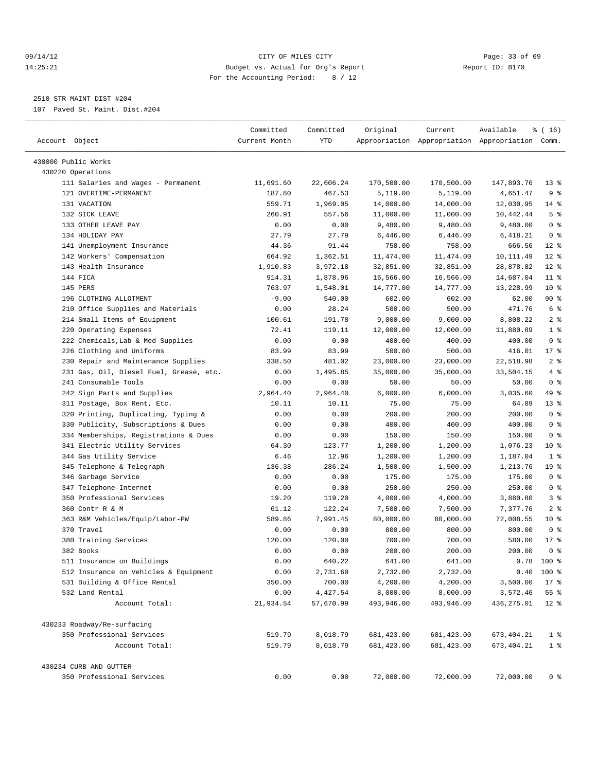#### 09/14/12 Page: 33 of 69 14:25:21 Budget vs. Actual for Org's Report Report ID: B170 For the Accounting Period: 8 / 12

————————————————————————————————————————————————————————————————————————————————————————————————————————————————————————————————————

### 2510 STR MAINT DIST #204

107 Paved St. Maint. Dist.#204

| Account Object                                                        | Committed<br>Current Month | Committed<br>YTD      | Original               | Current                | Available<br>Appropriation Appropriation Appropriation Comm. | % ( 16)         |
|-----------------------------------------------------------------------|----------------------------|-----------------------|------------------------|------------------------|--------------------------------------------------------------|-----------------|
| 430000 Public Works                                                   |                            |                       |                        |                        |                                                              |                 |
| 430220 Operations                                                     |                            |                       |                        |                        |                                                              |                 |
| 111 Salaries and Wages - Permanent                                    | 11,691.60                  | 22,606.24             | 170,500.00             | 170,500.00             | 147,893.76                                                   | 13 <sub>8</sub> |
| 121 OVERTIME-PERMANENT                                                | 187.80                     | 467.53                | 5,119.00               | 5,119.00               | 4,651.47                                                     | 9%              |
| 131 VACATION                                                          | 559.71                     | 1,969.05              | 14,000.00              | 14,000.00              | 12,030.95                                                    | $14$ %          |
| 132 SICK LEAVE                                                        | 260.91                     | 557.56                | 11,000.00              | 11,000.00              | 10,442.44                                                    | 5 <sup>°</sup>  |
| 133 OTHER LEAVE PAY                                                   | 0.00                       | 0.00                  | 9,480.00               | 9,480.00               | 9,480.00                                                     | 0 <sup>8</sup>  |
| 134 HOLIDAY PAY                                                       | 27.79                      | 27.79                 | 6,446.00               | 6,446.00               | 6,418.21                                                     | 0 <sup>8</sup>  |
| 141 Unemployment Insurance                                            | 44.36                      | 91.44                 | 758.00                 | 758.00                 | 666.56                                                       | $12*$           |
| 142 Workers' Compensation                                             | 664.92                     | 1,362.51              | 11,474.00              | 11,474.00              | 10, 111.49                                                   | $12*$           |
| 143 Health Insurance                                                  | 1,910.83                   | 3,972.18              | 32,851.00              | 32,851.00              | 28,878.82                                                    | $12*$           |
| 144 FICA                                                              | 914.31                     | 1,878.96              | 16,566.00              | 16,566.00              | 14,687.04                                                    | $11$ %          |
| 145 PERS                                                              | 763.97                     | 1,548.01              | 14,777.00              | 14,777.00              | 13,228.99                                                    | $10*$           |
| 196 CLOTHING ALLOTMENT                                                | $-9.00$                    | 540.00                | 602.00                 | 602.00                 | 62.00                                                        | 90%             |
| 210 Office Supplies and Materials                                     | 0.00                       | 28.24                 | 500.00                 | 500.00                 | 471.76                                                       | 6 %             |
| 214 Small Items of Equipment                                          | 100.61                     | 191.78                | 9,000.00               | 9,000.00               | 8,808.22                                                     | 2 <sup>°</sup>  |
| 220 Operating Expenses                                                | 72.41                      | 119.11                | 12,000.00              | 12,000.00              | 11,880.89                                                    | 1 <sup>°</sup>  |
| 222 Chemicals, Lab & Med Supplies                                     | 0.00                       | 0.00                  | 400.00                 | 400.00                 | 400.00                                                       | 0 <sup>8</sup>  |
| 226 Clothing and Uniforms                                             | 83.99                      | 83.99                 | 500.00                 | 500.00                 | 416.01                                                       | $17$ %          |
| 230 Repair and Maintenance Supplies                                   | 338.50                     | 481.02                | 23,000.00              | 23,000.00              | 22,518.98                                                    | 2 <sub>8</sub>  |
| 231 Gas, Oil, Diesel Fuel, Grease, etc.                               | 0.00                       | 1,495.85              | 35,000.00              | 35,000.00              | 33,504.15                                                    | 4%              |
| 241 Consumable Tools                                                  | 0.00                       | 0.00                  | 50.00                  | 50.00                  | 50.00                                                        | 0 <sup>8</sup>  |
| 242 Sign Parts and Supplies                                           | 2,964.40                   | 2,964.40              | 6,000.00               | 6,000.00               | 3,035.60                                                     | 49 %            |
| 311 Postage, Box Rent, Etc.                                           | 10.11                      | 10.11                 | 75.00                  | 75.00                  | 64.89                                                        | 13 <sup>°</sup> |
| 320 Printing, Duplicating, Typing &                                   | 0.00                       | 0.00                  | 200.00                 | 200.00                 | 200.00                                                       | 0 <sup>8</sup>  |
| 330 Publicity, Subscriptions & Dues                                   | 0.00                       | 0.00                  | 400.00                 | 400.00                 | 400.00                                                       | 0 <sup>8</sup>  |
| 334 Memberships, Registrations & Dues                                 | 0.00                       | 0.00                  | 150.00                 | 150.00                 | 150.00                                                       | 0 <sup>8</sup>  |
| 341 Electric Utility Services                                         | 64.30                      | 123.77                | 1,200.00               | 1,200.00               | 1,076.23                                                     | $10*$           |
| 344 Gas Utility Service                                               | 6.46                       | 12.96                 | 1,200.00               | 1,200.00               | 1,187.04                                                     | 1 <sup>°</sup>  |
| 345 Telephone & Telegraph                                             | 136.38                     | 286.24                | 1,500.00               | 1,500.00               | 1,213.76                                                     | 19 <sup>°</sup> |
| 346 Garbage Service                                                   | 0.00                       | 0.00                  | 175.00                 | 175.00                 | 175.00                                                       | 0 <sup>8</sup>  |
| 347 Telephone-Internet                                                | 0.00                       | 0.00                  | 250.00                 | 250.00                 | 250.00                                                       | 0 <sup>8</sup>  |
| 350 Professional Services                                             | 19.20                      | 119.20                | 4,000.00               | 4,000.00               | 3,880.80                                                     | 3%              |
| 360 Contr R & M                                                       | 61.12                      | 122.24                | 7,500.00               | 7,500.00               | 7,377.76                                                     | 2 <sup>8</sup>  |
| 363 R&M Vehicles/Equip/Labor-PW                                       | 589.86                     | 7,991.45              | 80,000.00              | 80,000.00              | 72,008.55                                                    | $10*$           |
| 370 Travel                                                            | 0.00                       | 0.00                  | 800.00                 | 800.00                 | 800.00                                                       | 0 <sup>8</sup>  |
| 380 Training Services                                                 | 120.00                     | 120.00                | 700.00                 | 700.00                 | 580.00                                                       | $17*$           |
| 382 Books                                                             | 0.00                       | 0.00                  | 200.00                 | 200.00                 | 200.00                                                       | 0 <sup>8</sup>  |
| 511 Insurance on Buildings                                            | 0.00                       | 640.22                |                        |                        | 0.78                                                         | 100 %           |
|                                                                       |                            |                       | 641.00                 | 641.00                 |                                                              |                 |
| 512 Insurance on Vehicles & Equipment<br>531 Building & Office Rental | 0.00<br>350.00             | 2,731.60              | 2,732.00               | 2,732.00               |                                                              | $0.40$ 100 %    |
|                                                                       |                            | 700.00                | 4,200.00               | 4,200.00               | 3,500.00                                                     | $17*$           |
| 532 Land Rental<br>Account Total:                                     | 0.00<br>21,934.54          | 4,427.54<br>57,670.99 | 8,000.00<br>493,946.00 | 8,000.00<br>493,946.00 | 3,572.46<br>436,275.01                                       | 55%<br>$12$ %   |
| 430233 Roadway/Re-surfacing                                           |                            |                       |                        |                        |                                                              |                 |
| 350 Professional Services                                             | 519.79                     | 8,018.79              | 681, 423.00            | 681, 423.00            | 673, 404.21                                                  | 1 <sup>°</sup>  |
| Account Total:                                                        | 519.79                     | 8,018.79              | 681, 423.00            | 681,423.00             | 673, 404.21                                                  | 1 <sup>8</sup>  |
| 430234 CURB AND GUTTER                                                |                            |                       |                        |                        |                                                              |                 |
| 350 Professional Services                                             | 0.00                       | 0.00                  | 72,000.00              | 72,000.00              | 72,000.00                                                    | 0 <sup>8</sup>  |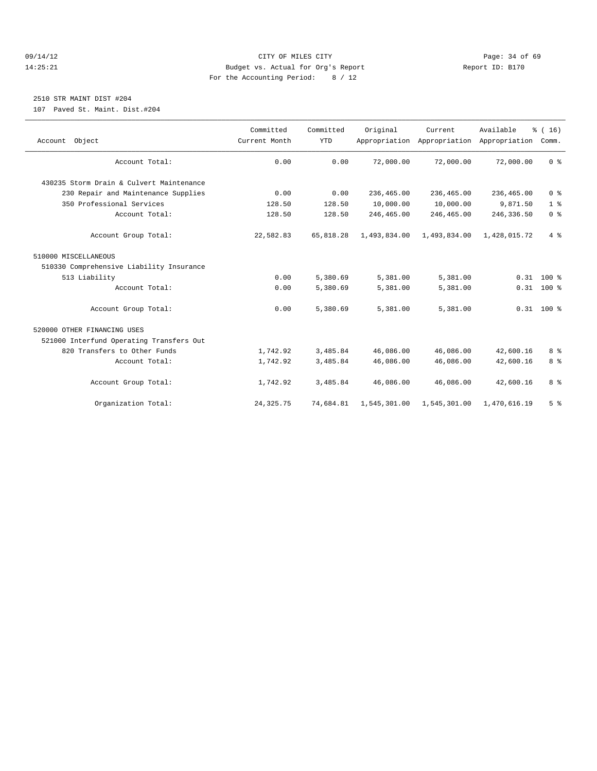#### 09/14/12 Page: 34 of 69 14:25:21 Budget vs. Actual for Org's Report Report ID: B170 For the Accounting Period: 8 / 12

#### 2510 STR MAINT DIST #204

107 Paved St. Maint. Dist.#204

| Account Object                           | Committed<br>Current Month | Committed<br><b>YTD</b> | Original     | Current<br>Appropriation Appropriation Appropriation | Available    | % (16)<br>Comm. |
|------------------------------------------|----------------------------|-------------------------|--------------|------------------------------------------------------|--------------|-----------------|
|                                          |                            |                         |              |                                                      |              |                 |
| Account Total:                           | 0.00                       | 0.00                    | 72,000.00    | 72,000.00                                            | 72,000.00    | 0 <sup>8</sup>  |
| 430235 Storm Drain & Culvert Maintenance |                            |                         |              |                                                      |              |                 |
| 230 Repair and Maintenance Supplies      | 0.00                       | 0.00                    | 236,465.00   | 236,465.00                                           | 236,465.00   | 0 <sup>8</sup>  |
| 350 Professional Services                | 128.50                     | 128.50                  | 10,000.00    | 10,000.00                                            | 9,871.50     | 1 <sup>8</sup>  |
| Account Total:                           | 128.50                     | 128.50                  | 246,465.00   | 246,465.00                                           | 246,336.50   | 0 <sup>8</sup>  |
| Account Group Total:                     | 22,582.83                  | 65,818.28               | 1,493,834.00 | 1,493,834.00                                         | 1,428,015.72 | 4%              |
| 510000 MISCELLANEOUS                     |                            |                         |              |                                                      |              |                 |
| 510330 Comprehensive Liability Insurance |                            |                         |              |                                                      |              |                 |
| 513 Liability                            | 0.00                       | 5,380.69                | 5,381.00     | 5,381.00                                             |              | $0.31$ 100 %    |
| Account Total:                           | 0.00                       | 5,380.69                | 5,381.00     | 5,381.00                                             |              | $0.31$ 100 %    |
| Account Group Total:                     | 0.00                       | 5,380.69                | 5,381.00     | 5,381.00                                             |              | $0.31$ 100 %    |
| 520000 OTHER FINANCING USES              |                            |                         |              |                                                      |              |                 |
| 521000 Interfund Operating Transfers Out |                            |                         |              |                                                      |              |                 |
| 820 Transfers to Other Funds             | 1,742.92                   | 3,485.84                | 46,086.00    | 46,086.00                                            | 42,600.16    | 8 <sup>8</sup>  |
| Account Total:                           | 1,742.92                   | 3,485.84                | 46,086.00    | 46,086.00                                            | 42,600.16    | 8 %             |
| Account Group Total:                     | 1,742.92                   | 3,485.84                | 46,086.00    | 46,086.00                                            | 42,600.16    | 8 %             |
| Organization Total:                      | 24, 325. 75                | 74,684.81               | 1,545,301.00 | 1,545,301.00                                         | 1,470,616.19 | 5 <sup>°</sup>  |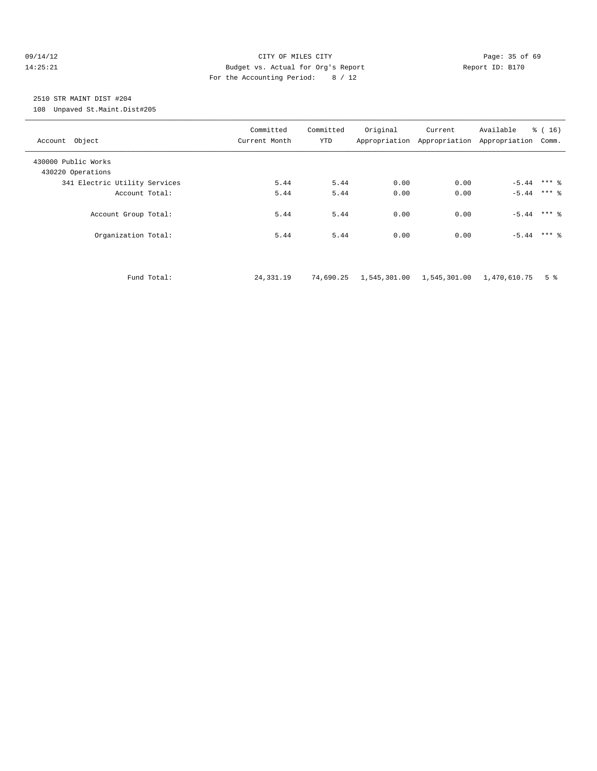#### 09/14/12 Page: 35 of 69 14:25:21 Budget vs. Actual for Org's Report Report ID: B170 For the Accounting Period: 8 / 12

### 2510 STR MAINT DIST #204

108 Unpaved St.Maint.Dist#205

| Account Object                           |             | Committed<br>Current Month | Committed<br>YTD | Original                                 | Current | Available<br>Appropriation Appropriation Appropriation Comm. | % (16)         |  |
|------------------------------------------|-------------|----------------------------|------------------|------------------------------------------|---------|--------------------------------------------------------------|----------------|--|
| 430000 Public Works<br>430220 Operations |             |                            |                  |                                          |         |                                                              |                |  |
| 341 Electric Utility Services            |             | 5.44                       | 5.44             | 0.00                                     | 0.00    |                                                              |                |  |
| Account Total:                           |             | 5.44                       | 5.44             | 0.00                                     | 0.00    | $-5.44$ *** $%$                                              |                |  |
| Account Group Total:                     |             | 5.44                       | 5.44             | 0.00                                     | 0.00    | $-5.44$ *** $%$                                              |                |  |
| Organization Total:                      |             | 5.44                       | 5.44             | 0.00                                     | 0.00    | $-5.44$ *** $%$                                              |                |  |
|                                          |             |                            |                  |                                          |         |                                                              |                |  |
|                                          | Fund Total: | 24, 331. 19                | 74,690.25        | 1,545,301.00  1,545,301.00  1,470,610.75 |         |                                                              | 5 <sup>°</sup> |  |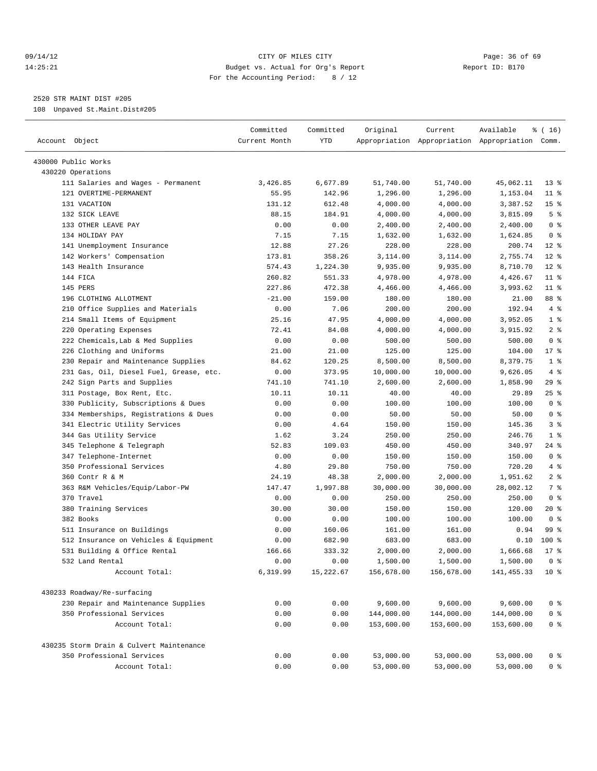#### 09/14/12 Page: 36 of 69 14:25:21 Budget vs. Actual for Org's Report Report ID: B170 For the Accounting Period: 8 / 12

————————————————————————————————————————————————————————————————————————————————————————————————————————————————————————————————————

2520 STR MAINT DIST #205

108 Unpaved St.Maint.Dist#205

|                                          | Committed     | Committed | Original   | Current    | Available                                       | ៖ ( 16)         |
|------------------------------------------|---------------|-----------|------------|------------|-------------------------------------------------|-----------------|
| Account Object                           | Current Month | YTD       |            |            | Appropriation Appropriation Appropriation Comm. |                 |
| 430000 Public Works                      |               |           |            |            |                                                 |                 |
| 430220 Operations                        |               |           |            |            |                                                 |                 |
| 111 Salaries and Wages - Permanent       | 3,426.85      | 6,677.89  | 51,740.00  | 51,740.00  | 45,062.11                                       | $13*$           |
| 121 OVERTIME-PERMANENT                   | 55.95         | 142.96    | 1,296.00   | 1,296.00   | 1,153.04                                        | $11$ %          |
| 131 VACATION                             | 131.12        | 612.48    | 4,000.00   | 4,000.00   | 3,387.52                                        | 15 <sup>°</sup> |
| 132 SICK LEAVE                           | 88.15         | 184.91    | 4,000.00   | 4,000.00   | 3,815.09                                        | 5 <sup>°</sup>  |
| 133 OTHER LEAVE PAY                      | 0.00          | 0.00      | 2,400.00   | 2,400.00   | 2,400.00                                        | 0 <sup>8</sup>  |
| 134 HOLIDAY PAY                          | 7.15          | 7.15      | 1,632.00   | 1,632.00   | 1,624.85                                        | 0 <sup>8</sup>  |
| 141 Unemployment Insurance               | 12.88         | 27.26     | 228.00     | 228.00     | 200.74                                          | $12*$           |
| 142 Workers' Compensation                | 173.81        | 358.26    | 3,114.00   | 3,114.00   | 2,755.74                                        | $12*$           |
| 143 Health Insurance                     | 574.43        | 1,224.30  | 9,935.00   | 9,935.00   | 8,710.70                                        | $12*$           |
| 144 FICA                                 | 260.82        | 551.33    | 4,978.00   | 4,978.00   | 4,426.67                                        | $11*$           |
| 145 PERS                                 | 227.86        | 472.38    | 4,466.00   | 4,466.00   | 3,993.62                                        | $11$ %          |
| 196 CLOTHING ALLOTMENT                   | $-21.00$      | 159.00    | 180.00     | 180.00     | 21.00                                           | 88 %            |
| 210 Office Supplies and Materials        | 0.00          | 7.06      | 200.00     | 200.00     | 192.94                                          | 4%              |
| 214 Small Items of Equipment             | 25.16         | 47.95     | 4,000.00   | 4,000.00   | 3,952.05                                        | 1 <sup>8</sup>  |
| 220 Operating Expenses                   | 72.41         | 84.08     | 4,000.00   | 4,000.00   | 3,915.92                                        | 2 <sup>°</sup>  |
| 222 Chemicals, Lab & Med Supplies        | 0.00          | 0.00      | 500.00     | 500.00     | 500.00                                          | 0 <sup>8</sup>  |
| 226 Clothing and Uniforms                | 21.00         | 21.00     | 125.00     | 125.00     | 104.00                                          | 17.8            |
| 230 Repair and Maintenance Supplies      | 84.62         | 120.25    | 8,500.00   | 8,500.00   | 8,379.75                                        | 1 <sup>°</sup>  |
| 231 Gas, Oil, Diesel Fuel, Grease, etc.  | 0.00          | 373.95    | 10,000.00  | 10,000.00  | 9,626.05                                        | 4%              |
| 242 Sign Parts and Supplies              | 741.10        | 741.10    | 2,600.00   | 2,600.00   | 1,858.90                                        | 29 %            |
| 311 Postage, Box Rent, Etc.              | 10.11         | 10.11     | 40.00      | 40.00      | 29.89                                           | $25$ $%$        |
| 330 Publicity, Subscriptions & Dues      | 0.00          | 0.00      | 100.00     | 100.00     | 100.00                                          | 0 <sup>8</sup>  |
| 334 Memberships, Registrations & Dues    | 0.00          | 0.00      | 50.00      | 50.00      | 50.00                                           | 0 <sup>8</sup>  |
| 341 Electric Utility Services            | 0.00          | 4.64      | 150.00     | 150.00     | 145.36                                          | 3 <sup>8</sup>  |
| 344 Gas Utility Service                  | 1.62          | 3.24      | 250.00     | 250.00     | 246.76                                          | 1 <sup>°</sup>  |
| 345 Telephone & Telegraph                | 52.83         | 109.03    | 450.00     | 450.00     | 340.97                                          | 24 %            |
| 347 Telephone-Internet                   | 0.00          | 0.00      | 150.00     | 150.00     | 150.00                                          | 0 <sup>8</sup>  |
| 350 Professional Services                | 4.80          | 29.80     | 750.00     | 750.00     | 720.20                                          | 4%              |
| 360 Contr R & M                          | 24.19         | 48.38     | 2,000.00   | 2,000.00   | 1,951.62                                        | 2 <sub>8</sub>  |
| 363 R&M Vehicles/Equip/Labor-PW          | 147.47        | 1,997.88  | 30,000.00  | 30,000.00  | 28,002.12                                       | 7 %             |
| 370 Travel                               | 0.00          | 0.00      | 250.00     | 250.00     | 250.00                                          | 0 <sup>8</sup>  |
| 380 Training Services                    | 30.00         | 30.00     | 150.00     | 150.00     | 120.00                                          | $20*$           |
| 382 Books                                | 0.00          | 0.00      | 100.00     | 100.00     | 100.00                                          | 0 <sup>8</sup>  |
| 511 Insurance on Buildings               | 0.00          | 160.06    | 161.00     | 161.00     | 0.94                                            | 99 %            |
| 512 Insurance on Vehicles & Equipment    | 0.00          | 682.90    | 683.00     | 683.00     | 0.10                                            | $100$ %         |
| 531 Building & Office Rental             | 166.66        | 333.32    | 2,000.00   | 2,000.00   | 1,666.68                                        | $17$ %          |
| 532 Land Rental                          | 0.00          | 0.00      | 1,500.00   | 1,500.00   | 1,500.00                                        | 0 %             |
| Account Total:                           | 6,319.99      | 15,222.67 | 156,678.00 | 156,678.00 | 141, 455.33                                     | 10 <sup>8</sup> |
|                                          |               |           |            |            |                                                 |                 |
| 430233 Roadway/Re-surfacing              |               |           |            |            |                                                 |                 |
| 230 Repair and Maintenance Supplies      | 0.00          | 0.00      | 9,600.00   | 9,600.00   | 9,600.00                                        | $0$ %           |
| 350 Professional Services                | 0.00          | 0.00      | 144,000.00 | 144,000.00 | 144,000.00                                      | $0$ %           |
| Account Total:                           | 0.00          | 0.00      | 153,600.00 | 153,600.00 | 153,600.00                                      | $0$ %           |
| 430235 Storm Drain & Culvert Maintenance |               |           |            |            |                                                 |                 |
| 350 Professional Services                | 0.00          | 0.00      | 53,000.00  | 53,000.00  | 53,000.00                                       | 0 %             |
| Account Total:                           | 0.00          | 0.00      | 53,000.00  | 53,000.00  | 53,000.00                                       | 0 %             |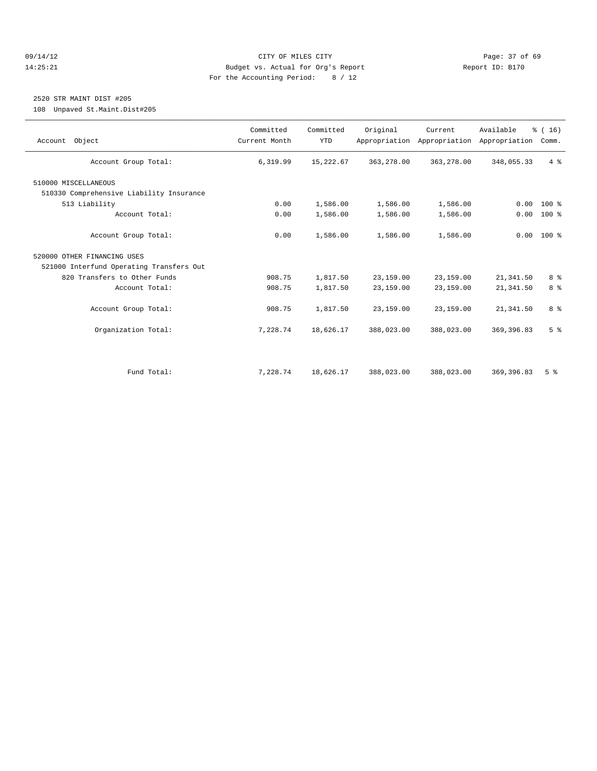#### 09/14/12 Page: 37 of 69 14:25:21 Budget vs. Actual for Org's Report Report ID: B170 For the Accounting Period: 8 / 12

### 2520 STR MAINT DIST #205

108 Unpaved St.Maint.Dist#205

| Account Object                           | Committed<br>Current Month | Committed<br><b>YTD</b> | Original   | Current<br>Appropriation Appropriation | Available<br>Appropriation | % (16)<br>Comm. |
|------------------------------------------|----------------------------|-------------------------|------------|----------------------------------------|----------------------------|-----------------|
| Account Group Total:                     | 6,319.99                   | 15,222.67               | 363,278.00 | 363, 278.00                            | 348,055.33                 | $4\degree$      |
| 510000 MISCELLANEOUS                     |                            |                         |            |                                        |                            |                 |
| 510330 Comprehensive Liability Insurance |                            |                         |            |                                        |                            |                 |
| 513 Liability                            | 0.00                       | 1,586.00                | 1,586.00   | 1,586.00                               | 0.00                       | $100*$          |
| Account Total:                           | 0.00                       | 1,586.00                | 1,586.00   | 1,586.00                               | 0.00                       | 100 %           |
| Account Group Total:                     | 0.00                       | 1,586.00                | 1,586.00   | 1,586.00                               |                            | $0.00 100$ %    |
| 520000 OTHER FINANCING USES              |                            |                         |            |                                        |                            |                 |
| 521000 Interfund Operating Transfers Out |                            |                         |            |                                        |                            |                 |
| 820 Transfers to Other Funds             | 908.75                     | 1,817.50                | 23,159.00  | 23,159.00                              | 21, 341.50                 | 8 <sup>8</sup>  |
| Account Total:                           | 908.75                     | 1,817.50                | 23,159.00  | 23,159.00                              | 21, 341.50                 | 8 <sup>8</sup>  |
| Account Group Total:                     | 908.75                     | 1,817.50                | 23,159.00  | 23,159.00                              | 21, 341.50                 | 8 %             |
| Organization Total:                      | 7,228.74                   | 18,626.17               | 388,023.00 | 388,023.00                             | 369, 396.83                | 5 <sup>8</sup>  |
|                                          |                            |                         |            |                                        |                            |                 |
| Fund Total:                              | 7,228.74                   | 18,626.17               | 388,023.00 | 388,023.00                             | 369, 396.83                | 5 <sup>8</sup>  |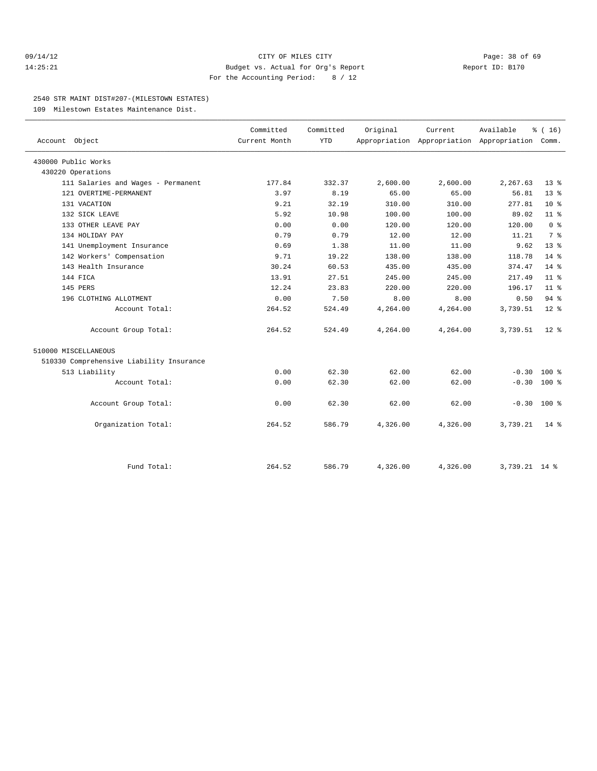#### 09/14/12 Page: 38 of 69 14:25:21 Budget vs. Actual for Org's Report Report ID: B170 For the Accounting Period: 8 / 12

#### 2540 STR MAINT DIST#207-(MILESTOWN ESTATES)

109 Milestown Estates Maintenance Dist.

| Account Object                           | Committed<br>Current Month | Committed<br><b>YTD</b> | Original | Current  | Available<br>Appropriation Appropriation Appropriation | % (16)<br>Comm. |  |
|------------------------------------------|----------------------------|-------------------------|----------|----------|--------------------------------------------------------|-----------------|--|
|                                          |                            |                         |          |          |                                                        |                 |  |
| 430000 Public Works                      |                            |                         |          |          |                                                        |                 |  |
| 430220 Operations                        |                            |                         |          |          |                                                        |                 |  |
| 111 Salaries and Wages - Permanent       | 177.84                     | 332.37                  | 2,600.00 | 2,600.00 | 2,267.63                                               | 13 <sup>8</sup> |  |
| 121 OVERTIME-PERMANENT                   | 3.97                       | 8.19                    | 65.00    | 65.00    | 56.81                                                  | $13*$           |  |
| 131 VACATION                             | 9.21                       | 32.19                   | 310.00   | 310.00   | 277.81                                                 | $10*$           |  |
| 132 SICK LEAVE                           | 5.92                       | 10.98                   | 100.00   | 100.00   | 89.02                                                  | $11*$           |  |
| 133 OTHER LEAVE PAY                      | 0.00                       | 0.00                    | 120.00   | 120.00   | 120.00                                                 | 0 <sup>8</sup>  |  |
| 134 HOLIDAY PAY                          | 0.79                       | 0.79                    | 12.00    | 12.00    | 11.21                                                  | 7 <sup>°</sup>  |  |
| 141 Unemployment Insurance               | 0.69                       | 1.38                    | 11.00    | 11.00    | 9.62                                                   | 13 <sup>8</sup> |  |
| 142 Workers' Compensation                | 9.71                       | 19.22                   | 138.00   | 138.00   | 118.78                                                 | $14*$           |  |
| 143 Health Insurance                     | 30.24                      | 60.53                   | 435.00   | 435.00   | 374.47                                                 | $14*$           |  |
| 144 FICA                                 | 13.91                      | 27.51                   | 245.00   | 245.00   | 217.49                                                 | 11 <sup>8</sup> |  |
| 145 PERS                                 | 12.24                      | 23.83                   | 220.00   | 220.00   | 196.17                                                 | 11 <sup>8</sup> |  |
| 196 CLOTHING ALLOTMENT                   | 0.00                       | 7.50                    | 8.00     | 8.00     | 0.50                                                   | 94%             |  |
| Account Total:                           | 264.52                     | 524.49                  | 4,264.00 | 4,264.00 | 3,739.51                                               | $12*$           |  |
| Account Group Total:                     | 264.52                     | 524.49                  | 4,264.00 | 4,264.00 | 3,739.51                                               | $12*$           |  |
| 510000 MISCELLANEOUS                     |                            |                         |          |          |                                                        |                 |  |
| 510330 Comprehensive Liability Insurance |                            |                         |          |          |                                                        |                 |  |
| 513 Liability                            | 0.00                       | 62.30                   | 62.00    | 62.00    | $-0.30$                                                | $100*$          |  |
| Account Total:                           | 0.00                       | 62.30                   | 62.00    | 62.00    | $-0.30$                                                | 100 %           |  |
| Account Group Total:                     | 0.00                       | 62.30                   | 62.00    | 62.00    | $-0.30$ 100 %                                          |                 |  |
| Organization Total:                      | 264.52                     | 586.79                  | 4,326.00 | 4,326.00 | 3,739.21                                               | $14*$           |  |
|                                          |                            |                         |          |          |                                                        |                 |  |
| Fund Total:                              | 264.52                     | 586.79                  | 4,326.00 | 4,326.00 | 3,739.21 14 %                                          |                 |  |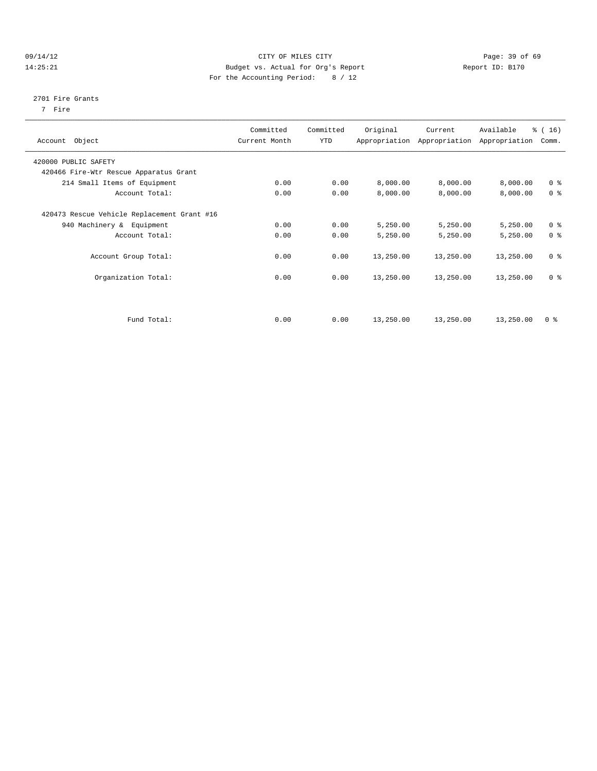#### 09/14/12 Page: 39 of 69 14:25:21 Budget vs. Actual for Org's Report Report ID: B170 For the Accounting Period: 8 / 12

#### 2701 Fire Grants

7 Fire

| Object<br>Account                           | Committed<br>Current Month | Committed<br>YTD | Original  | Current<br>Appropriation Appropriation | Available<br>Appropriation | $\frac{1}{6}$ ( 16 )<br>Comm. |
|---------------------------------------------|----------------------------|------------------|-----------|----------------------------------------|----------------------------|-------------------------------|
| 420000 PUBLIC SAFETY                        |                            |                  |           |                                        |                            |                               |
| 420466 Fire-Wtr Rescue Apparatus Grant      |                            |                  |           |                                        |                            |                               |
| 214 Small Items of Equipment                | 0.00                       | 0.00             | 8,000.00  | 8,000.00                               | 8,000.00                   | 0 <sup>8</sup>                |
| Account Total:                              | 0.00                       | 0.00             | 8,000.00  | 8,000.00                               | 8,000.00                   | 0 <sup>8</sup>                |
| 420473 Rescue Vehicle Replacement Grant #16 |                            |                  |           |                                        |                            |                               |
| 940 Machinery & Equipment                   | 0.00                       | 0.00             | 5,250.00  | 5,250.00                               | 5,250.00                   | 0 <sup>8</sup>                |
| Account Total:                              | 0.00                       | 0.00             | 5,250.00  | 5,250.00                               | 5,250.00                   | 0 <sup>8</sup>                |
| Account Group Total:                        | 0.00                       | 0.00             | 13,250.00 | 13,250.00                              | 13,250.00                  | 0 <sup>8</sup>                |
| Organization Total:                         | 0.00                       | 0.00             | 13,250.00 | 13,250.00                              | 13,250.00                  | 0 <sup>8</sup>                |
|                                             |                            |                  |           |                                        |                            |                               |
| Fund Total:                                 | 0.00                       | 0.00             | 13,250.00 | 13,250.00                              | 13,250.00                  | 0 <sup>8</sup>                |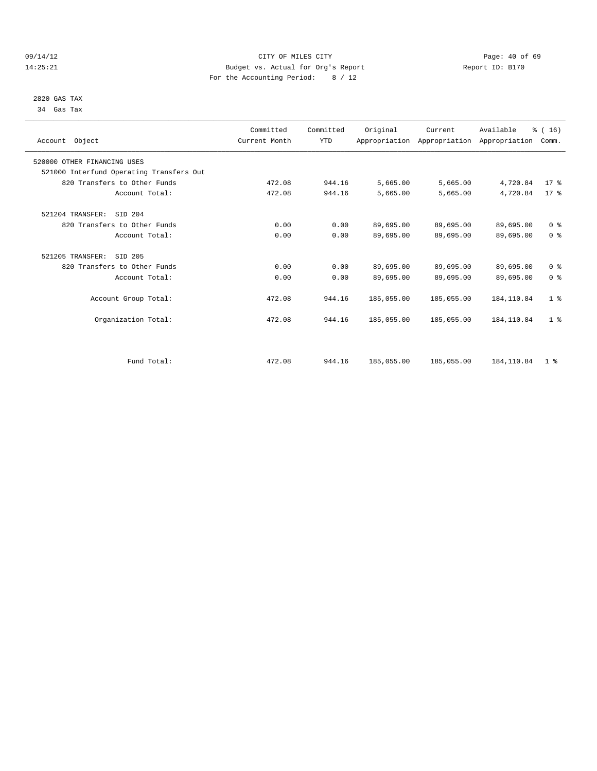#### 09/14/12 Page: 40 of 69 14:25:21 Budget vs. Actual for Org's Report Report ID: B170 For the Accounting Period: 8 / 12

#### 2820 GAS TAX 34 Gas Tax

| Account Object                           | Committed<br>Current Month | Committed<br><b>YTD</b> | Original   | Current<br>Appropriation Appropriation Appropriation | Available   | % (16)<br>Comm. |  |
|------------------------------------------|----------------------------|-------------------------|------------|------------------------------------------------------|-------------|-----------------|--|
| 520000 OTHER FINANCING USES              |                            |                         |            |                                                      |             |                 |  |
| 521000 Interfund Operating Transfers Out |                            |                         |            |                                                      |             |                 |  |
| 820 Transfers to Other Funds             | 472.08                     | 944.16                  | 5,665.00   | 5,665.00                                             | 4,720.84    | 17.8            |  |
| Account Total:                           | 472.08                     | 944.16                  | 5,665.00   | 5,665.00                                             | 4,720.84    | $17*$           |  |
| 521204 TRANSFER:<br>SID 204              |                            |                         |            |                                                      |             |                 |  |
| 820 Transfers to Other Funds             | 0.00                       | 0.00                    | 89,695.00  | 89,695.00                                            | 89,695.00   | 0 <sup>8</sup>  |  |
| Account Total:                           | 0.00                       | 0.00                    | 89,695.00  | 89,695.00                                            | 89,695.00   | 0 <sup>8</sup>  |  |
| 521205 TRANSFER:<br>SID 205              |                            |                         |            |                                                      |             |                 |  |
| 820 Transfers to Other Funds             | 0.00                       | 0.00                    | 89,695.00  | 89,695.00                                            | 89,695.00   | 0 <sup>8</sup>  |  |
| Account Total:                           | 0.00                       | 0.00                    | 89,695.00  | 89,695.00                                            | 89,695.00   | 0 <sup>8</sup>  |  |
| Account Group Total:                     | 472.08                     | 944.16                  | 185,055.00 | 185,055.00                                           | 184, 110.84 | 1 <sup>8</sup>  |  |
| Organization Total:                      | 472.08                     | 944.16                  | 185,055.00 | 185,055.00                                           | 184, 110.84 | 1 <sup>8</sup>  |  |
|                                          |                            |                         |            |                                                      |             |                 |  |
| Fund Total:                              | 472.08                     | 944.16                  | 185,055.00 | 185,055.00                                           | 184, 110.84 | 1 <sup>8</sup>  |  |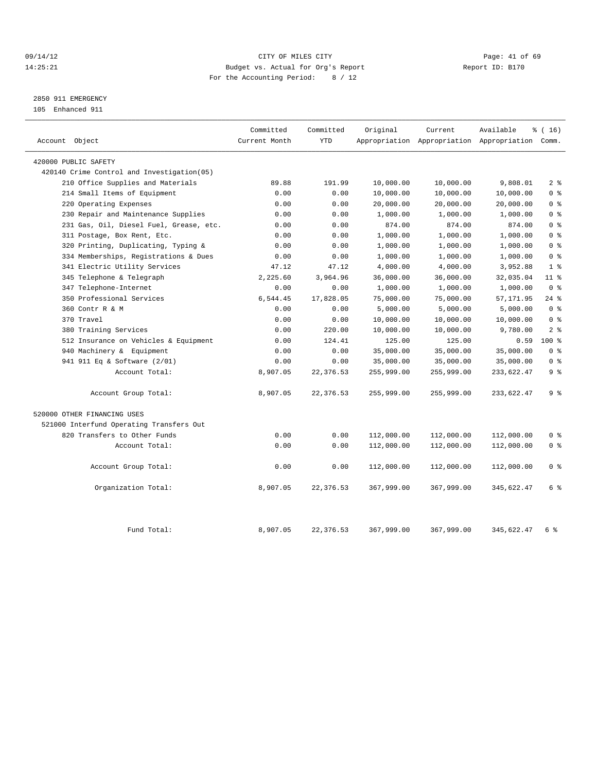#### 09/14/12 Page: 41 of 69 14:25:21 Budget vs. Actual for Org's Report Report ID: B170 For the Accounting Period: 8 / 12

### 2850 911 EMERGENCY

105 Enhanced 911

|                                            | Committed     | Committed  | Original   | Current    | Available                                       | % (16)         |
|--------------------------------------------|---------------|------------|------------|------------|-------------------------------------------------|----------------|
| Account Object                             | Current Month | <b>YTD</b> |            |            | Appropriation Appropriation Appropriation Comm. |                |
| 420000 PUBLIC SAFETY                       |               |            |            |            |                                                 |                |
| 420140 Crime Control and Investigation(05) |               |            |            |            |                                                 |                |
| 210 Office Supplies and Materials          | 89.88         | 191.99     | 10,000.00  | 10,000.00  | 9,808.01                                        | 2 <sub>8</sub> |
| 214 Small Items of Equipment               | 0.00          | 0.00       | 10,000.00  | 10,000.00  | 10,000.00                                       | 0 <sup>8</sup> |
| 220 Operating Expenses                     | 0.00          | 0.00       | 20,000.00  | 20,000.00  | 20,000.00                                       | 0 <sup>8</sup> |
| 230 Repair and Maintenance Supplies        | 0.00          | 0.00       | 1,000.00   | 1,000.00   | 1,000.00                                        | 0 <sup>8</sup> |
| 231 Gas, Oil, Diesel Fuel, Grease, etc.    | 0.00          | 0.00       | 874.00     | 874.00     | 874.00                                          | 0 <sup>8</sup> |
| 311 Postage, Box Rent, Etc.                | 0.00          | 0.00       | 1,000.00   | 1,000.00   | 1,000.00                                        | 0 <sup>8</sup> |
| 320 Printing, Duplicating, Typing &        | 0.00          | 0.00       | 1,000.00   | 1,000.00   | 1,000.00                                        | 0 <sup>8</sup> |
| 334 Memberships, Registrations & Dues      | 0.00          | 0.00       | 1,000.00   | 1,000.00   | 1,000.00                                        | 0 <sup>8</sup> |
| 341 Electric Utility Services              | 47.12         | 47.12      | 4,000.00   | 4,000.00   | 3,952.88                                        | 1 <sup>8</sup> |
| 345 Telephone & Telegraph                  | 2,225.60      | 3,964.96   | 36,000.00  | 36,000.00  | 32,035.04                                       | $11*$          |
| 347 Telephone-Internet                     | 0.00          | 0.00       | 1,000.00   | 1,000.00   | 1,000.00                                        | 0 <sup>8</sup> |
| 350 Professional Services                  | 6,544.45      | 17,828.05  | 75,000.00  | 75,000.00  | 57,171.95                                       | $24$ %         |
| 360 Contr R & M                            | 0.00          | 0.00       | 5,000.00   | 5,000.00   | 5,000.00                                        | 0 <sup>8</sup> |
| 370 Travel                                 | 0.00          | 0.00       | 10,000.00  | 10,000.00  | 10,000.00                                       | 0 <sup>8</sup> |
| 380 Training Services                      | 0.00          | 220.00     | 10,000.00  | 10,000.00  | 9,780.00                                        | 2 <sup>8</sup> |
| 512 Insurance on Vehicles & Equipment      | 0.00          | 124.41     | 125.00     | 125.00     | 0.59                                            | $100*$         |
| 940 Machinery & Equipment                  | 0.00          | 0.00       | 35,000.00  | 35,000.00  | 35,000.00                                       | 0 <sup>8</sup> |
| 941 911 Eq & Software (2/01)               | 0.00          | 0.00       | 35,000.00  | 35,000.00  | 35,000.00                                       | 0 <sup>8</sup> |
| Account Total:                             | 8,907.05      | 22, 376.53 | 255,999.00 | 255,999.00 | 233,622.47                                      | 9%             |
| Account Group Total:                       | 8,907.05      | 22,376.53  | 255,999.00 | 255,999.00 | 233, 622.47                                     | 9 <sup>8</sup> |
| 520000 OTHER FINANCING USES                |               |            |            |            |                                                 |                |
| 521000 Interfund Operating Transfers Out   |               |            |            |            |                                                 |                |
| 820 Transfers to Other Funds               | 0.00          | 0.00       | 112,000.00 | 112,000.00 | 112,000.00                                      | 0 %            |
| Account Total:                             | 0.00          | 0.00       | 112,000.00 | 112,000.00 | 112,000.00                                      | 0 <sup>8</sup> |
| Account Group Total:                       | 0.00          | 0.00       | 112,000.00 | 112,000.00 | 112,000.00                                      | 0 <sup>8</sup> |
| Organization Total:                        | 8,907.05      | 22,376.53  | 367,999.00 | 367,999.00 | 345,622.47                                      | 6 %            |
| Fund Total:                                | 8,907.05      | 22, 376.53 | 367,999.00 | 367,999.00 | 345,622.47                                      | 6 %            |
|                                            |               |            |            |            |                                                 |                |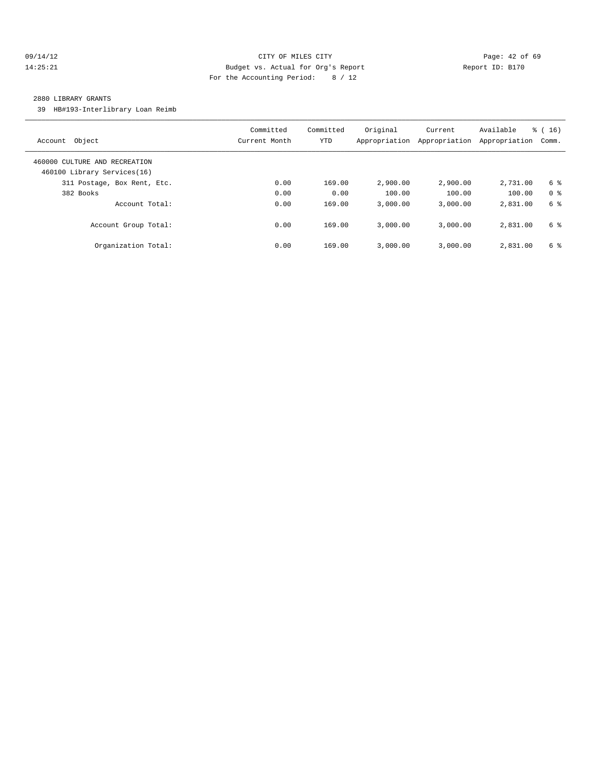#### 09/14/12 Page: 42 of 69 14:25:21 Budget vs. Actual for Org's Report Report ID: B170 For the Accounting Period: 8 / 12

#### 2880 LIBRARY GRANTS

39 HB#193-Interlibrary Loan Reimb

| Object<br>Account                                            | Committed<br>Current Month | Committed<br><b>YTD</b> | Original<br>Appropriation | Current<br>Appropriation | Available<br>Appropriation | $\frac{3}{6}$ ( 16 )<br>Comm. |
|--------------------------------------------------------------|----------------------------|-------------------------|---------------------------|--------------------------|----------------------------|-------------------------------|
| 460000 CULTURE AND RECREATION<br>460100 Library Services(16) |                            |                         |                           |                          |                            |                               |
| 311 Postage, Box Rent, Etc.                                  | 0.00                       | 169.00                  | 2,900.00                  | 2,900.00                 | 2,731.00                   | 6 %                           |
| 382 Books                                                    | 0.00                       | 0.00                    | 100.00                    | 100.00                   | 100.00                     | 0 <sup>8</sup>                |
| Account Total:                                               | 0.00                       | 169.00                  | 3.000.00                  | 3.000.00                 | 2,831.00                   | 6 %                           |
| Account Group Total:                                         | 0.00                       | 169.00                  | 3.000.00                  | 3.000.00                 | 2,831.00                   | 6 %                           |
| Organization Total:                                          | 0.00                       | 169.00                  | 3.000.00                  | 3.000.00                 | 2,831.00                   | 6 %                           |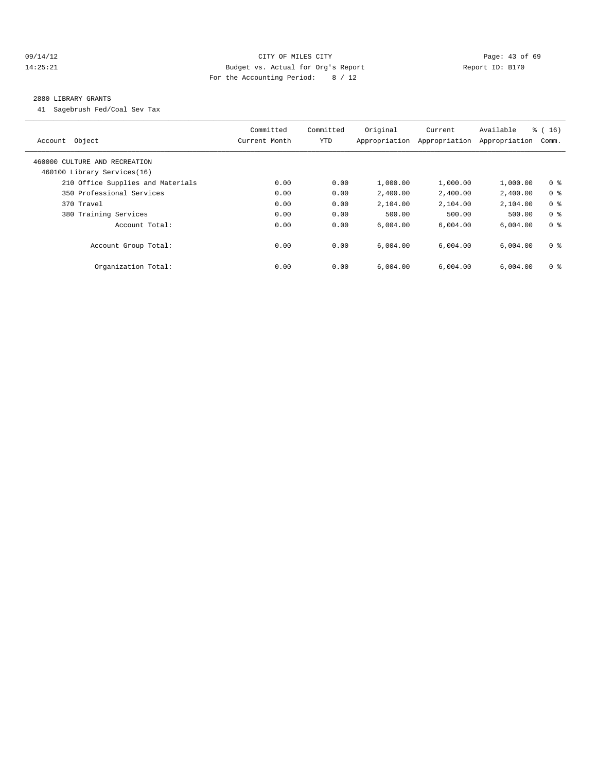#### 09/14/12 Page: 43 of 69 14:25:21 Budget vs. Actual for Org's Report Report ID: B170 For the Accounting Period: 8 / 12

#### 2880 LIBRARY GRANTS

41 Sagebrush Fed/Coal Sev Tax

| Object<br>Account                                            | Committed<br>Current Month | Committed<br><b>YTD</b> | Original<br>Appropriation | Current<br>Appropriation | Available<br>Appropriation | $\frac{3}{6}$ ( 16 )<br>Comm. |
|--------------------------------------------------------------|----------------------------|-------------------------|---------------------------|--------------------------|----------------------------|-------------------------------|
| 460000 CULTURE AND RECREATION<br>460100 Library Services(16) |                            |                         |                           |                          |                            |                               |
| 210 Office Supplies and Materials                            | 0.00                       | 0.00                    | 1,000.00                  | 1,000.00                 | 1,000.00                   | 0 <sup>8</sup>                |
| 350 Professional Services                                    | 0.00                       | 0.00                    | 2,400.00                  | 2,400.00                 | 2,400.00                   | 0 <sup>8</sup>                |
| 370 Travel                                                   | 0.00                       | 0.00                    | 2,104.00                  | 2,104.00                 | 2,104.00                   | 0 <sup>8</sup>                |
| 380 Training Services                                        | 0.00                       | 0.00                    | 500.00                    | 500.00                   | 500.00                     | 0 <sup>8</sup>                |
| Account Total:                                               | 0.00                       | 0.00                    | 6,004.00                  | 6,004.00                 | 6,004.00                   | 0 <sup>8</sup>                |
| Account Group Total:                                         | 0.00                       | 0.00                    | 6.004.00                  | 6.004.00                 | 6,004.00                   | 0 <sup>8</sup>                |
| Organization Total:                                          | 0.00                       | 0.00                    | 6.004.00                  | 6.004.00                 | 6,004.00                   | 0 <sup>8</sup>                |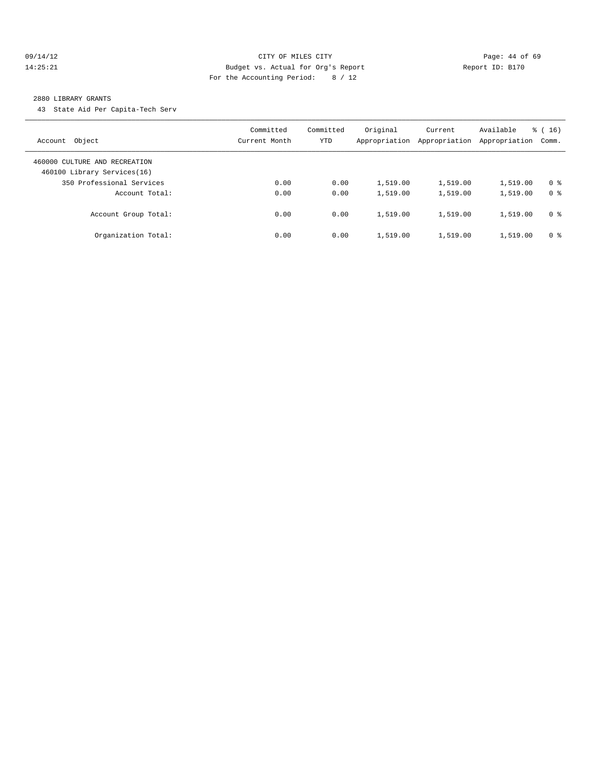#### 09/14/12 Page: 44 of 69 14:25:21 Budget vs. Actual for Org's Report Report ID: B170 For the Accounting Period: 8 / 12

#### 2880 LIBRARY GRANTS

43 State Aid Per Capita-Tech Serv

| Object<br>Account                                            | Committed<br>Current Month | Committed<br>YTD | Original<br>Appropriation | Current<br>Appropriation | Available<br>Appropriation | $\frac{3}{6}$ ( 16 )<br>Comm. |
|--------------------------------------------------------------|----------------------------|------------------|---------------------------|--------------------------|----------------------------|-------------------------------|
| 460000 CULTURE AND RECREATION<br>460100 Library Services(16) |                            |                  |                           |                          |                            |                               |
| 350 Professional Services                                    | 0.00                       | 0.00             | 1,519.00                  | 1,519.00                 | 1,519.00                   | 0 <sup>8</sup>                |
| Account Total:                                               | 0.00                       | 0.00             | 1,519.00                  | 1,519.00                 | 1,519.00                   | 0 <sup>8</sup>                |
| Account Group Total:                                         | 0.00                       | 0.00             | 1,519.00                  | 1,519.00                 | 1,519.00                   | 0 <sup>8</sup>                |
| Organization Total:                                          | 0.00                       | 0.00             | 1,519.00                  | 1,519.00                 | 1,519.00                   | 0 <sup>8</sup>                |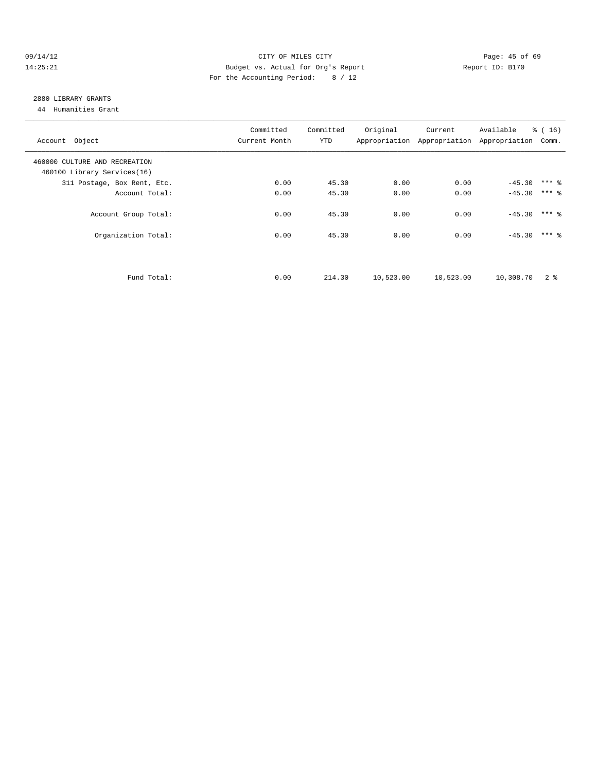#### 09/14/12 Page: 45 of 69 14:25:21 Budget vs. Actual for Org's Report Report ID: B170 For the Accounting Period: 8 / 12

## 2880 LIBRARY GRANTS

44 Humanities Grant

| Account Object                | Committed<br>Current Month | Committed<br>YTD | Original  | Current   | Available<br>Appropriation Appropriation Appropriation | $\frac{3}{6}$ ( 16 )<br>Comm. |  |
|-------------------------------|----------------------------|------------------|-----------|-----------|--------------------------------------------------------|-------------------------------|--|
| 460000 CULTURE AND RECREATION |                            |                  |           |           |                                                        |                               |  |
| 460100 Library Services(16)   |                            |                  |           |           |                                                        |                               |  |
| 311 Postage, Box Rent, Etc.   | 0.00                       | 45.30            | 0.00      | 0.00      | $-45.30$ *** $\frac{6}{3}$                             |                               |  |
| Account Total:                | 0.00                       | 45.30            | 0.00      | 0.00      | $-45.30$                                               | $***$ 2                       |  |
| Account Group Total:          | 0.00                       | 45.30            | 0.00      | 0.00      | $-45.30$                                               | $***$ $%$                     |  |
| Organization Total:           | 0.00                       | 45.30            | 0.00      | 0.00      | $-45.30$ *** &                                         |                               |  |
| Fund Total:                   | 0.00                       | 214.30           | 10,523.00 | 10,523.00 | 10,308.70                                              | 2 <sup>8</sup>                |  |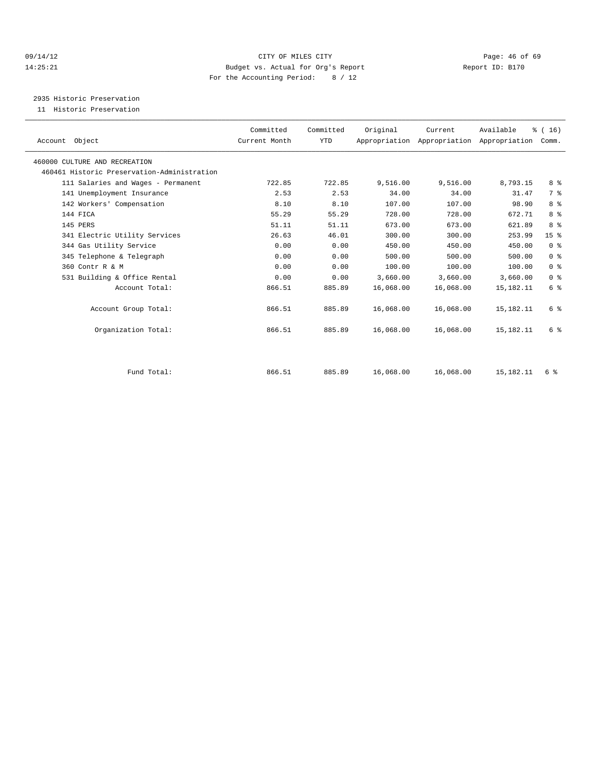#### 09/14/12 Page: 46 of 69 14:25:21 Budget vs. Actual for Org's Report Report ID: B170 For the Accounting Period: 8 / 12

2935 Historic Preservation

11 Historic Preservation

| Account Object                              | Committed<br>Current Month | Committed<br>YTD | Original  | Current   | Available<br>Appropriation Appropriation Appropriation | $\frac{1}{6}$ ( 16 )<br>Comm. |
|---------------------------------------------|----------------------------|------------------|-----------|-----------|--------------------------------------------------------|-------------------------------|
| 460000 CULTURE AND RECREATION               |                            |                  |           |           |                                                        |                               |
| 460461 Historic Preservation-Administration |                            |                  |           |           |                                                        |                               |
| 111 Salaries and Wages - Permanent          | 722.85                     | 722.85           | 9,516.00  | 9,516.00  | 8,793.15                                               | 8 %                           |
| 141 Unemployment Insurance                  | 2.53                       | 2.53             | 34.00     | 34.00     | 31.47                                                  | 7 <sup>°</sup>                |
| 142 Workers' Compensation                   | 8.10                       | 8.10             | 107.00    | 107.00    | 98.90                                                  | 8 %                           |
| 144 FICA                                    | 55.29                      | 55.29            | 728.00    | 728.00    | 672.71                                                 | 8%                            |
| 145 PERS                                    | 51.11                      | 51.11            | 673.00    | 673.00    | 621.89                                                 | 8 %                           |
| 341 Electric Utility Services               | 26.63                      | 46.01            | 300.00    | 300.00    | 253.99                                                 | 15 <sup>°</sup>               |
| 344 Gas Utility Service                     | 0.00                       | 0.00             | 450.00    | 450.00    | 450.00                                                 | 0 <sup>8</sup>                |
| 345 Telephone & Telegraph                   | 0.00                       | 0.00             | 500.00    | 500.00    | 500.00                                                 | 0 <sup>8</sup>                |
| 360 Contr R & M                             | 0.00                       | 0.00             | 100.00    | 100.00    | 100.00                                                 | 0 <sup>8</sup>                |
| 531 Building & Office Rental                | 0.00                       | 0.00             | 3,660.00  | 3,660.00  | 3,660.00                                               | 0 <sup>8</sup>                |
| Account Total:                              | 866.51                     | 885.89           | 16,068.00 | 16,068.00 | 15,182.11                                              | 6 <sup>°</sup>                |
| Account Group Total:                        | 866.51                     | 885.89           | 16,068.00 | 16,068.00 | 15, 182. 11                                            | 6 %                           |
| Organization Total:                         | 866.51                     | 885.89           | 16,068.00 | 16,068.00 | 15, 182. 11                                            | 6 %                           |
|                                             |                            |                  |           |           |                                                        |                               |
| Fund Total:                                 | 866.51                     | 885.89           | 16,068.00 | 16,068.00 | 15, 182. 11                                            | 6 %                           |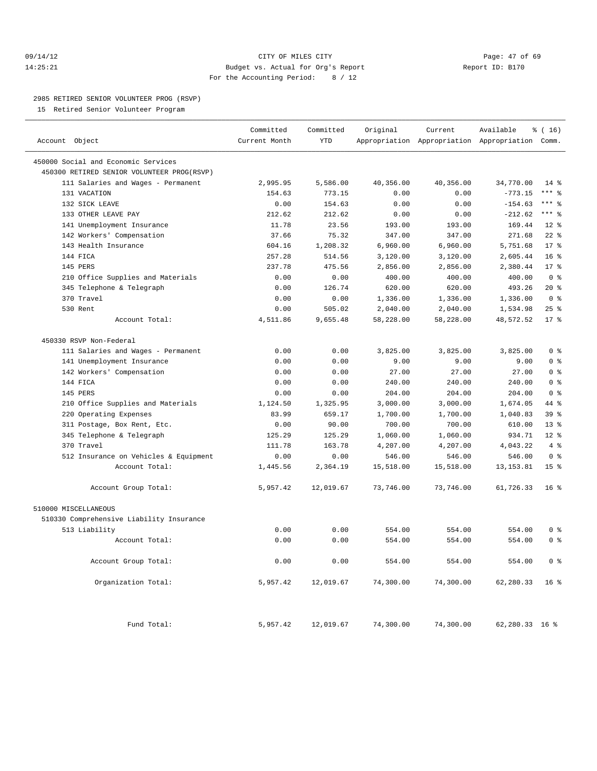#### 09/14/12 Page: 47 of 69 14:25:21 Budget vs. Actual for Org's Report Report ID: B170 For the Accounting Period: 8 / 12

————————————————————————————————————————————————————————————————————————————————————————————————————————————————————————————————————

#### 2985 RETIRED SENIOR VOLUNTEER PROG (RSVP)

15 Retired Senior Volunteer Program

|                                            | Committed     | Committed  | Original  | Current   | Available                                       | % (16)          |
|--------------------------------------------|---------------|------------|-----------|-----------|-------------------------------------------------|-----------------|
| Account Object                             | Current Month | <b>YTD</b> |           |           | Appropriation Appropriation Appropriation Comm. |                 |
| 450000 Social and Economic Services        |               |            |           |           |                                                 |                 |
| 450300 RETIRED SENIOR VOLUNTEER PROG(RSVP) |               |            |           |           |                                                 |                 |
| 111 Salaries and Wages - Permanent         | 2,995.95      | 5,586.00   | 40,356.00 | 40,356.00 | 34,770.00                                       | $14*$           |
| 131 VACATION                               | 154.63        | 773.15     | 0.00      | 0.00      | $-773.15$                                       | $***$ $=$       |
| 132 SICK LEAVE                             | 0.00          | 154.63     | 0.00      | 0.00      | $-154.63$                                       | $***$ 8         |
| 133 OTHER LEAVE PAY                        | 212.62        | 212.62     | 0.00      | 0.00      | $-212.62$                                       | $***$ 2         |
| 141 Unemployment Insurance                 | 11.78         | 23.56      | 193.00    | 193.00    | 169.44                                          | $12*$           |
| 142 Workers' Compensation                  | 37.66         | 75.32      | 347.00    | 347.00    | 271.68                                          | $22$ $%$        |
| 143 Health Insurance                       | 604.16        | 1,208.32   | 6,960.00  | 6,960.00  | 5,751.68                                        | $17*$           |
| 144 FICA                                   | 257.28        | 514.56     | 3,120.00  | 3,120.00  | 2,605.44                                        | 16 <sup>°</sup> |
| 145 PERS                                   | 237.78        | 475.56     | 2,856.00  | 2,856.00  | 2,380.44                                        | $17*$           |
| 210 Office Supplies and Materials          | 0.00          | 0.00       | 400.00    | 400.00    | 400.00                                          | 0 <sup>8</sup>  |
| 345 Telephone & Telegraph                  | 0.00          | 126.74     | 620.00    | 620.00    | 493.26                                          | $20*$           |
| 370 Travel                                 | 0.00          | 0.00       | 1,336.00  | 1,336.00  | 1,336.00                                        | 0 <sup>8</sup>  |
| 530 Rent                                   | 0.00          | 505.02     | 2,040.00  | 2,040.00  | 1,534.98                                        | 25%             |
| Account Total:                             | 4,511.86      | 9,655.48   | 58,228.00 | 58,228.00 | 48,572.52                                       | $17*$           |
|                                            |               |            |           |           |                                                 |                 |
| 450330 RSVP Non-Federal                    |               |            |           |           |                                                 |                 |
| 111 Salaries and Wages - Permanent         | 0.00          | 0.00       | 3,825.00  | 3,825.00  | 3,825.00                                        | 0 <sup>8</sup>  |
| 141 Unemployment Insurance                 | 0.00          | 0.00       | 9.00      | 9.00      | 9.00                                            | 0 <sup>8</sup>  |
| 142 Workers' Compensation                  | 0.00          | 0.00       | 27.00     | 27.00     | 27.00                                           | 0 <sup>8</sup>  |
| 144 FICA                                   | 0.00          | 0.00       | 240.00    | 240.00    | 240.00                                          | 0 <sup>8</sup>  |
| 145 PERS                                   | 0.00          | 0.00       | 204.00    | 204.00    | 204.00                                          | 0 <sup>8</sup>  |
| 210 Office Supplies and Materials          | 1,124.50      | 1,325.95   | 3,000.00  | 3,000.00  | 1,674.05                                        | 44 %            |
| 220 Operating Expenses                     | 83.99         | 659.17     | 1,700.00  | 1,700.00  | 1,040.83                                        | 39 <sup>8</sup> |
| 311 Postage, Box Rent, Etc.                | 0.00          | 90.00      | 700.00    | 700.00    | 610.00                                          | $13*$           |
| 345 Telephone & Telegraph                  | 125.29        | 125.29     | 1,060.00  | 1,060.00  | 934.71                                          | $12*$           |
| 370 Travel                                 | 111.78        | 163.78     | 4,207.00  | 4,207.00  | 4,043.22                                        | 4%              |
| 512 Insurance on Vehicles & Equipment      | 0.00          | 0.00       | 546.00    | 546.00    | 546.00                                          | 0 <sup>8</sup>  |
| Account Total:                             | 1,445.56      | 2,364.19   | 15,518.00 | 15,518.00 | 13, 153.81                                      | 15 <sup>8</sup> |
| Account Group Total:                       | 5,957.42      | 12,019.67  | 73,746.00 | 73,746.00 | 61,726.33                                       | 16 <sup>8</sup> |
|                                            |               |            |           |           |                                                 |                 |
| 510000 MISCELLANEOUS                       |               |            |           |           |                                                 |                 |
| 510330 Comprehensive Liability Insurance   |               |            |           |           |                                                 |                 |
| 513 Liability                              | 0.00          | 0.00       | 554.00    | 554.00    | 554.00                                          | 0 <sup>8</sup>  |
| Account Total:                             | 0.00          | 0.00       | 554.00    | 554.00    | 554.00                                          | 0 <sup>8</sup>  |
|                                            |               |            |           |           |                                                 |                 |
| Account Group Total:                       | 0.00          | 0.00       | 554.00    | 554.00    | 554.00                                          | 0 <sup>8</sup>  |
| Organization Total:                        | 5,957.42      | 12,019.67  | 74,300.00 | 74,300.00 | 62,280.33                                       | 16 <sup>°</sup> |
|                                            |               |            |           |           |                                                 |                 |
| Fund Total:                                | 5,957.42      | 12,019.67  | 74,300.00 | 74,300.00 | 62,280.33 16 %                                  |                 |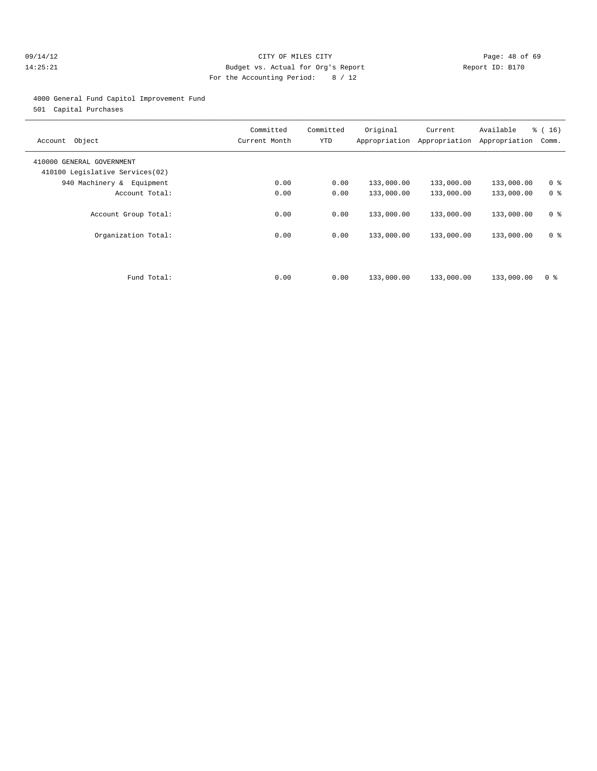#### 09/14/12 Page: 48 of 69 14:25:21 Budget vs. Actual for Org's Report Report ID: B170 For the Accounting Period: 8 / 12

#### 4000 General Fund Capitol Improvement Fund

501 Capital Purchases

| Object<br>Account                                            | Committed<br>Current Month | Committed<br>YTD | Original   | Current<br>Appropriation Appropriation | Available<br>Appropriation | % (16)<br>Comm. |
|--------------------------------------------------------------|----------------------------|------------------|------------|----------------------------------------|----------------------------|-----------------|
| 410000 GENERAL GOVERNMENT<br>410100 Legislative Services(02) |                            |                  |            |                                        |                            |                 |
| 940 Machinery & Equipment                                    | 0.00                       | 0.00             | 133,000.00 | 133,000.00                             | 133,000.00                 | 0 <sup>8</sup>  |
| Account Total:                                               | 0.00                       | 0.00             | 133,000.00 | 133,000.00                             | 133,000.00                 | 0 <sup>8</sup>  |
| Account Group Total:                                         | 0.00                       | 0.00             | 133,000.00 | 133,000.00                             | 133,000.00                 | 0 <sup>8</sup>  |
| Organization Total:                                          | 0.00                       | 0.00             | 133,000.00 | 133,000.00                             | 133,000.00                 | 0 <sup>8</sup>  |
| Fund Total:                                                  | 0.00                       | 0.00             | 133,000.00 | 133,000.00                             | 133,000.00                 | 0 <sup>8</sup>  |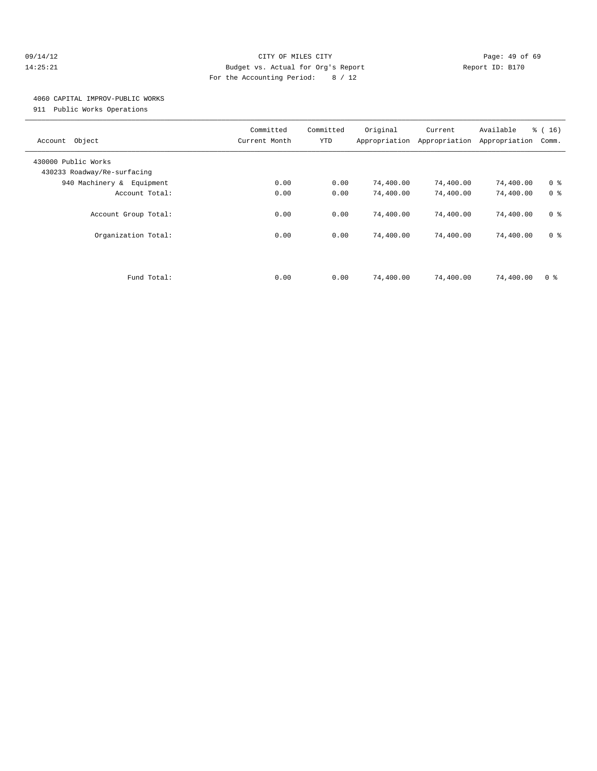#### 09/14/12 Page: 49 of 69 14:25:21 Budget vs. Actual for Org's Report Report ID: B170 For the Accounting Period: 8 / 12

#### 4060 CAPITAL IMPROV-PUBLIC WORKS

911 Public Works Operations

| Object<br>Account                                  | Committed<br>Current Month | Committed<br>YTD | Original<br>Appropriation | Current<br>Appropriation | Available<br>Appropriation | $\frac{1}{6}$ ( 16 )<br>Comm. |
|----------------------------------------------------|----------------------------|------------------|---------------------------|--------------------------|----------------------------|-------------------------------|
| 430000 Public Works<br>430233 Roadway/Re-surfacing |                            |                  |                           |                          |                            |                               |
| 940 Machinery & Equipment                          | 0.00                       | 0.00             | 74,400.00                 | 74,400.00                | 74,400.00                  | 0 <sup>8</sup>                |
| Account Total:                                     | 0.00                       | 0.00             | 74,400.00                 | 74,400.00                | 74,400.00                  | 0 <sup>8</sup>                |
| Account Group Total:                               | 0.00                       | 0.00             | 74,400.00                 | 74,400.00                | 74,400.00                  | 0 <sup>8</sup>                |
| Organization Total:                                | 0.00                       | 0.00             | 74,400.00                 | 74,400.00                | 74,400.00                  | 0 <sup>8</sup>                |
|                                                    |                            |                  |                           |                          |                            |                               |
| Fund Total:                                        | 0.00                       | 0.00             | 74,400.00                 | 74,400.00                | 74,400.00                  | 0 <sup>8</sup>                |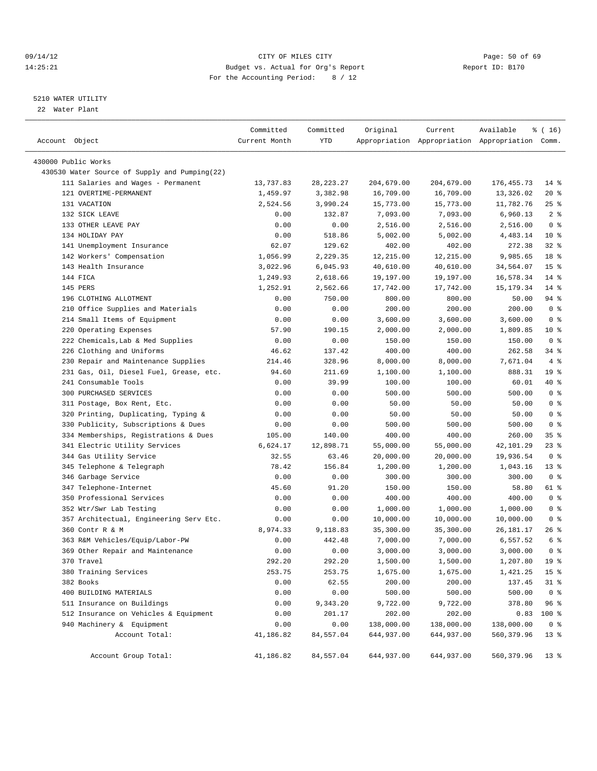#### 09/14/12 Page: 50 of 69 14:25:21 Budget vs. Actual for Org's Report Report ID: B170 For the Accounting Period: 8 / 12

————————————————————————————————————————————————————————————————————————————————————————————————————————————————————————————————————

#### 5210 WATER UTILITY

22 Water Plant

|                                               | Committed     | Committed   | Original   | Current    | Available                                       | ៖ ( 16)         |
|-----------------------------------------------|---------------|-------------|------------|------------|-------------------------------------------------|-----------------|
| Account Object                                | Current Month | YTD         |            |            | Appropriation Appropriation Appropriation Comm. |                 |
|                                               |               |             |            |            |                                                 |                 |
| 430000 Public Works                           |               |             |            |            |                                                 |                 |
| 430530 Water Source of Supply and Pumping(22) |               |             |            |            |                                                 |                 |
| 111 Salaries and Wages - Permanent            | 13,737.83     | 28, 223. 27 | 204,679.00 | 204,679.00 | 176, 455.73                                     | $14$ %          |
| 121 OVERTIME-PERMANENT                        | 1,459.97      | 3,382.98    | 16,709.00  | 16,709.00  | 13,326.02                                       | 20%             |
| 131 VACATION                                  | 2,524.56      | 3,990.24    | 15,773.00  | 15,773.00  | 11,782.76                                       | $25$ $%$        |
| 132 SICK LEAVE                                | 0.00          | 132.87      | 7,093.00   | 7,093.00   | 6,960.13                                        | 2 <sup>8</sup>  |
| 133 OTHER LEAVE PAY                           | 0.00          | 0.00        | 2,516.00   | 2,516.00   | 2,516.00                                        | 0 <sup>8</sup>  |
| 134 HOLIDAY PAY                               | 0.00          | 518.86      | 5,002.00   | 5,002.00   | 4,483.14                                        | $10*$           |
| 141 Unemployment Insurance                    | 62.07         | 129.62      | 402.00     | 402.00     | 272.38                                          | $32$ $%$        |
| 142 Workers' Compensation                     | 1,056.99      | 2,229.35    | 12,215.00  | 12,215.00  | 9,985.65                                        | 18 %            |
| 143 Health Insurance                          | 3,022.96      | 6,045.93    | 40,610.00  | 40,610.00  | 34,564.07                                       | 15 <sup>°</sup> |
| 144 FICA                                      | 1,249.93      | 2,618.66    | 19,197.00  | 19,197.00  | 16,578.34                                       | $14*$           |
| 145 PERS                                      | 1,252.91      | 2,562.66    | 17,742.00  | 17,742.00  | 15, 179. 34                                     | 14 %            |
| 196 CLOTHING ALLOTMENT                        | 0.00          | 750.00      | 800.00     | 800.00     | 50.00                                           | 94 %            |
| 210 Office Supplies and Materials             | 0.00          | 0.00        | 200.00     | 200.00     | 200.00                                          | 0 <sup>8</sup>  |
| 214 Small Items of Equipment                  | 0.00          | 0.00        | 3,600.00   | 3,600.00   | 3,600.00                                        | 0 <sup>8</sup>  |
| 220 Operating Expenses                        | 57.90         | 190.15      | 2,000.00   | 2,000.00   | 1,809.85                                        | $10*$           |
| 222 Chemicals, Lab & Med Supplies             | 0.00          | 0.00        | 150.00     | 150.00     | 150.00                                          | 0 <sup>8</sup>  |
| 226 Clothing and Uniforms                     | 46.62         | 137.42      | 400.00     | 400.00     | 262.58                                          | 34 %            |
| 230 Repair and Maintenance Supplies           | 214.46        | 328.96      | 8,000.00   | 8,000.00   | 7,671.04                                        | 4%              |
| 231 Gas, Oil, Diesel Fuel, Grease, etc.       | 94.60         | 211.69      | 1,100.00   | 1,100.00   | 888.31                                          | 19 <sup>°</sup> |
| 241 Consumable Tools                          | 0.00          | 39.99       | 100.00     | 100.00     | 60.01                                           | 40 %            |
| 300 PURCHASED SERVICES                        | 0.00          | 0.00        | 500.00     | 500.00     | 500.00                                          | 0 <sup>8</sup>  |
| 311 Postage, Box Rent, Etc.                   | 0.00          | 0.00        | 50.00      | 50.00      | 50.00                                           | 0 <sup>8</sup>  |
| 320 Printing, Duplicating, Typing &           | 0.00          | 0.00        | 50.00      | 50.00      | 50.00                                           | 0 <sup>8</sup>  |
| 330 Publicity, Subscriptions & Dues           | 0.00          | 0.00        | 500.00     | 500.00     | 500.00                                          | 0 <sup>8</sup>  |
| 334 Memberships, Registrations & Dues         | 105.00        | 140.00      | 400.00     | 400.00     | 260.00                                          | 35%             |
| 341 Electric Utility Services                 | 6,624.17      | 12,898.71   | 55,000.00  | 55,000.00  | 42,101.29                                       | $23$ %          |
| 344 Gas Utility Service                       | 32.55         | 63.46       | 20,000.00  | 20,000.00  | 19,936.54                                       | 0 <sup>8</sup>  |
| 345 Telephone & Telegraph                     | 78.42         | 156.84      | 1,200.00   | 1,200.00   | 1,043.16                                        | 13 <sup>°</sup> |
| 346 Garbage Service                           | 0.00          | 0.00        | 300.00     | 300.00     | 300.00                                          | 0 <sup>8</sup>  |
| 347 Telephone-Internet                        | 45.60         | 91.20       | 150.00     | 150.00     | 58.80                                           | 61 %            |
| 350 Professional Services                     | 0.00          | 0.00        | 400.00     | 400.00     | 400.00                                          | 0 <sup>8</sup>  |
| 352 Wtr/Swr Lab Testing                       | 0.00          | 0.00        | 1,000.00   | 1,000.00   | 1,000.00                                        | 0 <sup>8</sup>  |
| 357 Architectual, Engineering Serv Etc.       | 0.00          | 0.00        | 10,000.00  | 10,000.00  | 10,000.00                                       | 0 <sup>8</sup>  |
| 360 Contr R & M                               | 8,974.33      | 9,118.83    | 35,300.00  | 35,300.00  | 26,181.17                                       | 26%             |
| 363 R&M Vehicles/Equip/Labor-PW               | 0.00          | 442.48      | 7,000.00   | 7,000.00   | 6,557.52                                        | 6 %             |
| 369 Other Repair and Maintenance              | 0.00          | 0.00        | 3,000.00   | 3,000.00   | 3,000.00                                        | 0 <sup>8</sup>  |
| 370 Travel                                    | 292.20        | 292.20      | 1,500.00   | 1,500.00   | 1,207.80                                        | 19 %            |
| 380 Training Services                         | 253.75        | 253.75      | 1,675.00   | 1,675.00   | 1,421.25                                        | 15 <sup>8</sup> |
| 382 Books                                     | 0.00          | 62.55       | 200.00     | 200.00     | 137.45                                          | $31$ %          |
| 400 BUILDING MATERIALS                        | 0.00          | 0.00        | 500.00     | 500.00     | 500.00                                          | 0 <sup>8</sup>  |
| 511 Insurance on Buildings                    | 0.00          | 9,343.20    | 9,722.00   | 9,722.00   | 378.80                                          | 96%             |
| 512 Insurance on Vehicles & Equipment         | 0.00          | 201.17      | 202.00     | 202.00     | 0.83                                            | 100 %           |
| 940 Machinery & Equipment                     | 0.00          | 0.00        | 138,000.00 | 138,000.00 | 138,000.00                                      | 0 <sup>8</sup>  |
| Account Total:                                | 41,186.82     | 84,557.04   | 644,937.00 | 644,937.00 | 560, 379.96                                     | 13 <sup>°</sup> |
| Account Group Total:                          | 41,186.82     | 84,557.04   | 644,937.00 | 644,937.00 | 560, 379.96                                     | $13*$           |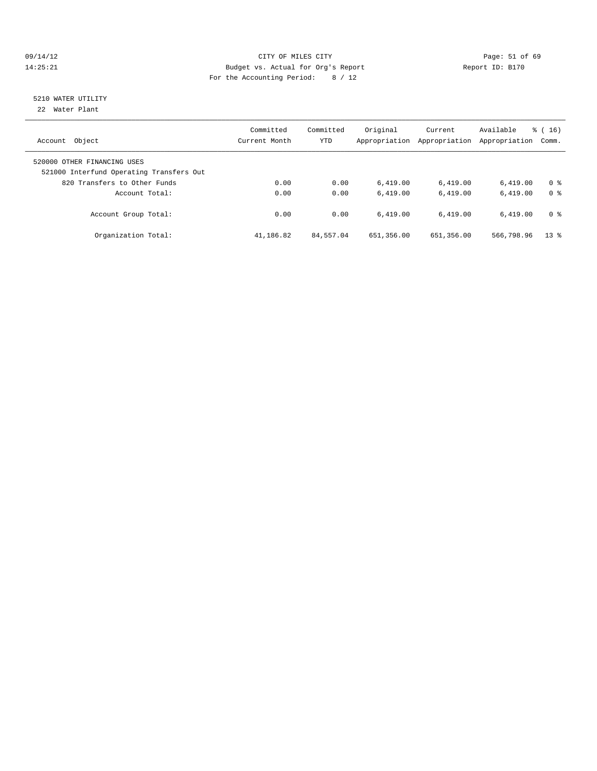#### 09/14/12 Page: 51 of 69 14:25:21 Budget vs. Actual for Org's Report Report ID: B170 For the Accounting Period: 8 / 12

# 5210 WATER UTILITY

22 Water Plant

| Object<br>Account                                                                                       | Committed<br>Current Month | Committed<br><b>YTD</b> | Original<br>Appropriation | Current<br>Appropriation | Available<br>Appropriation | $\frac{1}{6}$ ( 16 )<br>Comm. |
|---------------------------------------------------------------------------------------------------------|----------------------------|-------------------------|---------------------------|--------------------------|----------------------------|-------------------------------|
| 520000 OTHER FINANCING USES<br>521000 Interfund Operating Transfers Out<br>820 Transfers to Other Funds | 0.00                       | 0.00                    | 6.419.00                  |                          | 6.419.00                   | 0 <sup>8</sup>                |
| Account Total:                                                                                          | 0.00                       | 0.00                    | 6.419.00                  | 6,419.00<br>6.419.00     | 6.419.00                   | 0 <sup>8</sup>                |
| Account Group Total:                                                                                    | 0.00                       | 0.00                    | 6.419.00                  | 6.419.00                 | 6.419.00                   | 0 <sup>8</sup>                |
| Organization Total:                                                                                     | 41,186.82                  | 84,557.04               | 651,356.00                | 651,356.00               | 566,798.96                 | $13*$                         |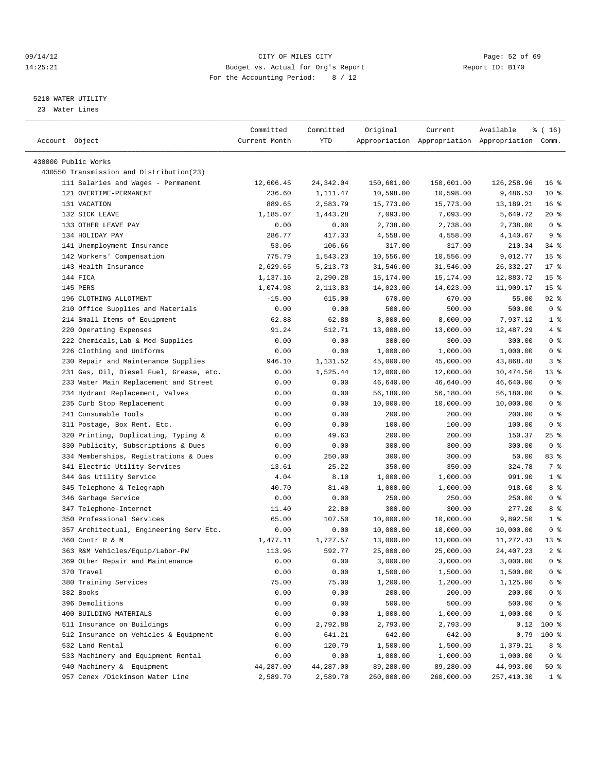#### 09/14/12 Page: 52 of 69 14:25:21 Budget vs. Actual for Org's Report Report ID: B170 For the Accounting Period: 8 / 12

————————————————————————————————————————————————————————————————————————————————————————————————————————————————————————————————————

#### 5210 WATER UTILITY

23 Water Lines

|                                                                 | Committed     | Committed      | Original   | Current    | Available                                       | $\frac{1}{6}$ (16)       |
|-----------------------------------------------------------------|---------------|----------------|------------|------------|-------------------------------------------------|--------------------------|
| Account Object                                                  | Current Month | YTD            |            |            | Appropriation Appropriation Appropriation Comm. |                          |
|                                                                 |               |                |            |            |                                                 |                          |
| 430000 Public Works<br>430550 Transmission and Distribution(23) |               |                |            |            |                                                 |                          |
|                                                                 |               |                |            |            |                                                 | 16 <sup>8</sup>          |
| 111 Salaries and Wages - Permanent<br>121 OVERTIME-PERMANENT    | 12,606.45     | 24,342.04      | 150,601.00 | 150,601.00 | 126,258.96                                      |                          |
|                                                                 | 236.60        | 1,111.47       | 10,598.00  | 10,598.00  | 9,486.53                                        | $10*$                    |
| 131 VACATION                                                    | 889.65        | 2,583.79       | 15,773.00  | 15,773.00  | 13,189.21                                       | 16 <sup>°</sup><br>$20*$ |
| 132 SICK LEAVE<br>133 OTHER LEAVE PAY                           | 1,185.07      | 1,443.28       | 7,093.00   | 7,093.00   | 5,649.72<br>2,738.00                            | 0 <sup>8</sup>           |
| 134 HOLIDAY PAY                                                 | 0.00          | 0.00<br>417.33 | 2,738.00   | 2,738.00   | 4,140.67                                        | 9 <sub>8</sub>           |
|                                                                 | 286.77        |                | 4,558.00   | 4,558.00   | 210.34                                          |                          |
| 141 Unemployment Insurance<br>142 Workers' Compensation         | 53.06         | 106.66         | 317.00     | 317.00     |                                                 | $34$ $%$                 |
| 143 Health Insurance                                            | 775.79        | 1,543.23       | 10,556.00  | 10,556.00  | 9,012.77                                        | 15 <sup>°</sup>          |
|                                                                 | 2,629.65      | 5, 213.73      | 31,546.00  | 31,546.00  | 26, 332.27                                      | $17*$                    |
| 144 FICA                                                        | 1,137.16      | 2,290.28       | 15,174.00  | 15,174.00  | 12,883.72                                       | 15 <sup>8</sup>          |
| 145 PERS                                                        | 1,074.98      | 2,113.83       | 14,023.00  | 14,023.00  | 11,909.17                                       | 15 <sup>8</sup>          |
| 196 CLOTHING ALLOTMENT                                          | $-15.00$      | 615.00         | 670.00     | 670.00     | 55.00                                           | $92$ $%$                 |
| 210 Office Supplies and Materials                               | 0.00          | 0.00           | 500.00     | 500.00     | 500.00                                          | 0 <sup>8</sup>           |
| 214 Small Items of Equipment                                    | 62.88         | 62.88          | 8,000.00   | 8,000.00   | 7,937.12                                        | 1 <sup>8</sup>           |
| 220 Operating Expenses                                          | 91.24         | 512.71         | 13,000.00  | 13,000.00  | 12,487.29                                       | 4%                       |
| 222 Chemicals, Lab & Med Supplies                               | 0.00          | 0.00           | 300.00     | 300.00     | 300.00                                          | 0 <sup>8</sup>           |
| 226 Clothing and Uniforms                                       | 0.00          | 0.00           | 1,000.00   | 1,000.00   | 1,000.00                                        | 0 <sup>8</sup>           |
| 230 Repair and Maintenance Supplies                             | 946.10        | 1,131.52       | 45,000.00  | 45,000.00  | 43,868.48                                       | 3%                       |
| 231 Gas, Oil, Diesel Fuel, Grease, etc.                         | 0.00          | 1,525.44       | 12,000.00  | 12,000.00  | 10,474.56                                       | $13$ %                   |
| 233 Water Main Replacement and Street                           | 0.00          | 0.00           | 46,640.00  | 46,640.00  | 46,640.00                                       | 0 <sup>8</sup>           |
| 234 Hydrant Replacement, Valves                                 | 0.00          | 0.00           | 56,180.00  | 56,180.00  | 56,180.00                                       | 0 <sup>8</sup>           |
| 235 Curb Stop Replacement                                       | 0.00          | 0.00           | 10,000.00  | 10,000.00  | 10,000.00                                       | 0 <sup>8</sup>           |
| 241 Consumable Tools                                            | 0.00          | 0.00           | 200.00     | 200.00     | 200.00                                          | 0 <sup>8</sup>           |
| 311 Postage, Box Rent, Etc.                                     | 0.00          | 0.00           | 100.00     | 100.00     | 100.00                                          | 0 <sup>8</sup>           |
| 320 Printing, Duplicating, Typing &                             | 0.00          | 49.63          | 200.00     | 200.00     | 150.37                                          | $25$ %                   |
| 330 Publicity, Subscriptions & Dues                             | 0.00          | 0.00           | 300.00     | 300.00     | 300.00                                          | 0 <sup>8</sup>           |
| 334 Memberships, Registrations & Dues                           | 0.00          | 250.00         | 300.00     | 300.00     | 50.00                                           | 83 %                     |
| 341 Electric Utility Services                                   | 13.61         | 25.22          | 350.00     | 350.00     | 324.78                                          | 7 %                      |
| 344 Gas Utility Service                                         | 4.04          | 8.10           | 1,000.00   | 1,000.00   | 991.90                                          | 1 <sup>°</sup>           |
| 345 Telephone & Telegraph                                       | 40.70         | 81.40          | 1,000.00   | 1,000.00   | 918.60                                          | 8 %                      |
| 346 Garbage Service                                             | 0.00          | 0.00           | 250.00     | 250.00     | 250.00                                          | 0 <sup>8</sup>           |
| 347 Telephone-Internet                                          | 11.40         | 22.80          | 300.00     | 300.00     | 277.20                                          | 8 %                      |
| 350 Professional Services                                       | 65.00         | 107.50         | 10,000.00  | 10,000.00  | 9,892.50                                        | 1 <sup>°</sup>           |
| 357 Architectual, Engineering Serv Etc.                         | 0.00          | 0.00           | 10,000.00  | 10,000.00  | 10,000.00                                       | 0 <sup>8</sup>           |
| 360 Contr R & M                                                 | 1,477.11      | 1,727.57       | 13,000.00  | 13,000.00  | 11,272.43                                       | 13 <sup>8</sup>          |
| 363 R&M Vehicles/Equip/Labor-PW                                 | 113.96        | 592.77         | 25,000.00  | 25,000.00  | 24, 407. 23                                     | 2 <sup>8</sup>           |
| 369 Other Repair and Maintenance                                | 0.00          | 0.00           | 3,000.00   | 3,000.00   | 3,000.00                                        | 0 <sup>8</sup>           |
| 370 Travel                                                      | 0.00          | 0.00           | 1,500.00   | 1,500.00   | 1,500.00                                        | $0$ %                    |
| 380 Training Services                                           | 75.00         | 75.00          | 1,200.00   | 1,200.00   | 1,125.00                                        | 6 %                      |
| 382 Books                                                       | 0.00          | 0.00           | 200.00     | 200.00     | 200.00                                          | $0$ %                    |
| 396 Demolitions                                                 | 0.00          | 0.00           | 500.00     | 500.00     | 500.00                                          | 0 %                      |
| 400 BUILDING MATERIALS                                          | 0.00          | 0.00           | 1,000.00   | 1,000.00   | 1,000.00                                        | 0 <sup>8</sup>           |
| 511 Insurance on Buildings                                      | 0.00          | 2,792.88       | 2,793.00   | 2,793.00   | 0.12                                            | 100 %                    |
| 512 Insurance on Vehicles & Equipment                           | 0.00          | 641.21         | 642.00     | 642.00     | 0.79                                            | 100 %                    |
| 532 Land Rental                                                 | 0.00          | 120.79         | 1,500.00   | 1,500.00   | 1,379.21                                        | 8 %                      |
| 533 Machinery and Equipment Rental                              | 0.00          | 0.00           | 1,000.00   | 1,000.00   | 1,000.00                                        | 0 <sup>8</sup>           |
| 940 Machinery & Equipment                                       | 44,287.00     | 44,287.00      | 89,280.00  | 89,280.00  | 44,993.00                                       | 50 %                     |
| 957 Cenex /Dickinson Water Line                                 | 2,589.70      | 2,589.70       | 260,000.00 | 260,000.00 | 257, 410.30                                     | $1$ %                    |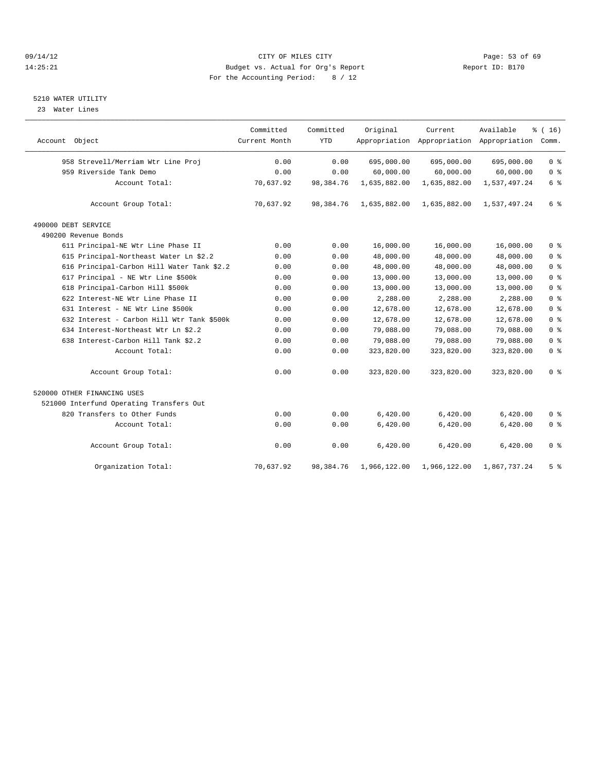#### 09/14/12 Page: 53 of 69 14:25:21 Budget vs. Actual for Org's Report Report ID: B170 For the Accounting Period: 8 / 12

### 5210 WATER UTILITY

23 Water Lines

|                                            | Committed     | Committed   | Original     | Current      | Available                                 | % (16)         |
|--------------------------------------------|---------------|-------------|--------------|--------------|-------------------------------------------|----------------|
| Account Object                             | Current Month | <b>YTD</b>  |              |              | Appropriation Appropriation Appropriation | Comm.          |
| 958 Strevell/Merriam Wtr Line Proj         | 0.00          | 0.00        | 695,000.00   | 695,000.00   | 695,000.00                                | 0 <sup>8</sup> |
| 959 Riverside Tank Demo                    | 0.00          | 0.00        | 60,000.00    | 60,000.00    | 60,000.00                                 | 0 <sup>°</sup> |
| Account Total:                             | 70,637.92     | 98,384.76   | 1,635,882.00 | 1,635,882.00 | 1,537,497.24                              | $6\degree$     |
| Account Group Total:                       | 70,637.92     | 98,384.76   | 1,635,882.00 | 1,635,882.00 | 1,537,497.24                              | $6\degree$     |
| 490000 DEBT SERVICE                        |               |             |              |              |                                           |                |
| 490200 Revenue Bonds                       |               |             |              |              |                                           |                |
| 611 Principal-NE Wtr Line Phase II         | 0.00          | 0.00        | 16,000.00    | 16,000.00    | 16,000.00                                 | 0 <sup>8</sup> |
| 615 Principal-Northeast Water Ln \$2.2     | 0.00          | 0.00        | 48,000.00    | 48,000.00    | 48,000.00                                 | 0 <sup>°</sup> |
| 616 Principal-Carbon Hill Water Tank \$2.2 | 0.00          | 0.00        | 48,000.00    | 48,000.00    | 48,000.00                                 | 0 <sup>8</sup> |
| 617 Principal - NE Wtr Line \$500k         | 0.00          | 0.00        | 13,000.00    | 13,000.00    | 13,000.00                                 | 0 <sup>°</sup> |
| 618 Principal-Carbon Hill \$500k           | 0.00          | 0.00        | 13,000.00    | 13,000.00    | 13,000.00                                 | 0 <sup>°</sup> |
| 622 Interest-NE Wtr Line Phase II          | 0.00          | 0.00        | 2,288.00     | 2,288.00     | 2,288.00                                  | 0 <sup>°</sup> |
| 631 Interest - NE Wtr Line \$500k          | 0.00          | 0.00        | 12,678.00    | 12,678.00    | 12,678.00                                 | 0 <sup>8</sup> |
| 632 Interest - Carbon Hill Wtr Tank \$500k | 0.00          | 0.00        | 12,678.00    | 12,678.00    | 12,678.00                                 | 0 <sup>8</sup> |
| 634 Interest-Northeast Wtr Ln \$2.2        | 0.00          | 0.00        | 79,088.00    | 79,088.00    | 79,088.00                                 | 0 <sup>°</sup> |
| 638 Interest-Carbon Hill Tank \$2.2        | 0.00          | 0.00        | 79,088.00    | 79,088.00    | 79,088.00                                 | 0 <sup>°</sup> |
| Account Total:                             | 0.00          | 0.00        | 323,820.00   | 323,820.00   | 323,820.00                                | 0 <sup>8</sup> |
| Account Group Total:                       | 0.00          | 0.00        | 323,820.00   | 323,820.00   | 323,820.00                                | 0 <sup>8</sup> |
| 520000 OTHER FINANCING USES                |               |             |              |              |                                           |                |
| 521000 Interfund Operating Transfers Out   |               |             |              |              |                                           |                |
| 820 Transfers to Other Funds               | 0.00          | 0.00        | 6,420.00     | 6,420.00     | 6,420.00                                  | 0 <sup>8</sup> |
| Account Total:                             | 0.00          | 0.00        | 6,420.00     | 6,420.00     | 6,420.00                                  | 0 <sup>8</sup> |
| Account Group Total:                       | 0.00          | 0.00        | 6,420.00     | 6,420.00     | 6,420.00                                  | 0 <sup>8</sup> |
| Organization Total:                        | 70,637.92     | 98, 384. 76 | 1,966,122.00 | 1,966,122.00 | 1,867,737.24                              | 5 <sup>8</sup> |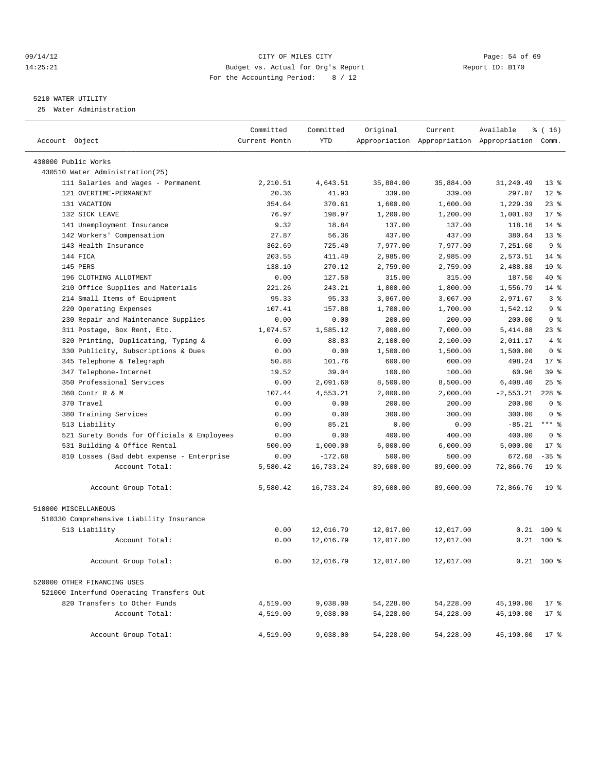#### 09/14/12 Page: 54 of 69 14:25:21 Budget vs. Actual for Org's Report Report ID: B170 For the Accounting Period: 8 / 12

————————————————————————————————————————————————————————————————————————————————————————————————————————————————————————————————————

#### 5210 WATER UTILITY

25 Water Administration

|                                            | Committed     | Committed  | Original  | Current   | Available                                       | $\frac{1}{6}$ ( 16 ) |  |
|--------------------------------------------|---------------|------------|-----------|-----------|-------------------------------------------------|----------------------|--|
| Account Object                             | Current Month | <b>YTD</b> |           |           | Appropriation Appropriation Appropriation Comm. |                      |  |
| 430000 Public Works                        |               |            |           |           |                                                 |                      |  |
| 430510 Water Administration(25)            |               |            |           |           |                                                 |                      |  |
| 111 Salaries and Wages - Permanent         | 2,210.51      | 4,643.51   | 35,884.00 | 35,884.00 | 31,240.49                                       | $13*$                |  |
| 121 OVERTIME-PERMANENT                     | 20.36         | 41.93      | 339.00    | 339.00    | 297.07                                          | $12*$                |  |
| 131 VACATION                               | 354.64        | 370.61     | 1,600.00  | 1,600.00  | 1,229.39                                        | $23$ $%$             |  |
| 132 SICK LEAVE                             | 76.97         | 198.97     | 1,200.00  | 1,200.00  | 1,001.03                                        | $17*$                |  |
| 141 Unemployment Insurance                 | 9.32          | 18.84      | 137.00    | 137.00    | 118.16                                          | $14*$                |  |
| 142 Workers' Compensation                  | 27.87         | 56.36      | 437.00    | 437.00    | 380.64                                          | $13*$                |  |
| 143 Health Insurance                       | 362.69        | 725.40     | 7,977.00  | 7,977.00  | 7,251.60                                        | 9 <sup>°</sup>       |  |
| 144 FICA                                   | 203.55        | 411.49     | 2,985.00  | 2,985.00  | 2,573.51                                        | $14$ %               |  |
| 145 PERS                                   | 138.10        | 270.12     | 2,759.00  | 2,759.00  | 2,488.88                                        | $10*$                |  |
| 196 CLOTHING ALLOTMENT                     | 0.00          | 127.50     | 315.00    | 315.00    | 187.50                                          | 40 %                 |  |
| 210 Office Supplies and Materials          | 221.26        | 243.21     | 1,800.00  | 1,800.00  | 1,556.79                                        | $14$ %               |  |
| 214 Small Items of Equipment               | 95.33         | 95.33      | 3,067.00  | 3,067.00  | 2,971.67                                        | 3%                   |  |
| 220 Operating Expenses                     | 107.41        | 157.88     | 1,700.00  | 1,700.00  | 1,542.12                                        | 9%                   |  |
| 230 Repair and Maintenance Supplies        | 0.00          | 0.00       | 200.00    | 200.00    | 200.00                                          | 0 <sup>8</sup>       |  |
| 311 Postage, Box Rent, Etc.                | 1,074.57      | 1,585.12   | 7,000.00  | 7,000.00  | 5,414.88                                        | 23 %                 |  |
| 320 Printing, Duplicating, Typing &        | 0.00          | 88.83      | 2,100.00  | 2,100.00  | 2,011.17                                        | 4%                   |  |
| 330 Publicity, Subscriptions & Dues        | 0.00          | 0.00       | 1,500.00  | 1,500.00  | 1,500.00                                        | 0 <sup>8</sup>       |  |
| 345 Telephone & Telegraph                  | 50.88         | 101.76     | 600.00    | 600.00    | 498.24                                          | $17*$                |  |
| 347 Telephone-Internet                     | 19.52         | 39.04      | 100.00    | 100.00    | 60.96                                           | 39 %                 |  |
| 350 Professional Services                  | 0.00          | 2,091.60   | 8,500.00  | 8,500.00  | 6,408.40                                        | $25$ %               |  |
| 360 Contr R & M                            | 107.44        | 4,553.21   | 2,000.00  | 2,000.00  | $-2, 553.21$                                    | $228$ %              |  |
| 370 Travel                                 | 0.00          | 0.00       | 200.00    | 200.00    | 200.00                                          | 0 <sup>8</sup>       |  |
| 380 Training Services                      | 0.00          | 0.00       | 300.00    | 300.00    | 300.00                                          | 0 <sup>8</sup>       |  |
| 513 Liability                              | 0.00          | 85.21      | 0.00      | 0.00      | $-85.21$                                        | $***$ $%$            |  |
| 521 Surety Bonds for Officials & Employees | 0.00          | 0.00       | 400.00    | 400.00    | 400.00                                          | 0 <sup>8</sup>       |  |
| 531 Building & Office Rental               | 500.00        | 1,000.00   | 6,000.00  | 6,000.00  | 5,000.00                                        | $17*$                |  |
| 810 Losses (Bad debt expense - Enterprise  | 0.00          | $-172.68$  | 500.00    | 500.00    | 672.68                                          | $-35$ $%$            |  |
| Account Total:                             | 5,580.42      | 16,733.24  | 89,600.00 | 89,600.00 | 72,866.76                                       | 19 <sup>°</sup>      |  |
| Account Group Total:                       | 5,580.42      | 16,733.24  | 89,600.00 | 89,600.00 | 72,866.76                                       | 19 <sup>°</sup>      |  |
| 510000 MISCELLANEOUS                       |               |            |           |           |                                                 |                      |  |
| 510330 Comprehensive Liability Insurance   |               |            |           |           |                                                 |                      |  |
| 513 Liability                              | 0.00          | 12,016.79  | 12,017.00 | 12,017.00 |                                                 | $0.21$ 100 %         |  |
| Account Total:                             | 0.00          | 12,016.79  | 12,017.00 | 12,017.00 |                                                 | $0.21$ 100 %         |  |
| Account Group Total:                       | 0.00          | 12,016.79  | 12,017.00 | 12,017.00 |                                                 | $0.21$ 100 %         |  |
| 520000 OTHER FINANCING USES                |               |            |           |           |                                                 |                      |  |
| 521000 Interfund Operating Transfers Out   |               |            |           |           |                                                 |                      |  |
| 820 Transfers to Other Funds               | 4,519.00      | 9,038.00   | 54,228.00 | 54,228.00 | 45,190.00                                       | $17$ %               |  |
| Account Total:                             | 4,519.00      | 9,038.00   | 54,228.00 | 54,228.00 | 45,190.00                                       | $17*$                |  |
| Account Group Total:                       | 4,519.00      | 9,038.00   | 54,228.00 | 54,228.00 | 45,190.00                                       | $17$ %               |  |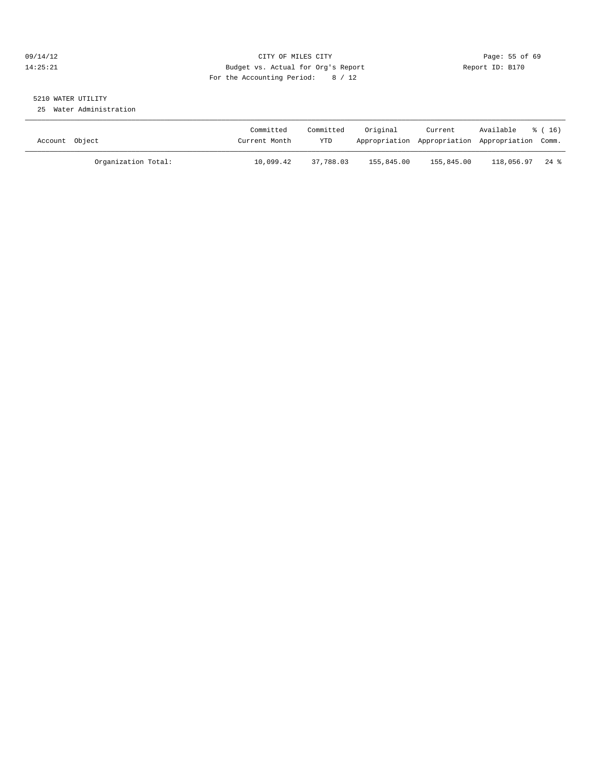#### 09/14/12 Page: 55 of 69 14:25:21 Budget vs. Actual for Org's Report Report ID: B170 For the Accounting Period: 8 / 12

# 5210 WATER UTILITY

25 Water Administration

| Account Object |                     | Committed<br>Current Month | Committed<br><b>YTD</b> | Original   | Current    | Available<br>Appropriation Appropriation Appropriation Comm. | % (16) |
|----------------|---------------------|----------------------------|-------------------------|------------|------------|--------------------------------------------------------------|--------|
|                | Organization Total: | 10,099.42                  | 37,788.03               | 155,845.00 | 155,845.00 | 118,056.97                                                   | 24 %   |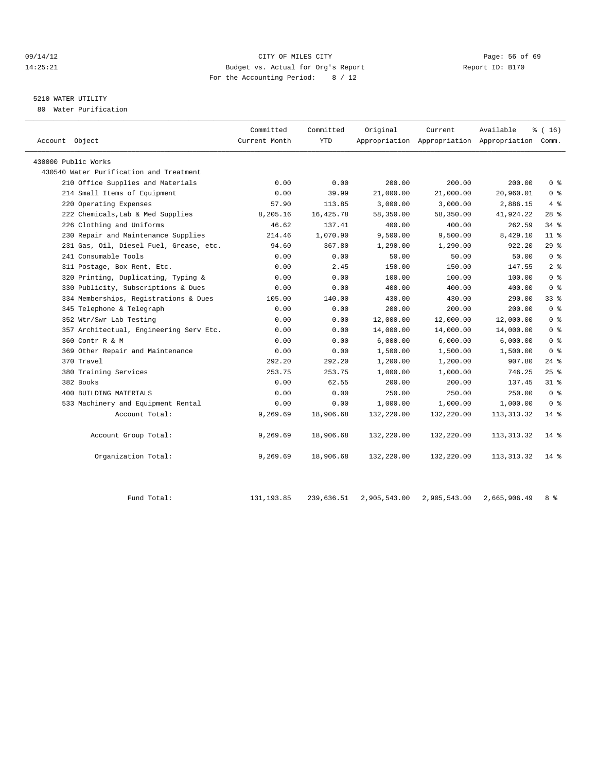#### 09/14/12 Page: 56 of 69 14:25:21 Budget vs. Actual for Org's Report Report ID: B170 For the Accounting Period: 8 / 12

#### 5210 WATER UTILITY

80 Water Purification

| Account Object                          | Committed<br>Current Month | Committed<br>YTD | Original     | Current      | Available<br>Appropriation Appropriation Appropriation Comm. | % (16)         |
|-----------------------------------------|----------------------------|------------------|--------------|--------------|--------------------------------------------------------------|----------------|
| 430000 Public Works                     |                            |                  |              |              |                                                              |                |
| 430540 Water Purification and Treatment |                            |                  |              |              |                                                              |                |
| 210 Office Supplies and Materials       | 0.00                       | 0.00             | 200.00       | 200.00       | 200.00                                                       | 0 <sup>8</sup> |
| 214 Small Items of Equipment            | 0.00                       | 39.99            | 21,000.00    | 21,000.00    | 20,960.01                                                    | 0 <sup>8</sup> |
| 220 Operating Expenses                  | 57.90                      | 113.85           | 3,000.00     | 3,000.00     | 2,886.15                                                     | 4%             |
| 222 Chemicals, Lab & Med Supplies       | 8,205.16                   | 16, 425.78       | 58,350.00    | 58,350.00    | 41,924.22                                                    | 28%            |
| 226 Clothing and Uniforms               | 46.62                      | 137.41           | 400.00       | 400.00       | 262.59                                                       | 34 %           |
| 230 Repair and Maintenance Supplies     | 214.46                     | 1,070.90         | 9,500.00     | 9,500.00     | 8,429.10                                                     | $11$ %         |
| 231 Gas, Oil, Diesel Fuel, Grease, etc. | 94.60                      | 367.80           | 1,290.00     | 1,290.00     | 922.20                                                       | 29%            |
| 241 Consumable Tools                    | 0.00                       | 0.00             | 50.00        | 50.00        | 50.00                                                        | 0 <sup>8</sup> |
| 311 Postage, Box Rent, Etc.             | 0.00                       | 2.45             | 150.00       | 150.00       | 147.55                                                       | 2 <sup>8</sup> |
| 320 Printing, Duplicating, Typing &     | 0.00                       | 0.00             | 100.00       | 100.00       | 100.00                                                       | 0 <sup>8</sup> |
| 330 Publicity, Subscriptions & Dues     | 0.00                       | 0.00             | 400.00       | 400.00       | 400.00                                                       | 0 <sup>8</sup> |
| 334 Memberships, Registrations & Dues   | 105.00                     | 140.00           | 430.00       | 430.00       | 290.00                                                       | 33 %           |
| 345 Telephone & Telegraph               | 0.00                       | 0.00             | 200.00       | 200.00       | 200.00                                                       | 0 <sup>8</sup> |
| 352 Wtr/Swr Lab Testing                 | 0.00                       | 0.00             | 12,000.00    | 12,000.00    | 12,000.00                                                    | 0 <sup>8</sup> |
| 357 Architectual, Engineering Serv Etc. | 0.00                       | 0.00             | 14,000.00    | 14,000.00    | 14,000.00                                                    | 0 <sup>8</sup> |
| 360 Contr R & M                         | 0.00                       | 0.00             | 6,000.00     | 6,000.00     | 6,000.00                                                     | 0 <sup>8</sup> |
| 369 Other Repair and Maintenance        | 0.00                       | 0.00             | 1,500.00     | 1,500.00     | 1,500.00                                                     | 0 <sup>8</sup> |
| 370 Travel                              | 292.20                     | 292.20           | 1,200.00     | 1,200.00     | 907.80                                                       | $24$ %         |
| 380 Training Services                   | 253.75                     | 253.75           | 1,000.00     | 1,000.00     | 746.25                                                       | 25%            |
| 382 Books                               | 0.00                       | 62.55            | 200.00       | 200.00       | 137.45                                                       | $31$ %         |
| 400 BUILDING MATERIALS                  | 0.00                       | 0.00             | 250.00       | 250.00       | 250.00                                                       | 0 <sup>8</sup> |
| 533 Machinery and Equipment Rental      | 0.00                       | 0.00             | 1,000.00     | 1,000.00     | 1,000.00                                                     | 0 <sup>8</sup> |
| Account Total:                          | 9,269.69                   | 18,906.68        | 132,220.00   | 132,220.00   | 113, 313. 32                                                 | $14$ %         |
| Account Group Total:                    | 9,269.69                   | 18,906.68        | 132,220.00   | 132,220.00   | 113, 313. 32                                                 | $14*$          |
| Organization Total:                     | 9,269.69                   | 18,906.68        | 132,220.00   | 132,220.00   | 113, 313.32                                                  | $14$ %         |
| Fund Total:                             | 131, 193.85                | 239,636.51       | 2,905,543.00 | 2,905,543.00 | 2,665,906.49                                                 | 8 %            |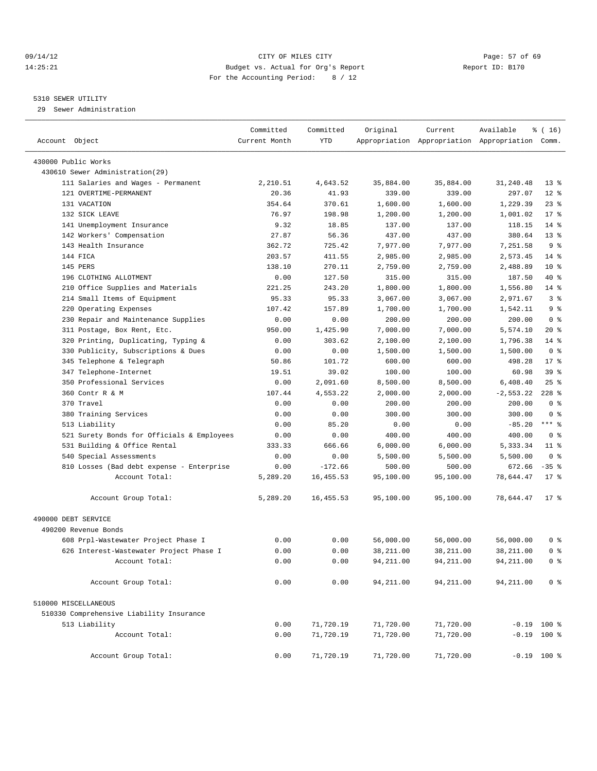#### 09/14/12 Page: 57 of 69 14:25:21 Budget vs. Actual for Org's Report Report ID: B170 For the Accounting Period: 8 / 12

#### 5310 SEWER UTILITY

29 Sewer Administration

| Account Object                             | Committed<br>Current Month | Committed<br><b>YTD</b> | Original  | Current    | Available<br>Appropriation Appropriation Appropriation Comm. | % (16)          |
|--------------------------------------------|----------------------------|-------------------------|-----------|------------|--------------------------------------------------------------|-----------------|
| 430000 Public Works                        |                            |                         |           |            |                                                              |                 |
| 430610 Sewer Administration(29)            |                            |                         |           |            |                                                              |                 |
| 111 Salaries and Wages - Permanent         | 2,210.51                   | 4,643.52                | 35,884.00 | 35,884.00  | 31,240.48                                                    | $13*$           |
| 121 OVERTIME-PERMANENT                     | 20.36                      | 41.93                   | 339.00    | 339.00     | 297.07                                                       | $12*$           |
| 131 VACATION                               | 354.64                     | 370.61                  | 1,600.00  | 1,600.00   | 1,229.39                                                     | $23$ $%$        |
| 132 SICK LEAVE                             | 76.97                      | 198.98                  | 1,200.00  | 1,200.00   | 1,001.02                                                     | $17*$           |
| 141 Unemployment Insurance                 | 9.32                       | 18.85                   | 137.00    | 137.00     | 118.15                                                       | $14$ %          |
| 142 Workers' Compensation                  | 27.87                      | 56.36                   | 437.00    | 437.00     | 380.64                                                       | $13*$           |
| 143 Health Insurance                       | 362.72                     | 725.42                  | 7,977.00  | 7,977.00   | 7,251.58                                                     | 9 <sup>8</sup>  |
| 144 FICA                                   | 203.57                     | 411.55                  | 2,985.00  | 2,985.00   | 2,573.45                                                     | $14$ %          |
| 145 PERS                                   | 138.10                     | 270.11                  | 2,759.00  | 2,759.00   | 2,488.89                                                     | $10*$           |
| 196 CLOTHING ALLOTMENT                     | 0.00                       | 127.50                  | 315.00    | 315.00     | 187.50                                                       | 40 %            |
| 210 Office Supplies and Materials          | 221.25                     | 243.20                  | 1,800.00  | 1,800.00   | 1,556.80                                                     | $14$ %          |
| 214 Small Items of Equipment               | 95.33                      | 95.33                   | 3,067.00  | 3,067.00   | 2,971.67                                                     | 3 <sup>8</sup>  |
| Operating Expenses<br>220                  | 107.42                     | 157.89                  | 1,700.00  | 1,700.00   | 1,542.11                                                     | 9 <sup>8</sup>  |
| 230 Repair and Maintenance Supplies        | 0.00                       | 0.00                    | 200.00    | 200.00     | 200.00                                                       | 0 <sup>8</sup>  |
| 311 Postage, Box Rent, Etc.                | 950.00                     | 1,425.90                | 7,000.00  | 7,000.00   | 5,574.10                                                     | $20*$           |
| 320 Printing, Duplicating, Typing &        | 0.00                       | 303.62                  | 2,100.00  | 2,100.00   | 1,796.38                                                     | $14$ %          |
| 330 Publicity, Subscriptions & Dues        | 0.00                       | 0.00                    | 1,500.00  | 1,500.00   | 1,500.00                                                     | 0 <sup>8</sup>  |
| Telephone & Telegraph<br>345               | 50.86                      | 101.72                  | 600.00    | 600.00     | 498.28                                                       | $17*$           |
| 347 Telephone-Internet                     | 19.51                      | 39.02                   | 100.00    | 100.00     | 60.98                                                        | 39 %            |
| 350 Professional Services                  | 0.00                       | 2,091.60                | 8,500.00  | 8,500.00   | 6,408.40                                                     | $25$ $%$        |
| 360 Contr R & M                            | 107.44                     | 4,553.22                | 2,000.00  | 2,000.00   | $-2, 553.22$                                                 | $228$ %         |
| 370 Travel                                 | 0.00                       | 0.00                    | 200.00    | 200.00     | 200.00                                                       | 0 <sup>8</sup>  |
| 380 Training Services                      | 0.00                       | 0.00                    | 300.00    | 300.00     | 300.00                                                       | 0 <sup>8</sup>  |
| 513 Liability                              | 0.00                       | 85.20                   | 0.00      | 0.00       | $-85.20$                                                     | $***$ $-$       |
| 521 Surety Bonds for Officials & Employees | 0.00                       | 0.00                    | 400.00    | 400.00     | 400.00                                                       | 0 <sup>8</sup>  |
| 531 Building & Office Rental               | 333.33                     | 666.66                  | 6,000.00  | 6,000.00   | 5,333.34                                                     | 11 <sup>8</sup> |
| 540 Special Assessments                    | 0.00                       | 0.00                    | 5,500.00  | 5,500.00   | 5,500.00                                                     | 0 <sup>8</sup>  |
| 810 Losses (Bad debt expense - Enterprise  | 0.00                       | $-172.66$               | 500.00    | 500.00     | 672.66                                                       | $-35$ %         |
| Account Total:                             | 5,289.20                   | 16, 455.53              | 95,100.00 | 95,100.00  | 78,644.47                                                    | $17*$           |
| Account Group Total:                       | 5,289.20                   | 16, 455.53              | 95,100.00 | 95,100.00  | 78,644.47                                                    | $17$ %          |
| 490000 DEBT SERVICE                        |                            |                         |           |            |                                                              |                 |
| 490200 Revenue Bonds                       |                            |                         |           |            |                                                              |                 |
| 608 Prpl-Wastewater Project Phase I        | 0.00                       | 0.00                    | 56,000.00 | 56,000.00  | 56,000.00                                                    | 0 <sup>8</sup>  |
| 626 Interest-Wastewater Project Phase I    | 0.00                       | 0.00                    | 38,211.00 | 38,211.00  | 38,211.00                                                    | 0 <sup>8</sup>  |
| Account Total:                             | 0.00                       | 0.00                    | 94,211.00 | 94, 211.00 | 94,211.00                                                    | 0 <sup>8</sup>  |
| Account Group Total:                       | 0.00                       | 0.00                    | 94,211.00 | 94,211.00  | 94,211.00                                                    | 0 <sup>8</sup>  |
| 510000 MISCELLANEOUS                       |                            |                         |           |            |                                                              |                 |
| 510330 Comprehensive Liability Insurance   |                            |                         |           |            |                                                              |                 |
| 513 Liability                              | 0.00                       | 71,720.19               | 71,720.00 | 71,720.00  |                                                              | $-0.19$ 100 %   |
| Account Total:                             | 0.00                       | 71,720.19               | 71,720.00 | 71,720.00  |                                                              | $-0.19$ 100 %   |
| Account Group Total:                       | 0.00                       | 71,720.19               | 71,720.00 | 71,720.00  |                                                              | $-0.19$ 100 %   |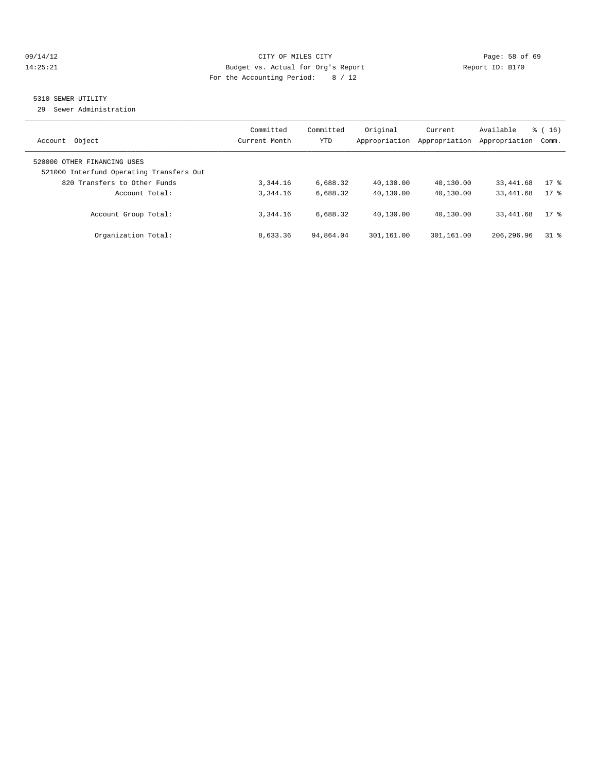#### 09/14/12 Page: 58 of 69 14:25:21 Budget vs. Actual for Org's Report Report ID: B170 For the Accounting Period: 8 / 12

### 5310 SEWER UTILITY

29 Sewer Administration

| Object<br>Account                                                       | Committed<br>Current Month | Committed<br><b>YTD</b> | Original<br>Appropriation | Current<br>Appropriation | Available<br>Appropriation | $\frac{1}{6}$ ( 16 )<br>Comm. |
|-------------------------------------------------------------------------|----------------------------|-------------------------|---------------------------|--------------------------|----------------------------|-------------------------------|
| 520000 OTHER FINANCING USES<br>521000 Interfund Operating Transfers Out |                            |                         |                           |                          |                            |                               |
| 820 Transfers to Other Funds<br>Account Total:                          | 3, 344, 16<br>3,344.16     | 6,688.32<br>6,688.32    | 40,130.00<br>40,130.00    | 40,130.00<br>40,130.00   | 33,441.68<br>33,441.68     | $17$ %<br>$17*$               |
| Account Group Total:                                                    | 3,344.16                   | 6,688.32                | 40,130.00                 | 40,130.00                | 33, 441.68                 | $17*$                         |
| Organization Total:                                                     | 8,633.36                   | 94,864.04               | 301,161.00                | 301,161.00               | 206, 296.96                | 318                           |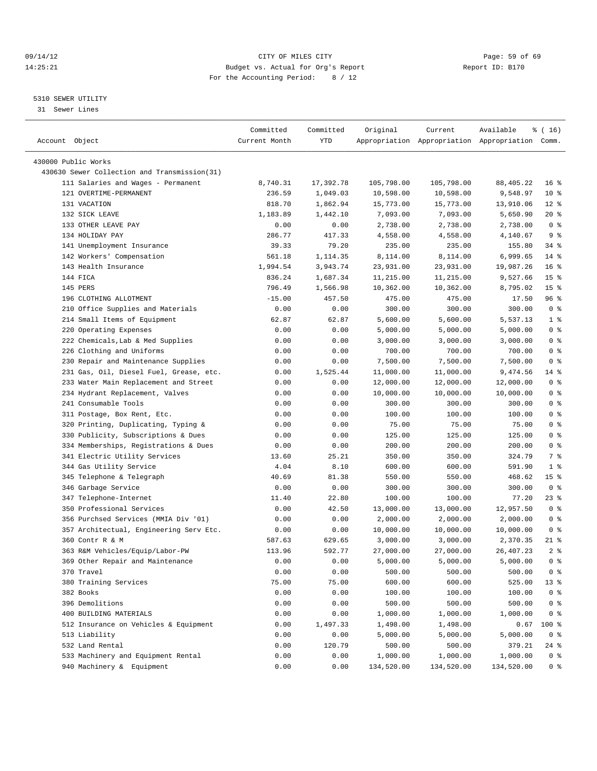#### 09/14/12 Page: 59 of 69 14:25:21 Budget vs. Actual for Org's Report Report ID: B170 For the Accounting Period: 8 / 12

————————————————————————————————————————————————————————————————————————————————————————————————————————————————————————————————————

#### 5310 SEWER UTILITY

31 Sewer Lines

| Account Object                               | Committed<br>Current Month | Committed<br>YTD | Original   | Current    | Available<br>Appropriation Appropriation Appropriation Comm. | % ( 16)         |
|----------------------------------------------|----------------------------|------------------|------------|------------|--------------------------------------------------------------|-----------------|
|                                              |                            |                  |            |            |                                                              |                 |
| 430000 Public Works                          |                            |                  |            |            |                                                              |                 |
| 430630 Sewer Collection and Transmission(31) |                            |                  |            |            |                                                              |                 |
| 111 Salaries and Wages - Permanent           | 8,740.31                   | 17,392.78        | 105,798.00 | 105,798.00 | 88, 405. 22                                                  | 16 <sup>8</sup> |
| 121 OVERTIME-PERMANENT                       | 236.59                     | 1,049.03         | 10,598.00  | 10,598.00  | 9,548.97                                                     | $10*$           |
| 131 VACATION                                 | 818.70                     | 1,862.94         | 15,773.00  | 15,773.00  | 13,910.06                                                    | $12*$           |
| 132 SICK LEAVE                               | 1,183.89                   | 1,442.10         | 7,093.00   | 7,093.00   | 5,650.90                                                     | $20*$           |
| 133 OTHER LEAVE PAY                          | 0.00                       | 0.00             | 2,738.00   | 2,738.00   | 2,738.00                                                     | 0 <sup>8</sup>  |
| 134 HOLIDAY PAY                              | 286.77                     | 417.33           | 4,558.00   | 4,558.00   | 4,140.67                                                     | 9 <sub>8</sub>  |
| 141 Unemployment Insurance                   | 39.33                      | 79.20            | 235.00     | 235.00     | 155.80                                                       | $34$ $%$        |
| 142 Workers' Compensation                    | 561.18                     | 1,114.35         | 8,114.00   | 8,114.00   | 6,999.65                                                     | $14$ %          |
| 143 Health Insurance                         | 1,994.54                   | 3,943.74         | 23,931.00  | 23,931.00  | 19,987.26                                                    | $16*$           |
| 144 FICA                                     | 836.24                     | 1,687.34         | 11,215.00  | 11,215.00  | 9,527.66                                                     | 15 <sup>8</sup> |
| 145 PERS                                     | 796.49                     | 1,566.98         | 10,362.00  | 10,362.00  | 8,795.02                                                     | 15 <sup>8</sup> |
| 196 CLOTHING ALLOTMENT                       | $-15.00$                   | 457.50           | 475.00     | 475.00     | 17.50                                                        | 96 %            |
| 210 Office Supplies and Materials            | 0.00                       | 0.00             | 300.00     | 300.00     | 300.00                                                       | 0 <sup>8</sup>  |
| 214 Small Items of Equipment                 | 62.87                      | 62.87            | 5,600.00   | 5,600.00   | 5,537.13                                                     | 1 <sup>°</sup>  |
| 220 Operating Expenses                       | 0.00                       | 0.00             | 5,000.00   | 5,000.00   | 5,000.00                                                     | 0 <sup>8</sup>  |
| 222 Chemicals, Lab & Med Supplies            | 0.00                       | 0.00             | 3,000.00   | 3,000.00   | 3,000.00                                                     | 0 <sup>8</sup>  |
| 226 Clothing and Uniforms                    | 0.00                       | 0.00             | 700.00     | 700.00     | 700.00                                                       | 0 <sup>8</sup>  |
| 230 Repair and Maintenance Supplies          | 0.00                       | 0.00             | 7,500.00   | 7,500.00   | 7,500.00                                                     | 0 <sup>8</sup>  |
| 231 Gas, Oil, Diesel Fuel, Grease, etc.      | 0.00                       | 1,525.44         | 11,000.00  | 11,000.00  | 9,474.56                                                     | 14 %            |
| 233 Water Main Replacement and Street        | 0.00                       | 0.00             | 12,000.00  | 12,000.00  | 12,000.00                                                    | 0 <sup>8</sup>  |
| 234 Hydrant Replacement, Valves              | 0.00                       | 0.00             | 10,000.00  | 10,000.00  | 10,000.00                                                    | 0 <sup>8</sup>  |
| 241 Consumable Tools                         | 0.00                       | 0.00             | 300.00     | 300.00     | 300.00                                                       | 0 <sup>8</sup>  |
| 311 Postage, Box Rent, Etc.                  | 0.00                       | 0.00             | 100.00     | 100.00     | 100.00                                                       | 0 <sup>8</sup>  |
| 320 Printing, Duplicating, Typing &          | 0.00                       | 0.00             | 75.00      | 75.00      | 75.00                                                        | 0 <sup>8</sup>  |
| 330 Publicity, Subscriptions & Dues          | 0.00                       | 0.00             | 125.00     | 125.00     | 125.00                                                       | 0 <sup>8</sup>  |
| 334 Memberships, Registrations & Dues        | 0.00                       | 0.00             | 200.00     | 200.00     | 200.00                                                       | 0 <sup>8</sup>  |
| 341 Electric Utility Services                | 13.60                      | 25.21            | 350.00     | 350.00     | 324.79                                                       | 7 %             |
| 344 Gas Utility Service                      | 4.04                       | 8.10             | 600.00     | 600.00     | 591.90                                                       | 1 <sup>8</sup>  |
| 345 Telephone & Telegraph                    | 40.69                      | 81.38            | 550.00     | 550.00     | 468.62                                                       | 15 <sup>8</sup> |
| 346 Garbage Service                          | 0.00                       | 0.00             | 300.00     | 300.00     | 300.00                                                       | 0 <sup>8</sup>  |
| 347 Telephone-Internet                       | 11.40                      | 22.80            | 100.00     | 100.00     | 77.20                                                        | 23 %            |
| 350 Professional Services                    | 0.00                       | 42.50            | 13,000.00  | 13,000.00  | 12,957.50                                                    | 0 <sup>8</sup>  |
| 356 Purchsed Services (MMIA Div '01)         | 0.00                       | 0.00             | 2,000.00   | 2,000.00   | 2,000.00                                                     | 0 <sup>8</sup>  |
| 357 Architectual, Engineering Serv Etc.      | 0.00                       | 0.00             | 10,000.00  | 10,000.00  | 10,000.00                                                    | 0 <sup>8</sup>  |
| 360 Contr R & M                              | 587.63                     | 629.65           | 3,000.00   | 3,000.00   | 2,370.35                                                     | $21$ %          |
| 363 R&M Vehicles/Equip/Labor-PW              | 113.96                     | 592.77           | 27,000.00  | 27,000.00  | 26,407.23                                                    | 2 <sup>°</sup>  |
| 369 Other Repair and Maintenance             | 0.00                       | 0.00             | 5,000.00   | 5,000.00   | 5,000.00                                                     | 0 <sup>8</sup>  |
| 370 Travel                                   | 0.00                       | 0.00             | 500.00     | 500.00     | 500.00                                                       | 0 <sup>8</sup>  |
| 380 Training Services                        | 75.00                      | 75.00            | 600.00     | 600.00     | 525.00                                                       | 13 <sub>8</sub> |
| 382 Books                                    | 0.00                       | 0.00             | 100.00     | 100.00     | 100.00                                                       | 0 <sup>8</sup>  |
| 396 Demolitions                              | 0.00                       | 0.00             | 500.00     | 500.00     | 500.00                                                       | 0 <sup>8</sup>  |
| 400 BUILDING MATERIALS                       | 0.00                       | 0.00             | 1,000.00   | 1,000.00   | 1,000.00                                                     | 0 <sup>8</sup>  |
| 512 Insurance on Vehicles & Equipment        | 0.00                       | 1,497.33         | 1,498.00   | 1,498.00   | 0.67                                                         | 100 %           |
| 513 Liability                                | 0.00                       | 0.00             | 5,000.00   | 5,000.00   | 5,000.00                                                     | 0 <sup>8</sup>  |
| 532 Land Rental                              | 0.00                       | 120.79           | 500.00     | 500.00     | 379.21                                                       | 24 %            |
| 533 Machinery and Equipment Rental           | 0.00                       | 0.00             | 1,000.00   | 1,000.00   | 1,000.00                                                     | 0 <sup>8</sup>  |
| 940 Machinery & Equipment                    | 0.00                       | 0.00             | 134,520.00 | 134,520.00 | 134,520.00                                                   | 0 <sup>8</sup>  |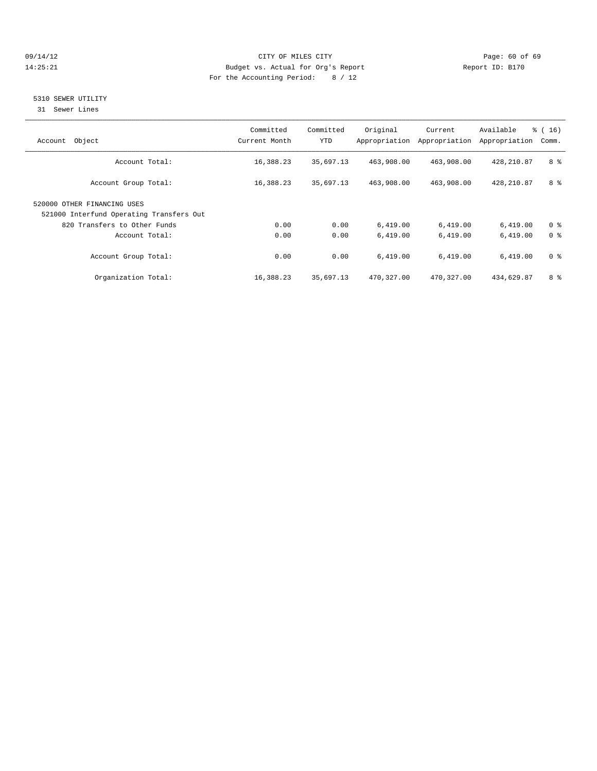#### 09/14/12 Page: 60 of 69 14:25:21 Budget vs. Actual for Org's Report Report ID: B170 For the Accounting Period: 8 / 12

#### 5310 SEWER UTILITY

31 Sewer Lines

| Object<br>Account                                                       | Committed<br>Current Month | Committed<br>YTD | Original<br>Appropriation | Current<br>Appropriation | Available<br>Appropriation | $\frac{3}{6}$ ( 16 )<br>Comm. |
|-------------------------------------------------------------------------|----------------------------|------------------|---------------------------|--------------------------|----------------------------|-------------------------------|
| Account Total:                                                          | 16,388.23                  | 35,697.13        | 463,908.00                | 463,908.00               | 428,210.87                 | 8 %                           |
| Account Group Total:                                                    | 16,388.23                  | 35,697.13        | 463,908.00                | 463,908.00               | 428,210.87                 | 8 %                           |
| 520000 OTHER FINANCING USES<br>521000 Interfund Operating Transfers Out |                            |                  |                           |                          |                            |                               |
| 820 Transfers to Other Funds                                            | 0.00                       | 0.00             | 6,419.00                  | 6,419.00                 | 6,419.00                   | 0 <sup>8</sup>                |
| Account Total:                                                          | 0.00                       | 0.00             | 6,419.00                  | 6,419.00                 | 6,419.00                   | 0 <sup>8</sup>                |
| Account Group Total:                                                    | 0.00                       | 0.00             | 6,419.00                  | 6,419.00                 | 6,419.00                   | 0 <sup>8</sup>                |
| Organization Total:                                                     | 16,388.23                  | 35,697.13        | 470,327.00                | 470,327.00               | 434,629.87                 | 8 %                           |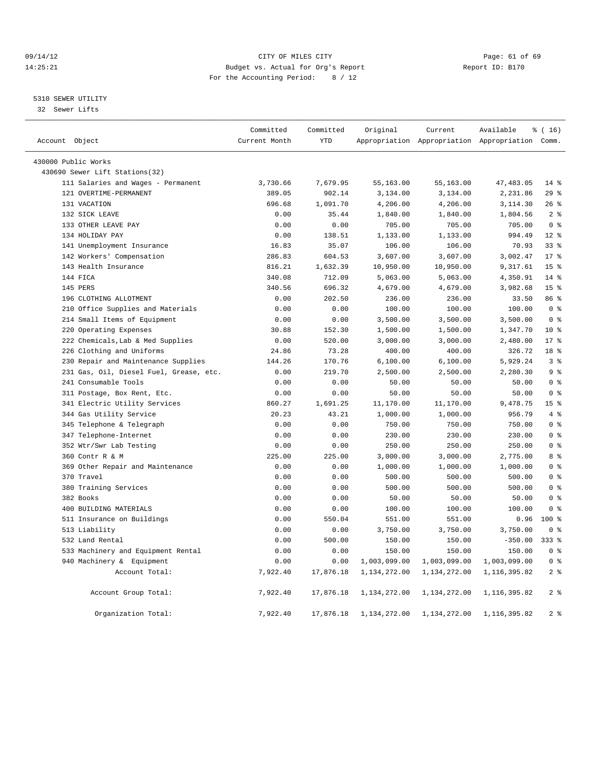#### 09/14/12 Page: 61 of 69 14:25:21 Budget vs. Actual for Org's Report Report ID: B170 For the Accounting Period: 8 / 12

#### 5310 SEWER UTILITY

32 Sewer Lifts

|                                         | Committed     | Committed  | Original     | Current                                         | Available    | % (16)          |
|-----------------------------------------|---------------|------------|--------------|-------------------------------------------------|--------------|-----------------|
| Account Object                          | Current Month | <b>YTD</b> |              | Appropriation Appropriation Appropriation Comm. |              |                 |
| 430000 Public Works                     |               |            |              |                                                 |              |                 |
| 430690 Sewer Lift Stations (32)         |               |            |              |                                                 |              |                 |
| 111 Salaries and Wages - Permanent      | 3,730.66      | 7,679.95   | 55,163.00    | 55,163.00                                       | 47, 483.05   | $14*$           |
| 121 OVERTIME-PERMANENT                  | 389.05        | 902.14     | 3,134.00     | 3,134.00                                        | 2,231.86     | 29%             |
| 131 VACATION                            | 696.68        | 1,091.70   | 4,206.00     | 4,206.00                                        | 3,114.30     | 26%             |
| 132 SICK LEAVE                          | 0.00          | 35.44      | 1,840.00     | 1,840.00                                        | 1,804.56     | 2 <sup>8</sup>  |
| 133 OTHER LEAVE PAY                     | 0.00          | 0.00       | 705.00       | 705.00                                          | 705.00       | 0 <sup>8</sup>  |
| 134 HOLIDAY PAY                         | 0.00          | 138.51     | 1,133.00     | 1,133.00                                        | 994.49       | $12*$           |
| 141 Unemployment Insurance              | 16.83         | 35.07      | 106.00       | 106.00                                          | 70.93        | 33%             |
| 142 Workers' Compensation               | 286.83        | 604.53     | 3,607.00     | 3,607.00                                        | 3,002.47     | $17*$           |
| 143 Health Insurance                    | 816.21        | 1,632.39   | 10,950.00    | 10,950.00                                       | 9,317.61     | 15 <sup>8</sup> |
| 144 FICA                                | 340.08        | 712.09     | 5,063.00     | 5,063.00                                        | 4,350.91     | $14$ %          |
| 145 PERS                                | 340.56        | 696.32     | 4,679.00     | 4,679.00                                        | 3,982.68     | 15 <sup>8</sup> |
| 196 CLOTHING ALLOTMENT                  | 0.00          | 202.50     | 236.00       | 236.00                                          | 33.50        | 86 %            |
| 210 Office Supplies and Materials       | 0.00          | 0.00       | 100.00       | 100.00                                          | 100.00       | 0 <sup>8</sup>  |
| 214 Small Items of Equipment            | 0.00          | 0.00       | 3,500.00     | 3,500.00                                        | 3,500.00     | 0 <sup>8</sup>  |
| 220 Operating Expenses                  | 30.88         | 152.30     | 1,500.00     | 1,500.00                                        | 1,347.70     | $10*$           |
| 222 Chemicals, Lab & Med Supplies       | 0.00          | 520.00     | 3,000.00     | 3,000.00                                        | 2,480.00     | 17.8            |
| 226 Clothing and Uniforms               | 24.86         | 73.28      | 400.00       | 400.00                                          | 326.72       | 18 <sup>°</sup> |
| 230 Repair and Maintenance Supplies     | 144.26        | 170.76     | 6,100.00     | 6,100.00                                        | 5,929.24     | 3 <sup>8</sup>  |
| 231 Gas, Oil, Diesel Fuel, Grease, etc. | 0.00          | 219.70     | 2,500.00     | 2,500.00                                        | 2,280.30     | 9 <sup>8</sup>  |
| 241 Consumable Tools                    | 0.00          | 0.00       | 50.00        | 50.00                                           | 50.00        | 0 <sup>8</sup>  |
| 311 Postage, Box Rent, Etc.             | 0.00          | 0.00       | 50.00        | 50.00                                           | 50.00        | 0 <sup>8</sup>  |
| 341 Electric Utility Services           | 860.27        | 1,691.25   | 11,170.00    | 11,170.00                                       | 9,478.75     | 15 <sup>°</sup> |
| 344 Gas Utility Service                 | 20.23         | 43.21      | 1,000.00     | 1,000.00                                        | 956.79       | 4%              |
| 345 Telephone & Telegraph               | 0.00          | 0.00       | 750.00       | 750.00                                          | 750.00       | 0 <sup>8</sup>  |
| 347 Telephone-Internet                  | 0.00          | 0.00       | 230.00       | 230.00                                          | 230.00       | 0 <sup>8</sup>  |
| 352 Wtr/Swr Lab Testing                 | 0.00          | 0.00       | 250.00       | 250.00                                          | 250.00       | 0 <sup>8</sup>  |
| 360 Contr R & M                         | 225.00        | 225.00     | 3,000.00     | 3,000.00                                        | 2,775.00     | 8 %             |
| 369 Other Repair and Maintenance        | 0.00          | 0.00       | 1,000.00     | 1,000.00                                        | 1,000.00     | 0 <sup>8</sup>  |
| 370 Travel                              | 0.00          | 0.00       | 500.00       | 500.00                                          | 500.00       | 0 <sup>8</sup>  |
| 380 Training Services                   | 0.00          | 0.00       | 500.00       | 500.00                                          | 500.00       | 0 <sup>8</sup>  |
| 382 Books                               | 0.00          | 0.00       | 50.00        | 50.00                                           | 50.00        | 0 <sup>8</sup>  |
| 400 BUILDING MATERIALS                  | 0.00          | 0.00       | 100.00       | 100.00                                          | 100.00       | 0 <sup>8</sup>  |
| 511 Insurance on Buildings              | 0.00          | 550.04     | 551.00       | 551.00                                          | 0.96         | $100*$          |
| 513 Liability                           | 0.00          | 0.00       | 3,750.00     | 3,750.00                                        | 3,750.00     | 0 <sup>8</sup>  |
| 532 Land Rental                         | 0.00          | 500.00     | 150.00       | 150.00                                          | $-350.00$    | $333$ $%$       |
| 533 Machinery and Equipment Rental      | 0.00          | 0.00       | 150.00       | 150.00                                          | 150.00       | 0 <sup>8</sup>  |
| 940 Machinery & Equipment               | 0.00          | 0.00       | 1,003,099.00 | 1,003,099.00                                    | 1,003,099.00 | 0 <sup>8</sup>  |
| Account Total:                          | 7,922.40      | 17,876.18  | 1,134,272.00 | 1,134,272.00                                    | 1,116,395.82 | 2 <sub>8</sub>  |
| Account Group Total:                    | 7,922.40      | 17,876.18  | 1,134,272.00 | 1,134,272.00                                    | 1,116,395.82 | 2 <sup>8</sup>  |
| Organization Total:                     | 7,922.40      | 17,876.18  | 1,134,272.00 | 1,134,272.00                                    | 1,116,395.82 | 2 <sub>8</sub>  |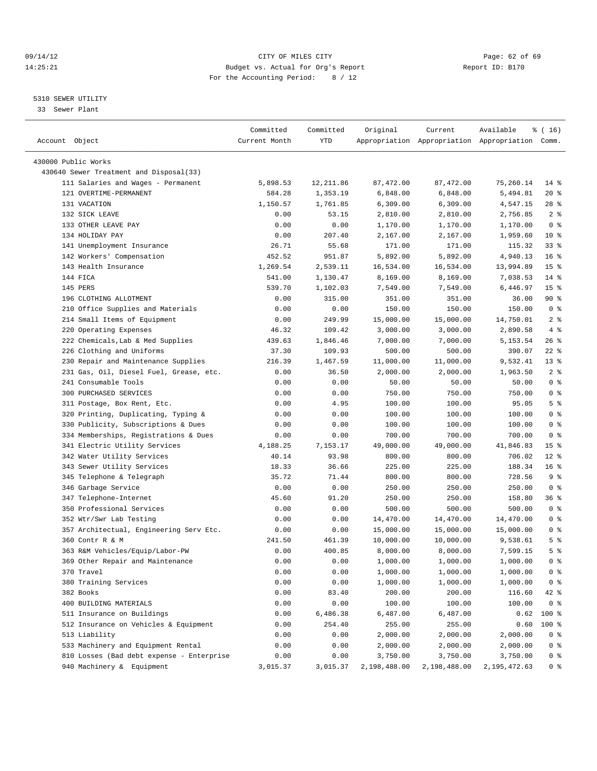#### 09/14/12 Page: 62 of 69 14:25:21 Budget vs. Actual for Org's Report Report ID: B170 For the Accounting Period: 8 / 12

————————————————————————————————————————————————————————————————————————————————————————————————————————————————————————————————————

#### 5310 SEWER UTILITY

33 Sewer Plant

|                                                                | Committed     | Committed     | Original             | Current              | Available                                       | ៖ ( 16)         |
|----------------------------------------------------------------|---------------|---------------|----------------------|----------------------|-------------------------------------------------|-----------------|
| Account Object                                                 | Current Month | YTD           |                      |                      | Appropriation Appropriation Appropriation Comm. |                 |
|                                                                |               |               |                      |                      |                                                 |                 |
| 430000 Public Works<br>430640 Sewer Treatment and Disposal(33) |               |               |                      |                      |                                                 |                 |
| 111 Salaries and Wages - Permanent                             | 5,898.53      | 12,211.86     | 87,472.00            | 87, 472.00           | 75,260.14                                       | $14*$           |
| 121 OVERTIME-PERMANENT                                         | 584.28        | 1,353.19      | 6,848.00             | 6,848.00             | 5,494.81                                        | $20*$           |
| 131 VACATION                                                   | 1,150.57      | 1,761.85      |                      |                      |                                                 | $28$ %          |
| 132 SICK LEAVE                                                 |               |               | 6,309.00<br>2,810.00 | 6,309.00             | 4,547.15                                        | 2 <sup>°</sup>  |
| 133 OTHER LEAVE PAY                                            | 0.00<br>0.00  | 53.15<br>0.00 |                      | 2,810.00             | 2,756.85                                        | 0 <sup>8</sup>  |
| 134 HOLIDAY PAY                                                |               | 207.40        | 1,170.00             | 1,170.00<br>2,167.00 | 1,170.00                                        | $10*$           |
| 141 Unemployment Insurance                                     | 0.00<br>26.71 | 55.68         | 2,167.00             |                      | 1,959.60<br>115.32                              | $33$ $%$        |
| 142 Workers' Compensation                                      |               |               | 171.00               | 171.00               |                                                 | 16 <sup>°</sup> |
|                                                                | 452.52        | 951.87        | 5,892.00             | 5,892.00             | 4,940.13                                        |                 |
| 143 Health Insurance                                           | 1,269.54      | 2,539.11      | 16,534.00            | 16,534.00            | 13,994.89                                       | 15 <sup>°</sup> |
| 144 FICA                                                       | 541.00        | 1,130.47      | 8,169.00             | 8,169.00             | 7,038.53                                        | $14*$           |
| 145 PERS                                                       | 539.70        | 1,102.03      | 7,549.00             | 7,549.00             | 6,446.97                                        | 15 <sup>°</sup> |
| 196 CLOTHING ALLOTMENT                                         | 0.00          | 315.00        | 351.00               | 351.00               | 36.00                                           | $90*$           |
| 210 Office Supplies and Materials                              | 0.00          | 0.00          | 150.00               | 150.00               | 150.00                                          | 0 <sup>8</sup>  |
| 214 Small Items of Equipment                                   | 0.00          | 249.99        | 15,000.00            | 15,000.00            | 14,750.01                                       | 2 <sup>°</sup>  |
| 220 Operating Expenses                                         | 46.32         | 109.42        | 3,000.00             | 3,000.00             | 2,890.58                                        | 4%              |
| 222 Chemicals, Lab & Med Supplies                              | 439.63        | 1,846.46      | 7,000.00             | 7,000.00             | 5,153.54                                        | 26%             |
| 226 Clothing and Uniforms                                      | 37.30         | 109.93        | 500.00               | 500.00               | 390.07                                          | $22$ %          |
| 230 Repair and Maintenance Supplies                            | 216.39        | 1,467.59      | 11,000.00            | 11,000.00            | 9,532.41                                        | 13 <sup>8</sup> |
| 231 Gas, Oil, Diesel Fuel, Grease, etc.                        | 0.00          | 36.50         | 2,000.00             | 2,000.00             | 1,963.50                                        | 2 <sup>°</sup>  |
| 241 Consumable Tools                                           | 0.00          | 0.00          | 50.00                | 50.00                | 50.00                                           | 0 <sup>8</sup>  |
| 300 PURCHASED SERVICES                                         | 0.00          | 0.00          | 750.00               | 750.00               | 750.00                                          | 0 <sup>8</sup>  |
| 311 Postage, Box Rent, Etc.                                    | 0.00          | 4.95          | 100.00               | 100.00               | 95.05                                           | 5 <sup>°</sup>  |
| 320 Printing, Duplicating, Typing &                            | 0.00          | 0.00          | 100.00               | 100.00               | 100.00                                          | 0 <sup>8</sup>  |
| 330 Publicity, Subscriptions & Dues                            | 0.00          | 0.00          | 100.00               | 100.00               | 100.00                                          | 0 <sup>8</sup>  |
| 334 Memberships, Registrations & Dues                          | 0.00          | 0.00          | 700.00               | 700.00               | 700.00                                          | 0 <sup>8</sup>  |
| 341 Electric Utility Services                                  | 4,188.25      | 7,153.17      | 49,000.00            | 49,000.00            | 41,846.83                                       | 15 <sup>°</sup> |
| 342 Water Utility Services                                     | 40.14         | 93.98         | 800.00               | 800.00               | 706.02                                          | $12*$           |
| 343 Sewer Utility Services                                     | 18.33         | 36.66         | 225.00               | 225.00               | 188.34                                          | 16 <sup>8</sup> |
| 345 Telephone & Telegraph                                      | 35.72         | 71.44         | 800.00               | 800.00               | 728.56                                          | 9%              |
| 346 Garbage Service                                            | 0.00          | 0.00          | 250.00               | 250.00               | 250.00                                          | 0 <sup>8</sup>  |
| 347 Telephone-Internet                                         | 45.60         | 91.20         | 250.00               | 250.00               | 158.80                                          | 36%             |
| 350 Professional Services                                      | 0.00          | 0.00          | 500.00               | 500.00               | 500.00                                          | 0 <sup>8</sup>  |
| 352 Wtr/Swr Lab Testing                                        | 0.00          | 0.00          | 14,470.00            | 14,470.00            | 14,470.00                                       | 0 <sup>8</sup>  |
| 357 Architectual, Engineering Serv Etc.                        | 0.00          | 0.00          | 15,000.00            | 15,000.00            | 15,000.00                                       | 0 <sup>8</sup>  |
| 360 Contr R & M                                                | 241.50        | 461.39        | 10,000.00            | 10,000.00            | 9,538.61                                        | 5 <sup>°</sup>  |
| 363 R&M Vehicles/Equip/Labor-PW                                | 0.00          | 400.85        | 8,000.00             | 8,000.00             | 7,599.15                                        | 5 <sup>°</sup>  |
| 369 Other Repair and Maintenance                               | 0.00          | 0.00          | 1,000.00             | 1,000.00             | 1,000.00                                        | 0 %             |
| 370 Travel                                                     | 0.00          | 0.00          | 1,000.00             | 1,000.00             | 1,000.00                                        | 0 <sup>8</sup>  |
| 380 Training Services                                          | 0.00          | 0.00          | 1,000.00             | 1,000.00             | 1,000.00                                        | 0 <sup>8</sup>  |
| 382 Books                                                      | 0.00          | 83.40         | 200.00               | 200.00               | 116.60                                          | 42 %            |
| 400 BUILDING MATERIALS                                         | 0.00          | 0.00          | 100.00               | 100.00               | 100.00                                          | 0 <sup>8</sup>  |
| 511 Insurance on Buildings                                     | 0.00          | 6,486.38      | 6,487.00             | 6,487.00             | 0.62                                            | 100 %           |
| 512 Insurance on Vehicles & Equipment                          | 0.00          | 254.40        | 255.00               | 255.00               | 0.60                                            | $100$ %         |
| 513 Liability                                                  | 0.00          | 0.00          | 2,000.00             | 2,000.00             | 2,000.00                                        | 0 <sup>8</sup>  |
| 533 Machinery and Equipment Rental                             | 0.00          | 0.00          | 2,000.00             | 2,000.00             | 2,000.00                                        | 0 <sup>8</sup>  |
| 810 Losses (Bad debt expense - Enterprise                      | 0.00          | 0.00          | 3,750.00             | 3,750.00             | 3,750.00                                        | 0 <sup>8</sup>  |
| 940 Machinery & Equipment                                      | 3,015.37      | 3,015.37      | 2,198,488.00         | 2,198,488.00         | 2,195,472.63                                    | 0 %             |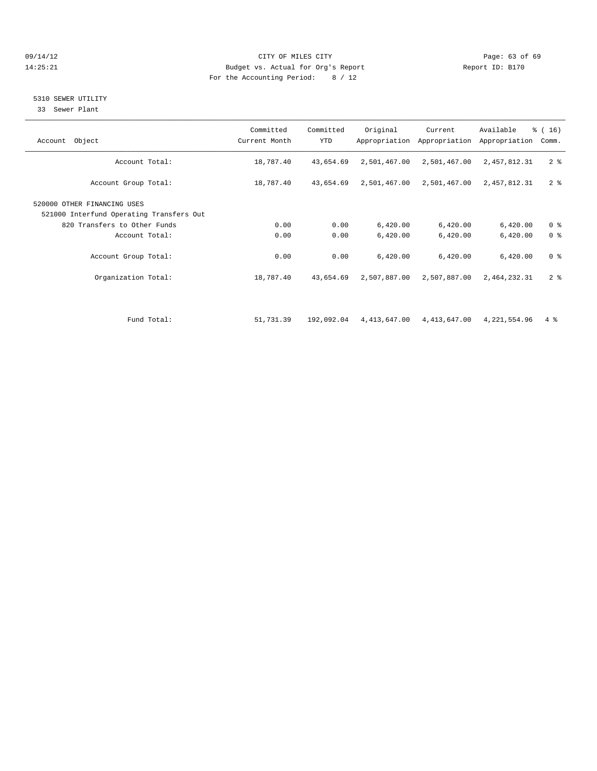#### 09/14/12 Page: 63 of 69 14:25:21 Budget vs. Actual for Org's Report Report ID: B170 For the Accounting Period: 8 / 12

#### 5310 SEWER UTILITY

33 Sewer Plant

| Account Object                                                                                          | Committed<br>Current Month | Committed<br><b>YTD</b> | Original             | Current<br>Appropriation Appropriation | Available<br>Appropriation | $\frac{3}{6}$ ( 16 )<br>Comm.    |
|---------------------------------------------------------------------------------------------------------|----------------------------|-------------------------|----------------------|----------------------------------------|----------------------------|----------------------------------|
| Account Total:                                                                                          | 18,787.40                  | 43,654.69               | 2,501,467.00         | 2,501,467.00                           | 2,457,812.31               | 2 <sup>8</sup>                   |
| Account Group Total:                                                                                    | 18,787.40                  | 43,654.69               | 2,501,467.00         | 2,501,467.00                           | 2,457,812.31               | 2 <sup>8</sup>                   |
| 520000 OTHER FINANCING USES<br>521000 Interfund Operating Transfers Out<br>820 Transfers to Other Funds | 0.00                       | 0.00                    | 6,420.00             | 6,420.00                               | 6,420.00                   | 0 <sup>8</sup>                   |
| Account Total:<br>Account Group Total:                                                                  | 0.00<br>0.00               | 0.00<br>0.00            | 6,420.00<br>6,420.00 | 6,420.00<br>6,420.00                   | 6,420.00<br>6,420.00       | 0 <sup>8</sup><br>0 <sup>8</sup> |
| Organization Total:                                                                                     | 18,787.40                  | 43,654.69               | 2,507,887.00         | 2,507,887.00                           | 2,464,232.31               | 2 <sup>8</sup>                   |
| Fund Total:                                                                                             | 51,731.39                  | 192,092.04              | 4,413,647.00         | 4,413,647.00                           | 4,221,554.96               | $4\degree$                       |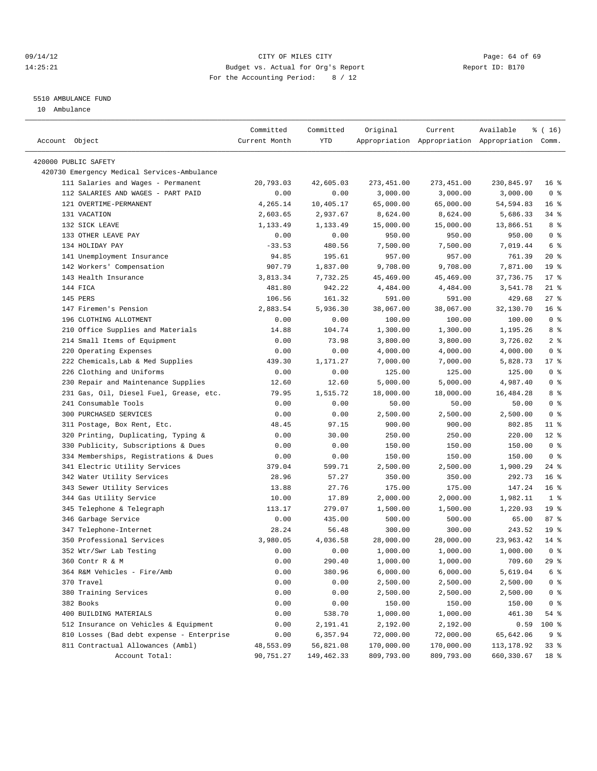#### 09/14/12 Page: 64 of 69 14:25:21 Budget vs. Actual for Org's Report Report ID: B170 For the Accounting Period: 8 / 12

#### 5510 AMBULANCE FUND

10 Ambulance

| Account Object                              | Committed<br>Current Month | Committed<br>YTD | Original   | Current    | Available<br>Appropriation Appropriation Appropriation Comm. | $*(16)$         |
|---------------------------------------------|----------------------------|------------------|------------|------------|--------------------------------------------------------------|-----------------|
| 420000 PUBLIC SAFETY                        |                            |                  |            |            |                                                              |                 |
| 420730 Emergency Medical Services-Ambulance |                            |                  |            |            |                                                              |                 |
| 111 Salaries and Wages - Permanent          | 20,793.03                  | 42,605.03        | 273,451.00 | 273,451.00 | 230,845.97                                                   | 16 <sup>8</sup> |
| 112 SALARIES AND WAGES - PART PAID          | 0.00                       | 0.00             | 3,000.00   | 3,000.00   | 3,000.00                                                     | 0 <sup>8</sup>  |
| 121 OVERTIME-PERMANENT                      | 4,265.14                   | 10,405.17        | 65,000.00  | 65,000.00  | 54,594.83                                                    | 16 <sup>8</sup> |
| 131 VACATION                                | 2,603.65                   | 2,937.67         | 8,624.00   | 8,624.00   | 5,686.33                                                     | 34 %            |
| 132 SICK LEAVE                              | 1,133.49                   | 1,133.49         | 15,000.00  | 15,000.00  | 13,866.51                                                    | 8 %             |
| 133 OTHER LEAVE PAY                         | 0.00                       | 0.00             | 950.00     | 950.00     | 950.00                                                       | 0 <sup>8</sup>  |
| 134 HOLIDAY PAY                             | $-33.53$                   | 480.56           | 7,500.00   | 7,500.00   | 7,019.44                                                     | 6 %             |
| 141 Unemployment Insurance                  | 94.85                      | 195.61           | 957.00     | 957.00     | 761.39                                                       | 20%             |
| 142 Workers' Compensation                   | 907.79                     | 1,837.00         | 9,708.00   | 9,708.00   | 7,871.00                                                     | 19 <sup>°</sup> |
| 143 Health Insurance                        | 3,813.34                   | 7,732.25         | 45,469.00  | 45,469.00  | 37,736.75                                                    | $17*$           |
| 144 FICA                                    | 481.80                     | 942.22           | 4,484.00   | 4,484.00   | 3,541.78                                                     | $21$ %          |
| 145 PERS                                    | 106.56                     | 161.32           | 591.00     | 591.00     | 429.68                                                       | 27%             |
| 147 Firemen's Pension                       | 2,883.54                   | 5,936.30         | 38,067.00  | 38,067.00  | 32,130.70                                                    | 16 <sup>°</sup> |
| 196 CLOTHING ALLOTMENT                      | 0.00                       | 0.00             | 100.00     | 100.00     | 100.00                                                       | 0 <sup>8</sup>  |
| 210 Office Supplies and Materials           | 14.88                      | 104.74           | 1,300.00   | 1,300.00   | 1,195.26                                                     | 8 %             |
| 214 Small Items of Equipment                | 0.00                       | 73.98            | 3,800.00   | 3,800.00   | 3,726.02                                                     | 2 <sup>°</sup>  |
| 220 Operating Expenses                      | 0.00                       | 0.00             | 4,000.00   | 4,000.00   | 4,000.00                                                     | 0 <sup>8</sup>  |
| 222 Chemicals, Lab & Med Supplies           | 439.30                     | 1,171.27         | 7,000.00   | 7,000.00   | 5,828.73                                                     | $17*$           |
| 226 Clothing and Uniforms                   | 0.00                       | 0.00             | 125.00     | 125.00     | 125.00                                                       | 0 <sup>8</sup>  |
| 230 Repair and Maintenance Supplies         | 12.60                      | 12.60            | 5,000.00   | 5,000.00   | 4,987.40                                                     | 0 <sup>8</sup>  |
| 231 Gas, Oil, Diesel Fuel, Grease, etc.     | 79.95                      | 1,515.72         | 18,000.00  | 18,000.00  | 16,484.28                                                    | 8 %             |
| 241 Consumable Tools                        | 0.00                       | 0.00             | 50.00      | 50.00      | 50.00                                                        | 0 <sup>8</sup>  |
| 300 PURCHASED SERVICES                      | 0.00                       | 0.00             | 2,500.00   | 2,500.00   | 2,500.00                                                     | 0 <sup>8</sup>  |
| 311 Postage, Box Rent, Etc.                 | 48.45                      | 97.15            | 900.00     | 900.00     | 802.85                                                       | $11$ %          |
| 320 Printing, Duplicating, Typing &         | 0.00                       | 30.00            | 250.00     | 250.00     | 220.00                                                       | $12$ %          |
| 330 Publicity, Subscriptions & Dues         | 0.00                       | 0.00             | 150.00     | 150.00     | 150.00                                                       | 0 <sup>8</sup>  |
| 334 Memberships, Registrations & Dues       | 0.00                       | 0.00             | 150.00     | 150.00     | 150.00                                                       | 0 <sup>8</sup>  |
| 341 Electric Utility Services               | 379.04                     | 599.71           | 2,500.00   | 2,500.00   | 1,900.29                                                     | $24$ %          |
| 342 Water Utility Services                  | 28.96                      | 57.27            | 350.00     | 350.00     | 292.73                                                       | 16 <sup>8</sup> |
| 343 Sewer Utility Services                  | 13.88                      | 27.76            | 175.00     | 175.00     | 147.24                                                       | 16 <sup>°</sup> |
| 344 Gas Utility Service                     | 10.00                      | 17.89            | 2,000.00   | 2,000.00   | 1,982.11                                                     | 1 <sup>8</sup>  |
| 345 Telephone & Telegraph                   | 113.17                     | 279.07           | 1,500.00   | 1,500.00   | 1,220.93                                                     | 19 <sup>°</sup> |
| 346 Garbage Service                         | 0.00                       | 435.00           | 500.00     | 500.00     | 65.00                                                        | 87%             |
| 347 Telephone-Internet                      | 28.24                      | 56.48            | 300.00     | 300.00     | 243.52                                                       | 19 <sup>°</sup> |
| 350 Professional Services                   | 3,980.05                   | 4,036.58         | 28,000.00  | 28,000.00  | 23,963.42                                                    | 14 %            |
| 352 Wtr/Swr Lab Testing                     | 0.00                       | 0.00             | 1,000.00   | 1,000.00   | 1,000.00                                                     | 0 <sup>8</sup>  |
| 360 Contr R & M                             | 0.00                       | 290.40           | 1,000.00   | 1,000.00   | 709.60                                                       | $29$ $%$        |
| 364 R&M Vehicles - Fire/Amb                 | 0.00                       | 380.96           | 6,000.00   | 6,000.00   | 5,619.04                                                     | 6 <sup>°</sup>  |
| 370 Travel                                  | 0.00                       | 0.00             | 2,500.00   | 2,500.00   | 2,500.00                                                     | 0 <sup>8</sup>  |
| 380 Training Services                       | 0.00                       | 0.00             | 2,500.00   | 2,500.00   | 2,500.00                                                     | 0 <sup>8</sup>  |
| 382 Books                                   | 0.00                       | 0.00             | 150.00     | 150.00     | 150.00                                                       | 0 <sup>8</sup>  |
| 400 BUILDING MATERIALS                      | 0.00                       | 538.70           | 1,000.00   | 1,000.00   | 461.30                                                       | 54 %            |
| 512 Insurance on Vehicles & Equipment       | 0.00                       | 2,191.41         | 2,192.00   | 2,192.00   | 0.59                                                         | 100 %           |
| 810 Losses (Bad debt expense - Enterprise   | 0.00                       | 6,357.94         | 72,000.00  | 72,000.00  | 65,642.06                                                    | 9 <sup>°</sup>  |
| 811 Contractual Allowances (Ambl)           | 48,553.09                  | 56,821.08        | 170,000.00 | 170,000.00 | 113, 178.92                                                  | 33 %            |
| Account Total:                              | 90,751.27                  | 149,462.33       | 809,793.00 | 809,793.00 | 660,330.67                                                   | 18 %            |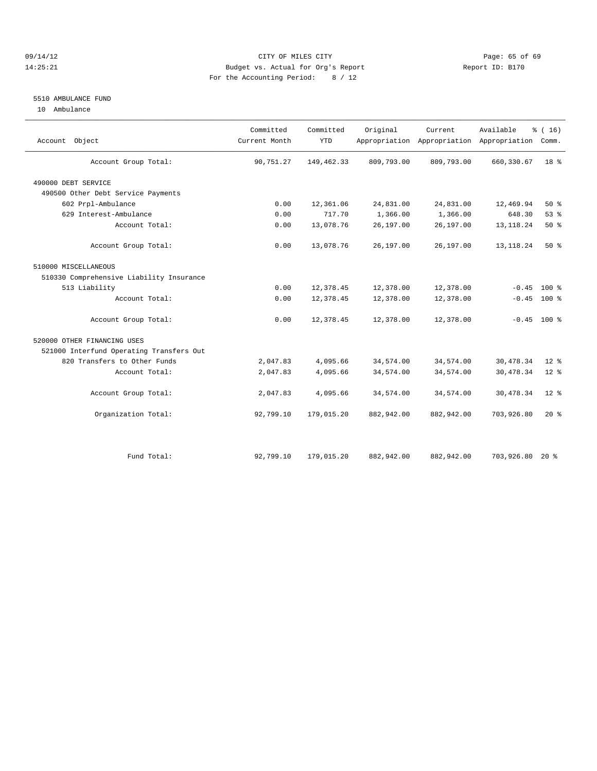#### 09/14/12 Page: 65 of 69 14:25:21 Budget vs. Actual for Org's Report Report ID: B170 For the Accounting Period: 8 / 12

#### 5510 AMBULANCE FUND

10 Ambulance

| Account Object                           | Committed<br>Current Month | Committed<br><b>YTD</b> | Original   | Current    | Available<br>Appropriation Appropriation Appropriation | % (16)<br>Comm. |  |
|------------------------------------------|----------------------------|-------------------------|------------|------------|--------------------------------------------------------|-----------------|--|
| Account Group Total:                     | 90,751.27                  | 149,462.33              | 809,793.00 | 809,793.00 | 660, 330.67                                            | 18 <sup>8</sup> |  |
| 490000 DEBT SERVICE                      |                            |                         |            |            |                                                        |                 |  |
| 490500 Other Debt Service Payments       |                            |                         |            |            |                                                        |                 |  |
| 602 Prpl-Ambulance                       | 0.00                       | 12,361.06               | 24,831.00  | 24,831.00  | 12,469.94                                              | $50*$           |  |
| 629 Interest-Ambulance                   | 0.00                       | 717.70                  | 1,366.00   | 1,366.00   | 648.30                                                 | 53%             |  |
| Account Total:                           | 0.00                       | 13,078.76               | 26,197.00  | 26,197.00  | 13, 118. 24                                            | $50*$           |  |
| Account Group Total:                     | 0.00                       | 13,078.76               | 26,197.00  | 26,197.00  | 13, 118. 24                                            | 50%             |  |
| 510000 MISCELLANEOUS                     |                            |                         |            |            |                                                        |                 |  |
| 510330 Comprehensive Liability Insurance |                            |                         |            |            |                                                        |                 |  |
| 513 Liability                            | 0.00                       | 12,378.45               | 12,378.00  | 12,378.00  | $-0.45$                                                | $100*$          |  |
| Account Total:                           | 0.00                       | 12,378.45               | 12,378.00  | 12,378.00  | $-0.45$                                                | 100 %           |  |
| Account Group Total:                     | 0.00                       | 12,378.45               | 12,378.00  | 12,378.00  |                                                        | $-0.45$ 100 %   |  |
| 520000 OTHER FINANCING USES              |                            |                         |            |            |                                                        |                 |  |
| 521000 Interfund Operating Transfers Out |                            |                         |            |            |                                                        |                 |  |
| 820 Transfers to Other Funds             | 2,047.83                   | 4,095.66                | 34,574.00  | 34,574.00  | 30,478.34                                              | $12*$           |  |
| Account Total:                           | 2,047.83                   | 4,095.66                | 34,574.00  | 34,574.00  | 30,478.34                                              | $12*$           |  |
| Account Group Total:                     | 2,047.83                   | 4,095.66                | 34,574.00  | 34,574.00  | 30,478.34                                              | $12*$           |  |
| Organization Total:                      | 92,799.10                  | 179,015.20              | 882,942.00 | 882,942.00 | 703,926.80                                             | $20*$           |  |
|                                          |                            |                         |            |            |                                                        |                 |  |
| Fund Total:                              | 92,799.10                  | 179,015.20              | 882,942.00 | 882,942.00 | 703,926.80                                             | $20*$           |  |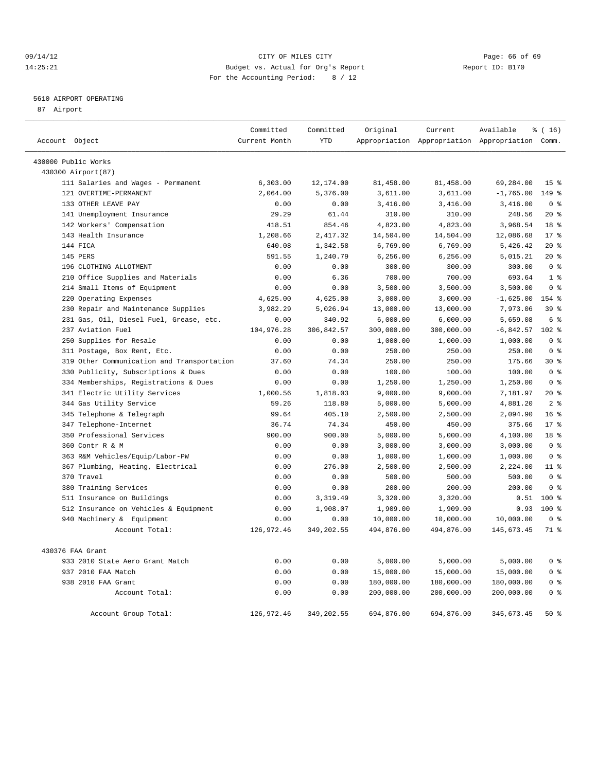#### 09/14/12 Page: 66 of 69 14:25:21 Budget vs. Actual for Org's Report Report ID: B170 For the Accounting Period: 8 / 12

————————————————————————————————————————————————————————————————————————————————————————————————————————————————————————————————————

#### 5610 AIRPORT OPERATING

87 Airport

|                                            | Committed     | Committed  | Original   | Current    | Available                                       | $\frac{1}{6}$ (16) |
|--------------------------------------------|---------------|------------|------------|------------|-------------------------------------------------|--------------------|
| Account Object                             | Current Month | <b>YTD</b> |            |            | Appropriation Appropriation Appropriation Comm. |                    |
| 430000 Public Works                        |               |            |            |            |                                                 |                    |
| 430300 Airport (87)                        |               |            |            |            |                                                 |                    |
| 111 Salaries and Wages - Permanent         | 6,303.00      | 12,174.00  | 81,458.00  | 81,458.00  | 69,284.00                                       | 15 <sup>°</sup>    |
| 121 OVERTIME-PERMANENT                     | 2,064.00      | 5,376.00   | 3,611.00   | 3,611.00   | $-1,765.00$                                     | 149 %              |
| 133 OTHER LEAVE PAY                        | 0.00          | 0.00       | 3,416.00   | 3,416.00   | 3,416.00                                        | 0 <sup>8</sup>     |
| 141 Unemployment Insurance                 | 29.29         | 61.44      | 310.00     | 310.00     | 248.56                                          | $20*$              |
| 142 Workers' Compensation                  | 418.51        | 854.46     | 4,823.00   | 4,823.00   | 3,968.54                                        | 18 %               |
| 143 Health Insurance                       | 1,208.66      | 2,417.32   | 14,504.00  | 14,504.00  | 12,086.68                                       | $17*$              |
| 144 FICA                                   | 640.08        | 1,342.58   | 6,769.00   | 6,769.00   | 5,426.42                                        | $20*$              |
| 145 PERS                                   | 591.55        | 1,240.79   | 6,256.00   | 6,256.00   | 5,015.21                                        | $20*$              |
| 196 CLOTHING ALLOTMENT                     | 0.00          | 0.00       | 300.00     | 300.00     | 300.00                                          | 0 <sup>8</sup>     |
| 210 Office Supplies and Materials          | 0.00          | 6.36       | 700.00     | 700.00     | 693.64                                          | 1 <sup>8</sup>     |
| 214 Small Items of Equipment               | 0.00          | 0.00       | 3,500.00   | 3,500.00   | 3,500.00                                        | 0 <sup>8</sup>     |
| 220 Operating Expenses                     | 4,625.00      | 4,625.00   | 3,000.00   | 3,000.00   | $-1,625.00$                                     | 154 %              |
| 230 Repair and Maintenance Supplies        | 3,982.29      | 5,026.94   | 13,000.00  | 13,000.00  | 7,973.06                                        | 39 %               |
| 231 Gas, Oil, Diesel Fuel, Grease, etc.    | 0.00          | 340.92     | 6,000.00   | 6,000.00   | 5,659.08                                        | 6 %                |
| 237 Aviation Fuel                          | 104,976.28    | 306,842.57 | 300,000.00 | 300,000.00 | $-6,842.57$                                     | $102$ %            |
| 250 Supplies for Resale                    | 0.00          | 0.00       | 1,000.00   | 1,000.00   | 1,000.00                                        | 0 <sup>8</sup>     |
| 311 Postage, Box Rent, Etc.                | 0.00          | 0.00       | 250.00     | 250.00     | 250.00                                          | 0 <sup>8</sup>     |
| 319 Other Communication and Transportation | 37.60         | 74.34      | 250.00     | 250.00     | 175.66                                          | $30*$              |
| 330 Publicity, Subscriptions & Dues        | 0.00          | 0.00       | 100.00     | 100.00     | 100.00                                          | 0 <sup>8</sup>     |
| 334 Memberships, Registrations & Dues      | 0.00          | 0.00       | 1,250.00   | 1,250.00   | 1,250.00                                        | 0 <sup>8</sup>     |
| 341 Electric Utility Services              | 1,000.56      | 1,818.03   | 9,000.00   | 9,000.00   | 7,181.97                                        | $20*$              |
| 344 Gas Utility Service                    | 59.26         | 118.80     | 5,000.00   | 5,000.00   | 4,881.20                                        | 2 <sup>8</sup>     |
| 345 Telephone & Telegraph                  | 99.64         | 405.10     | 2,500.00   | 2,500.00   | 2,094.90                                        | 16 <sup>°</sup>    |
| 347 Telephone-Internet                     | 36.74         | 74.34      | 450.00     | 450.00     | 375.66                                          | $17*$              |
| 350 Professional Services                  | 900.00        | 900.00     | 5,000.00   | 5,000.00   | 4,100.00                                        | 18 %               |
| 360 Contr R & M                            | 0.00          | 0.00       | 3,000.00   | 3,000.00   | 3,000.00                                        | 0 <sup>°</sup>     |
| 363 R&M Vehicles/Equip/Labor-PW            | 0.00          | 0.00       | 1,000.00   | 1,000.00   | 1,000.00                                        | 0 <sup>8</sup>     |
| 367 Plumbing, Heating, Electrical          | 0.00          | 276.00     | 2,500.00   | 2,500.00   | 2,224.00                                        | $11*$              |
| 370 Travel                                 | 0.00          | 0.00       | 500.00     | 500.00     | 500.00                                          | 0 <sup>8</sup>     |
| 380 Training Services                      | 0.00          | 0.00       | 200.00     | 200.00     | 200.00                                          | 0 <sup>8</sup>     |
| 511 Insurance on Buildings                 | 0.00          | 3,319.49   | 3,320.00   | 3,320.00   | 0.51                                            | $100*$             |
| 512 Insurance on Vehicles & Equipment      | 0.00          | 1,908.07   | 1,909.00   | 1,909.00   | 0.93                                            | 100 %              |
| 940 Machinery & Equipment                  | 0.00          | 0.00       | 10,000.00  | 10,000.00  | 10,000.00                                       | 0 <sup>8</sup>     |
| Account Total:                             | 126,972.46    | 349,202.55 | 494,876.00 | 494,876.00 | 145,673.45                                      | 71 %               |
| 430376 FAA Grant                           |               |            |            |            |                                                 |                    |
| 933 2010 State Aero Grant Match            | 0.00          | 0.00       | 5,000.00   | 5,000.00   | 5,000.00                                        | 0 <sup>8</sup>     |
| 937 2010 FAA Match                         | 0.00          | 0.00       | 15,000.00  | 15,000.00  | 15,000.00                                       | 0 <sup>8</sup>     |
| 938 2010 FAA Grant                         | 0.00          | 0.00       | 180,000.00 | 180,000.00 | 180,000.00                                      | 0 <sup>8</sup>     |
| Account Total:                             | 0.00          | 0.00       | 200,000.00 | 200,000.00 | 200,000.00                                      | 0 <sup>8</sup>     |
| Account Group Total:                       | 126,972.46    | 349,202.55 | 694,876.00 | 694,876.00 | 345,673.45                                      | 50%                |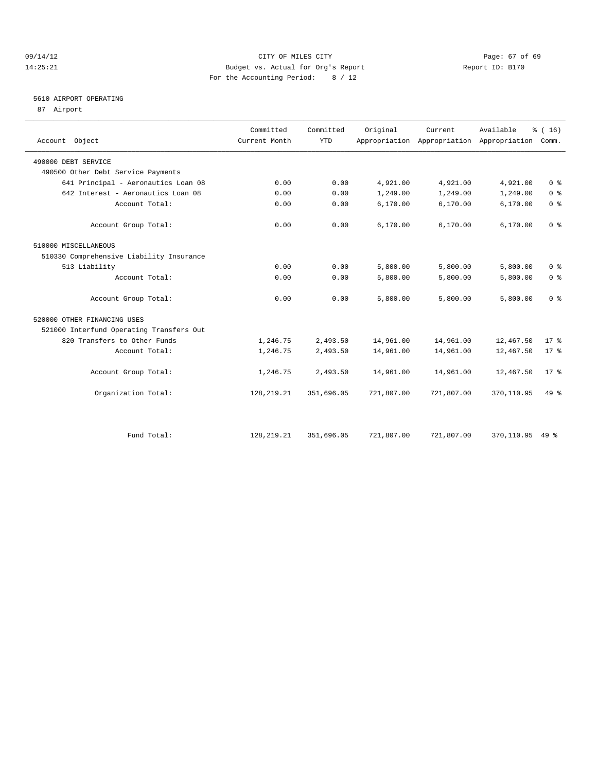#### 09/14/12 Page: 67 of 69 14:25:21 Budget vs. Actual for Org's Report Report ID: B170 For the Accounting Period: 8 / 12

### 5610 AIRPORT OPERATING

87 Airport

| Account Object                           | Committed<br>Current Month | Committed<br><b>YTD</b> | Original   | Current    | Available<br>Appropriation Appropriation Appropriation | % (16)<br>Comm. |
|------------------------------------------|----------------------------|-------------------------|------------|------------|--------------------------------------------------------|-----------------|
| 490000 DEBT SERVICE                      |                            |                         |            |            |                                                        |                 |
| 490500 Other Debt Service Payments       |                            |                         |            |            |                                                        |                 |
| 641 Principal - Aeronautics Loan 08      | 0.00                       | 0.00                    | 4,921.00   | 4,921.00   | 4,921.00                                               | 0 <sup>8</sup>  |
| 642 Interest - Aeronautics Loan 08       | 0.00                       | 0.00                    | 1,249.00   | 1,249.00   | 1,249.00                                               | 0 <sup>8</sup>  |
| Account Total:                           | 0.00                       | 0.00                    | 6,170.00   | 6,170.00   | 6,170.00                                               | 0 <sup>8</sup>  |
| Account Group Total:                     | 0.00                       | 0.00                    | 6,170.00   | 6,170.00   | 6,170.00                                               | 0 <sup>8</sup>  |
| 510000 MISCELLANEOUS                     |                            |                         |            |            |                                                        |                 |
| 510330 Comprehensive Liability Insurance |                            |                         |            |            |                                                        |                 |
| 513 Liability                            | 0.00                       | 0.00                    | 5,800.00   | 5,800.00   | 5,800.00                                               | 0 <sup>8</sup>  |
| Account Total:                           | 0.00                       | 0.00                    | 5,800.00   | 5,800.00   | 5,800.00                                               | 0 <sup>8</sup>  |
| Account Group Total:                     | 0.00                       | 0.00                    | 5,800.00   | 5,800.00   | 5,800.00                                               | 0 <sup>8</sup>  |
| 520000 OTHER FINANCING USES              |                            |                         |            |            |                                                        |                 |
| 521000 Interfund Operating Transfers Out |                            |                         |            |            |                                                        |                 |
| 820 Transfers to Other Funds             | 1,246.75                   | 2,493.50                | 14,961.00  | 14,961.00  | 12,467.50                                              | $17*$           |
| Account Total:                           | 1,246.75                   | 2,493.50                | 14,961.00  | 14,961.00  | 12,467.50                                              | $17*$           |
| Account Group Total:                     | 1,246.75                   | 2,493.50                | 14,961.00  | 14,961.00  | 12,467.50                                              | $17*$           |
| Organization Total:                      | 128, 219. 21               | 351,696.05              | 721,807.00 | 721,807.00 | 370,110.95                                             | $49*$           |
|                                          |                            |                         |            |            |                                                        |                 |
| Fund Total:                              | 128, 219. 21               | 351,696.05              | 721,807.00 | 721,807.00 | 370,110.95 49 %                                        |                 |